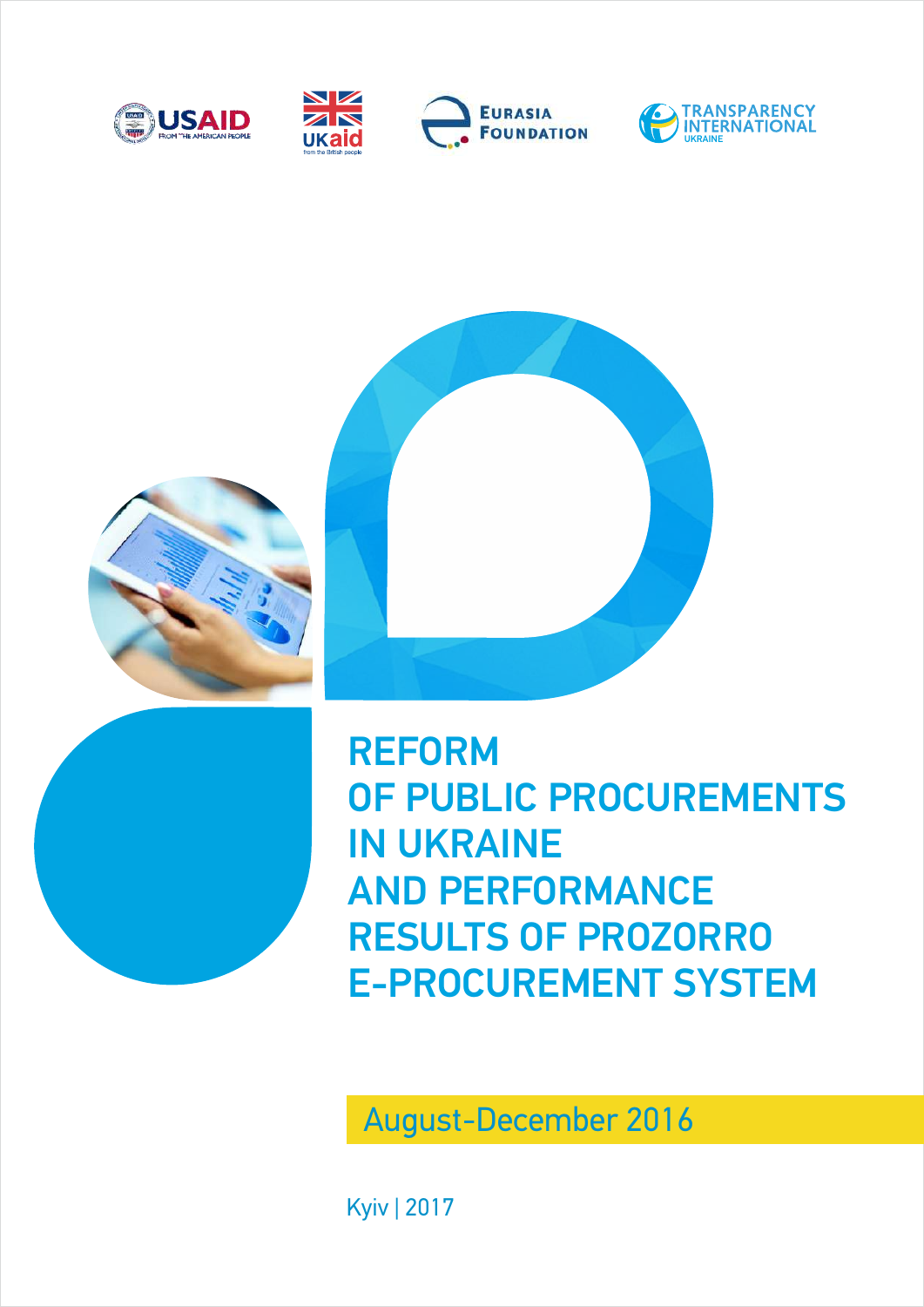





REFORM OF PUBLIC PROCUREMENTS IN UKRAINE AND PERFORMANCE RESULTS OF PROZORRO E-PROCUREMENT SYSTEM

August-December 2016

Kyiv | 2017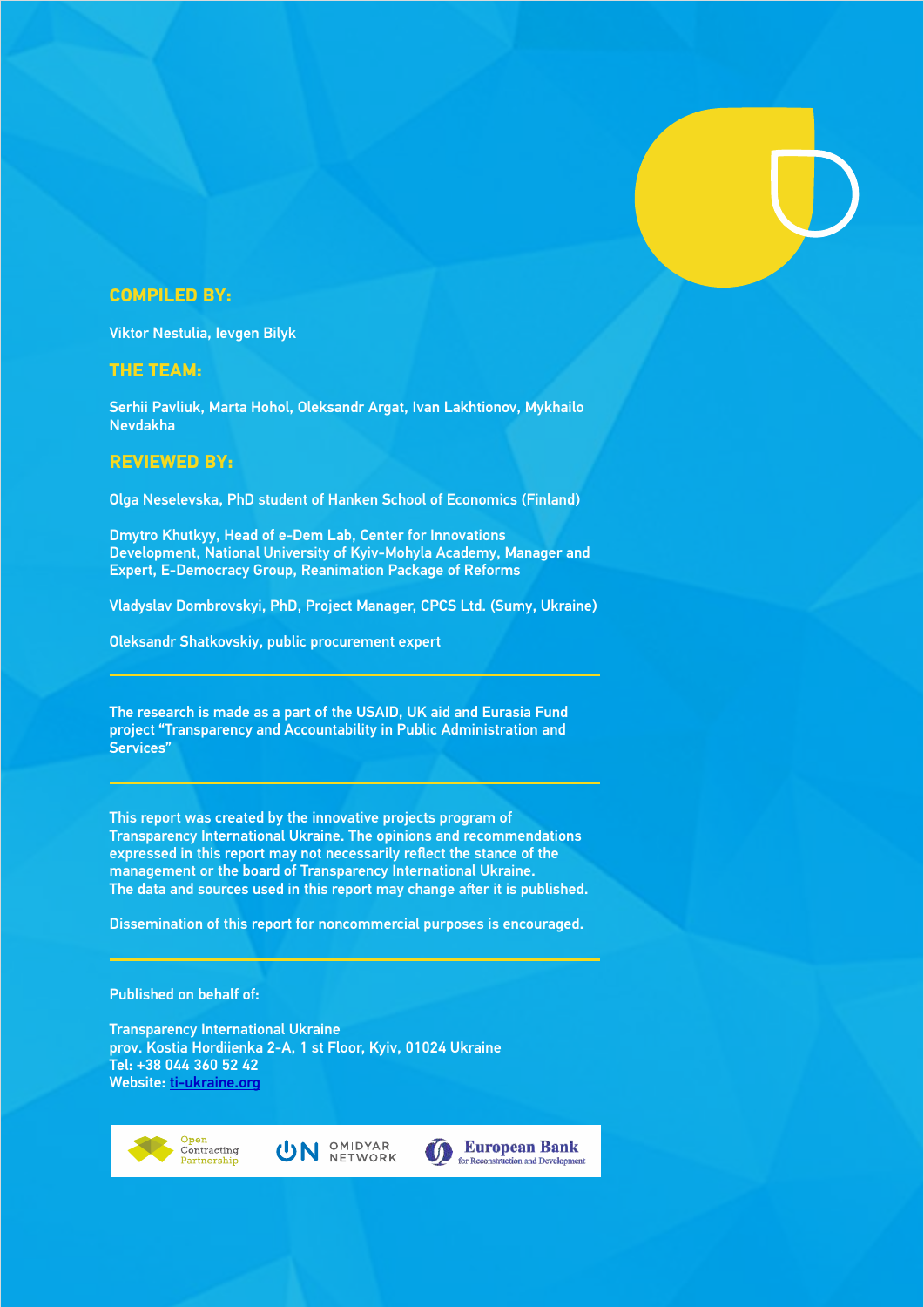### **COMPILED BY:**

Viktor Nestulia, Ievgen Bilyk

### **THE TEAM:**

Serhii Pavliuk, Marta Hohol, Oleksandr Argat, Ivan Lakhtionov, Mykhailo Nevdakha

### **REVIEWED BY:**

Olga Neselevska, PhD student of Hanken School of Economics (Finland)

Dmytro Khutkyy, Head of e-Dem Lab, Center for Innovations Development, National University of Kyiv-Mohyla Academy, Manager and Expert, E-Democracy Group, Reanimation Package of Reforms

Vladyslav Dombrovskyi, PhD, Project Manager, CPCS Ltd. (Sumy, Ukraine)

Oleksandr Shatkovskiy, public procurement expert

The research is made as a part of the USAID, UK aid and Eurasia Fund project "Transparency and Accountability in Public Administration and Services"

This report was created by the innovative projects program of Transparency International Ukraine. The opinions and recommendations expressed in this report may not necessarily reflect the stance of the management or the board of Transparency International Ukraine. The data and sources used in this report may change after it is published.

Dissemination of this report for noncommercial purposes is encouraged.

### Published on behalf of:

Transparency International Ukraine prov. Kostia Hordiienka 2-А, 1 st Floor, Kyiv, 01024 Ukraine Tel: +38 044 360 52 42 Website: [ti-ukraine.org](http://ti-ukraine.org/)





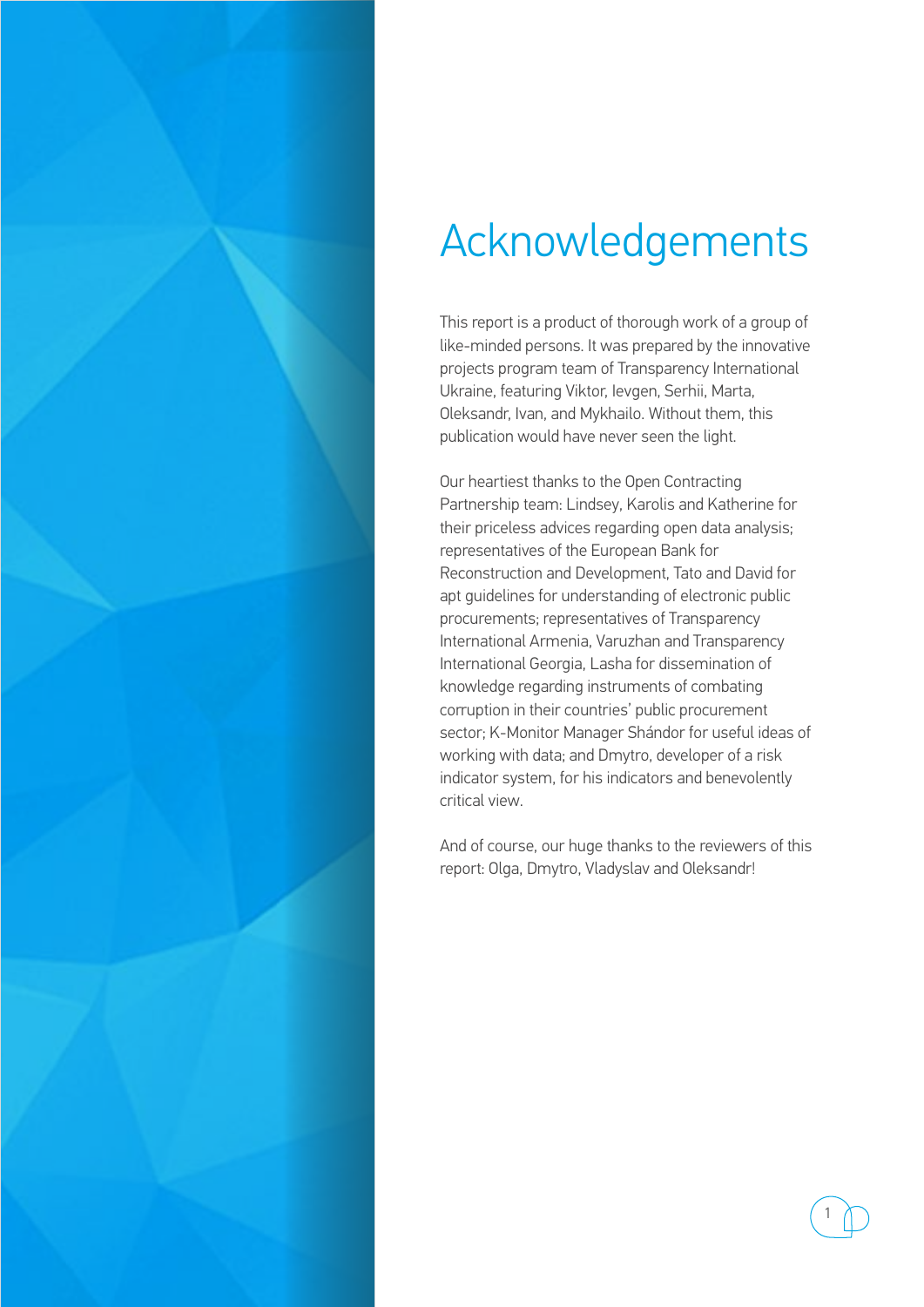

## Acknowledgements

This report is a product of thorough work of a group of like-minded persons. It was prepared by the innovative projects program team of Transparency International Ukraine, featuring Viktor, Ievgen, Serhii, Marta, Oleksandr, Ivan, and Mykhailo. Without them, this publication would have never seen the light.

Our heartiest thanks to the Open Contracting Partnership team: Lindsey, Karolis and Katherine for their priceless advices regarding open data analysis; representatives of the European Bank for Reconstruction and Development, Tato and David for apt guidelines for understanding of electronic public procurements; representatives of Transparency International Armenia, Varuzhan and Transparency International Georgia, Lasha for dissemination of knowledge regarding instruments of combating corruption in their countries' public procurement sector; K-Monitor Manager Shándor for useful ideas of working with data; and Dmytro, developer of a risk indicator system, for his indicators and benevolently critical view.

And of course, our huge thanks to the reviewers of this report: Olga, Dmytro, Vladyslav and Oleksandr!

1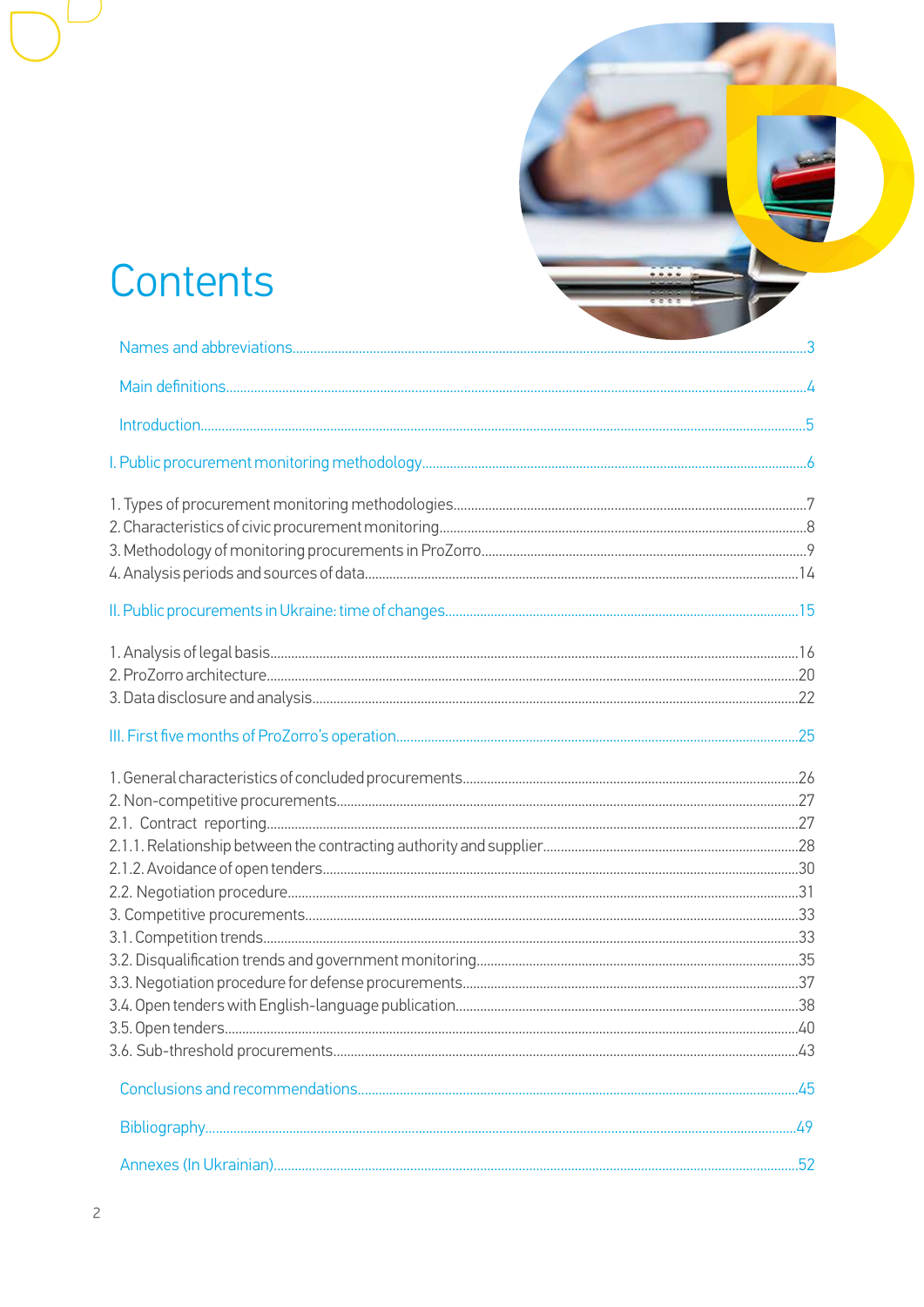## Contents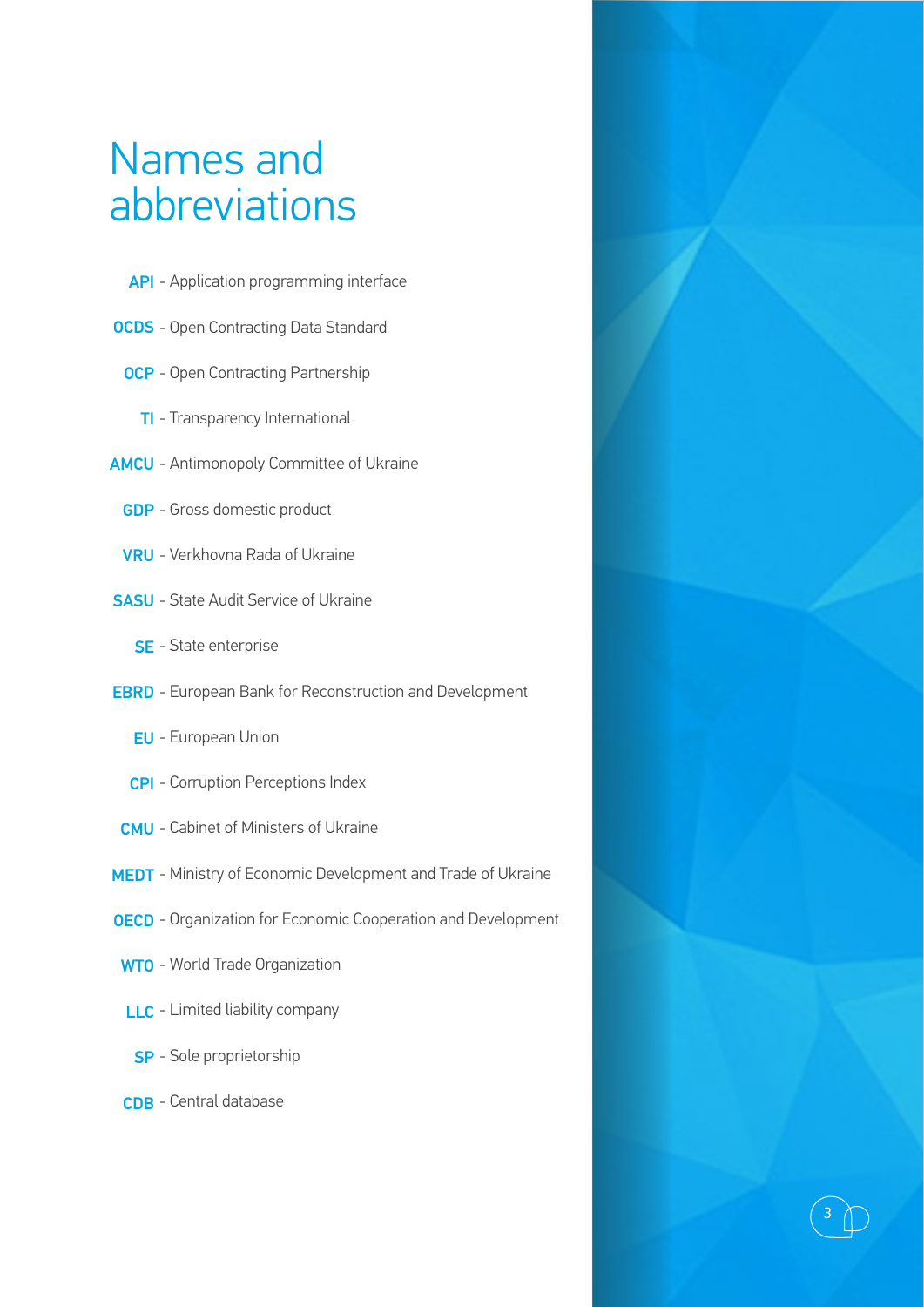## Names and abbreviations

- API Application programming interface
- OCDS Open Contracting Data Standard
	- OCP Open Contracting Partnership
		- TI Transparency International
- AMCU Antimonopoly Committee of Ukraine
	- GDP Gross domestic product
	- VRU Verkhovna Rada of Ukraine
- SASU State Audit Service of Ukraine
	- SE State enterprise
- EBRD European Bank for Reconstruction and Development
	- EU European Union
	- CPI Corruption Perceptions Index
- CMU Cabinet of Ministers of Ukraine
- MEDT Ministry of Economic Development and Trade of Ukraine
- OECD Organization for Economic Cooperation and Development

3

- WTO World Trade Organization
- LLC Limited liability company
- SP Sole proprietorship
- CDB Central database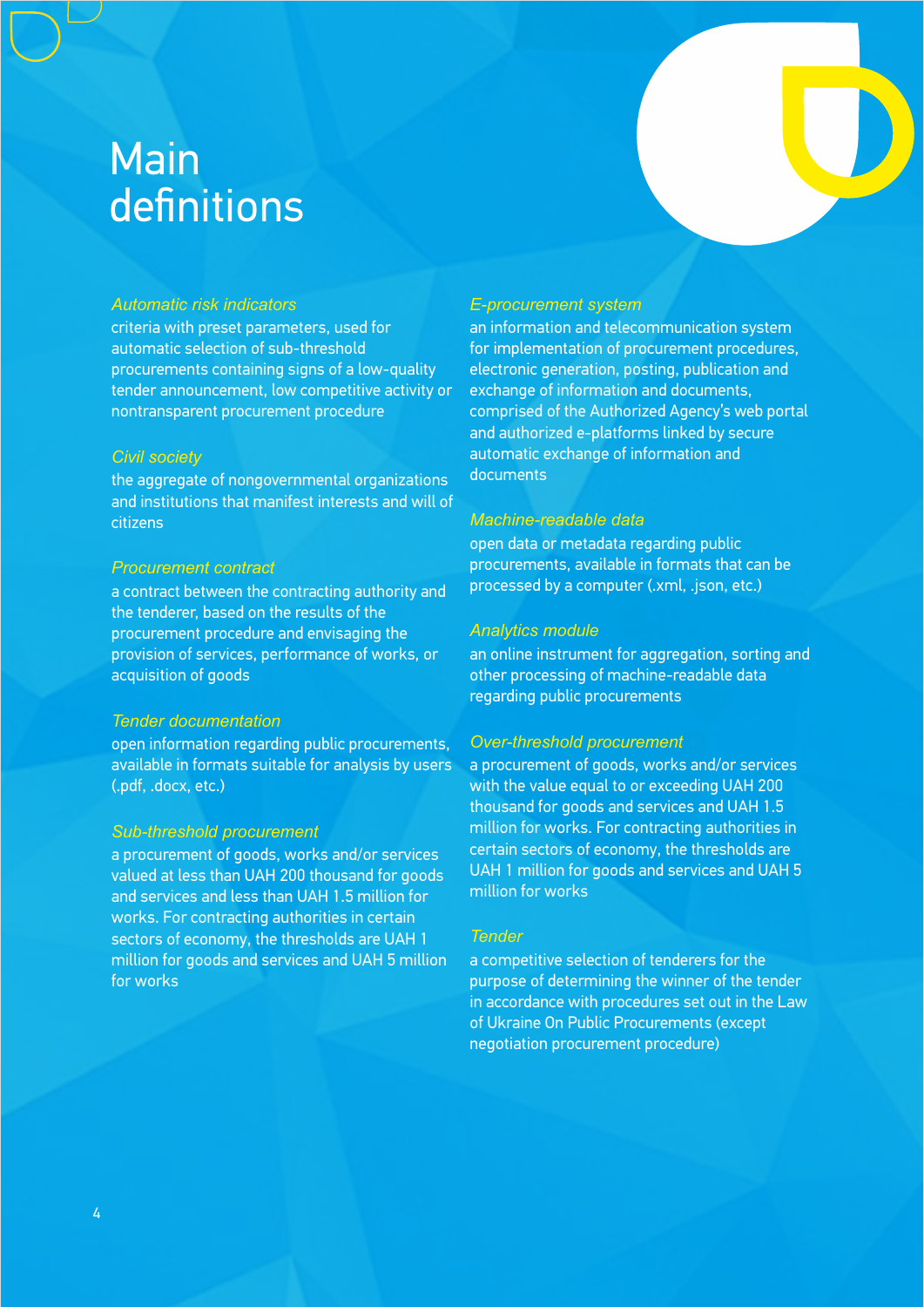## Main definitions

### *Automatic risk indicators*

criteria with preset parameters, used for automatic selection of sub-threshold procurements containing signs of a low-quality tender announcement, low competitive activity or nontransparent procurement procedure

#### *Civil society*

the aggregate of nongovernmental organizations and institutions that manifest interests and will of citizens

### *Procurement contract*

a contract between the contracting authority and the tenderer, based on the results of the procurement procedure and envisaging the provision of services, performance of works, or acquisition of goods

### *Tender documentation*

open information regarding public procurements, available in formats suitable for analysis by users (.pdf, .docx, etc.)

### *Sub-threshold procurement*

a procurement of goods, works and/or services valued at less than UAH 200 thousand for goods and services and less than UAH 1.5 million for works. For contracting authorities in certain sectors of economy, the thresholds are UAH 1 million for goods and services and UAH 5 million for works

### *E-procurement system*

an information and telecommunication system for implementation of procurement procedures, electronic generation, posting, publication and exchange of information and documents, comprised of the Authorized Agency's web portal and authorized e-platforms linked by secure automatic exchange of information and documents

### *Machine-readable data*

open data or metadata regarding public procurements, available in formats that can be processed by a computer (.xml, .json, etc.)

### *Analytics module*

an online instrument for aggregation, sorting and other processing of machine-readable data regarding public procurements

### *Over-threshold procurement*

a procurement of goods, works and/or services with the value equal to or exceeding UAH 200 thousand for goods and services and UAH 1.5 million for works. For contracting authorities in certain sectors of economy, the thresholds are UAH 1 million for goods and services and UAH 5 million for works

#### *Tender*

a competitive selection of tenderers for the purpose of determining the winner of the tender in accordance with procedures set out in the Law of Ukraine On Public Procurements (except negotiation procurement procedure)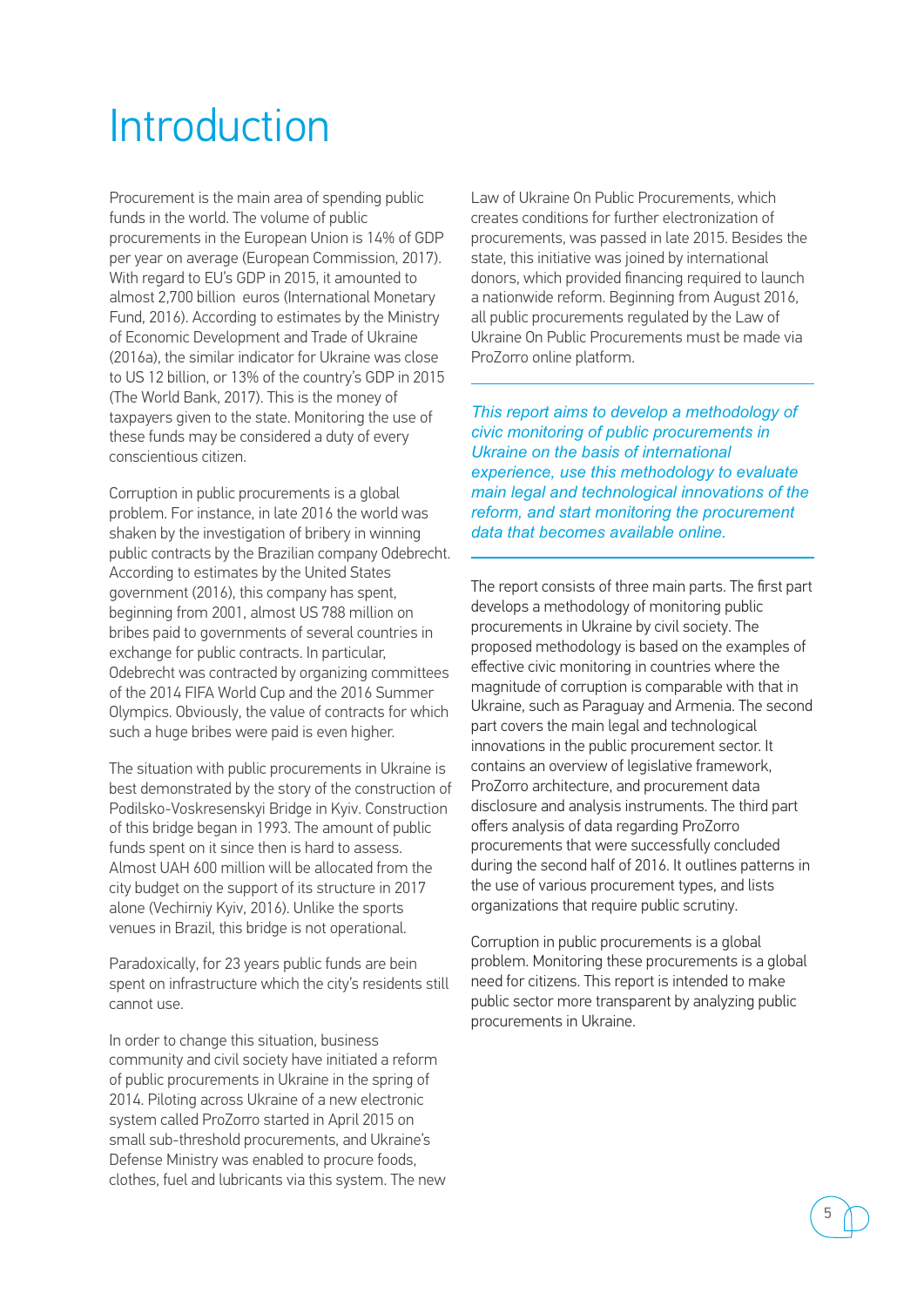## Introduction

Procurement is the main area of spending public funds in the world. The volume of public procurements in the European Union is 14% of GDP per year on average (European Commission, 2017). With regard to EU's GDP in 2015, it amounted to almost 2,700 billion euros (International Monetary Fund, 2016). According to estimates by the Ministry of Economic Development and Trade of Ukraine (2016а), the similar indicator for Ukraine was close to US 12 billion, or 13% of the country's GDP in 2015 (The World Bank, 2017). This is the money of taxpayers given to the state. Monitoring the use of these funds may be considered a duty of every conscientious citizen.

Corruption in public procurements is a global problem. For instance, in late 2016 the world was shaken by the investigation of bribery in winning public contracts by the Brazilian company Odebrecht. According to estimates by the United States government (2016), this company has spent, beginning from 2001, almost US 788 million on bribes paid to governments of several countries in exchange for public contracts. In particular, Odebrecht was contracted by organizing committees of the 2014 FIFA World Cup and the 2016 Summer Olympics. Obviously, the value of contracts for which such a huge bribes were paid is even higher.

The situation with public procurements in Ukraine is best demonstrated by the story of the construction of Podilsko-Voskresenskyi Bridge in Kyiv. Construction of this bridge began in 1993. The amount of public funds spent on it since then is hard to assess. Almost UAH 600 million will be allocated from the city budget on the support of its structure in 2017 alone (Vechirniy Kyiv, 2016). Unlike the sports venues in Brazil, this bridge is not operational.

Paradoxically, for 23 years public funds are bein spent on infrastructure which the city's residents still cannot use.

In order to change this situation, business community and civil society have initiated a reform of public procurements in Ukraine in the spring of 2014. Piloting across Ukraine of a new electronic system called ProZorro started in April 2015 on small sub-threshold procurements, and Ukraine's Defense Ministry was enabled to procure foods, clothes, fuel and lubricants via this system. The new Law of Ukraine On Public Procurements, which creates conditions for further electronization of procurements, was passed in late 2015. Besides the state, this initiative was joined by international donors, which provided financing required to launch a nationwide reform. Beginning from August 2016, all public procurements regulated by the Law of Ukraine On Public Procurements must be made via ProZorro online platform.

*This report aims to develop a methodology of civic monitoring of public procurements in Ukraine on the basis of international experience, use this methodology to evaluate main legal and technological innovations of the reform, and start monitoring the procurement data that becomes available online.* 

The report consists of three main parts. The first part develops a methodology of monitoring public procurements in Ukraine by civil society. The proposed methodology is based on the examples of effective civic monitoring in countries where the magnitude of corruption is comparable with that in Ukraine, such as Paraguay and Armenia. The second part covers the main legal and technological innovations in the public procurement sector. It contains an overview of legislative framework, ProZorro architecture, and procurement data disclosure and analysis instruments. The third part offers analysis of data regarding ProZorro procurements that were successfully concluded during the second half of 2016. It outlines patterns in the use of various procurement types, and lists organizations that require public scrutiny.

Corruption in public procurements is a global problem. Monitoring these procurements is a global need for citizens. This report is intended to make public sector more transparent by analyzing public procurements in Ukraine.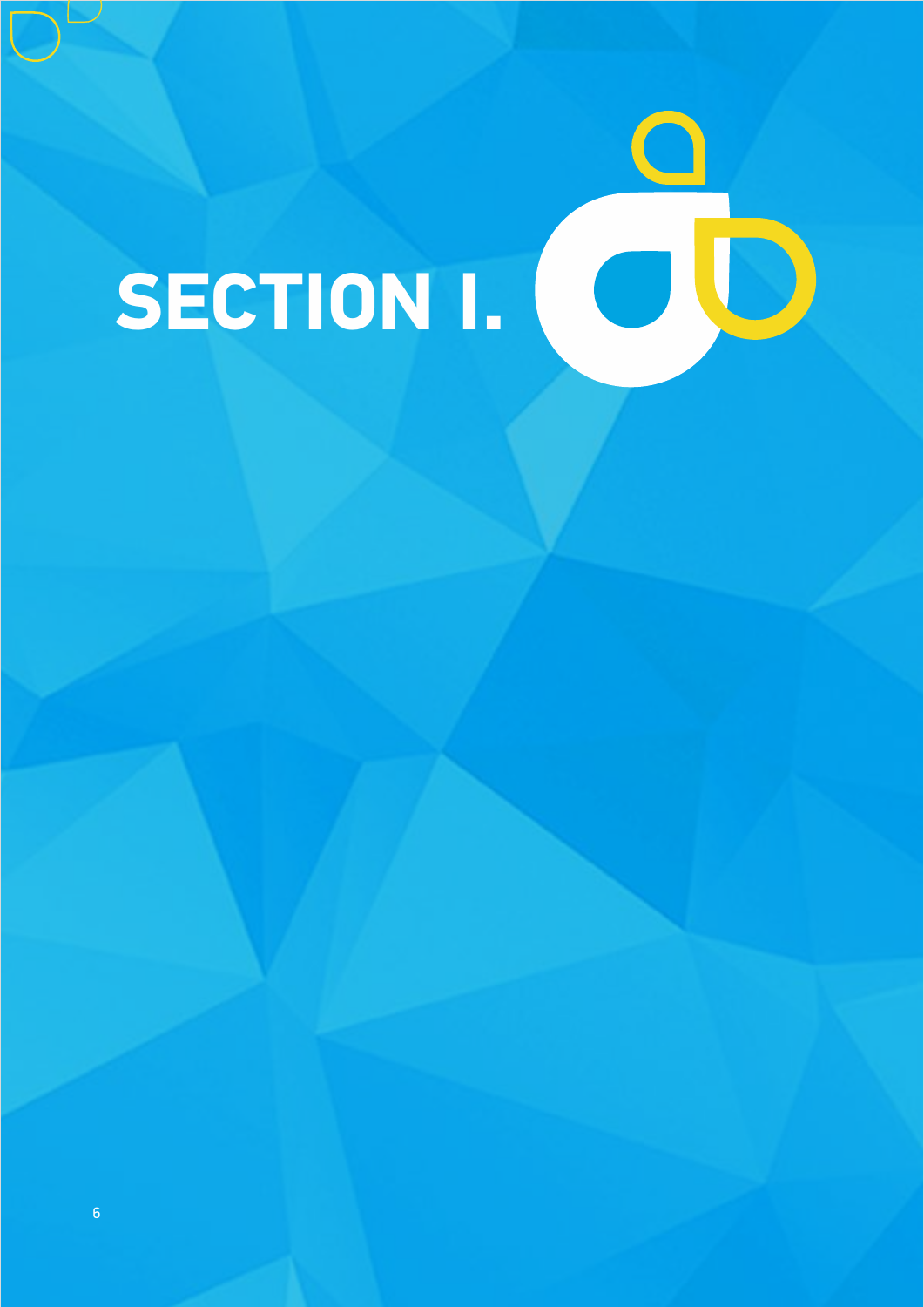# **SECTION І.**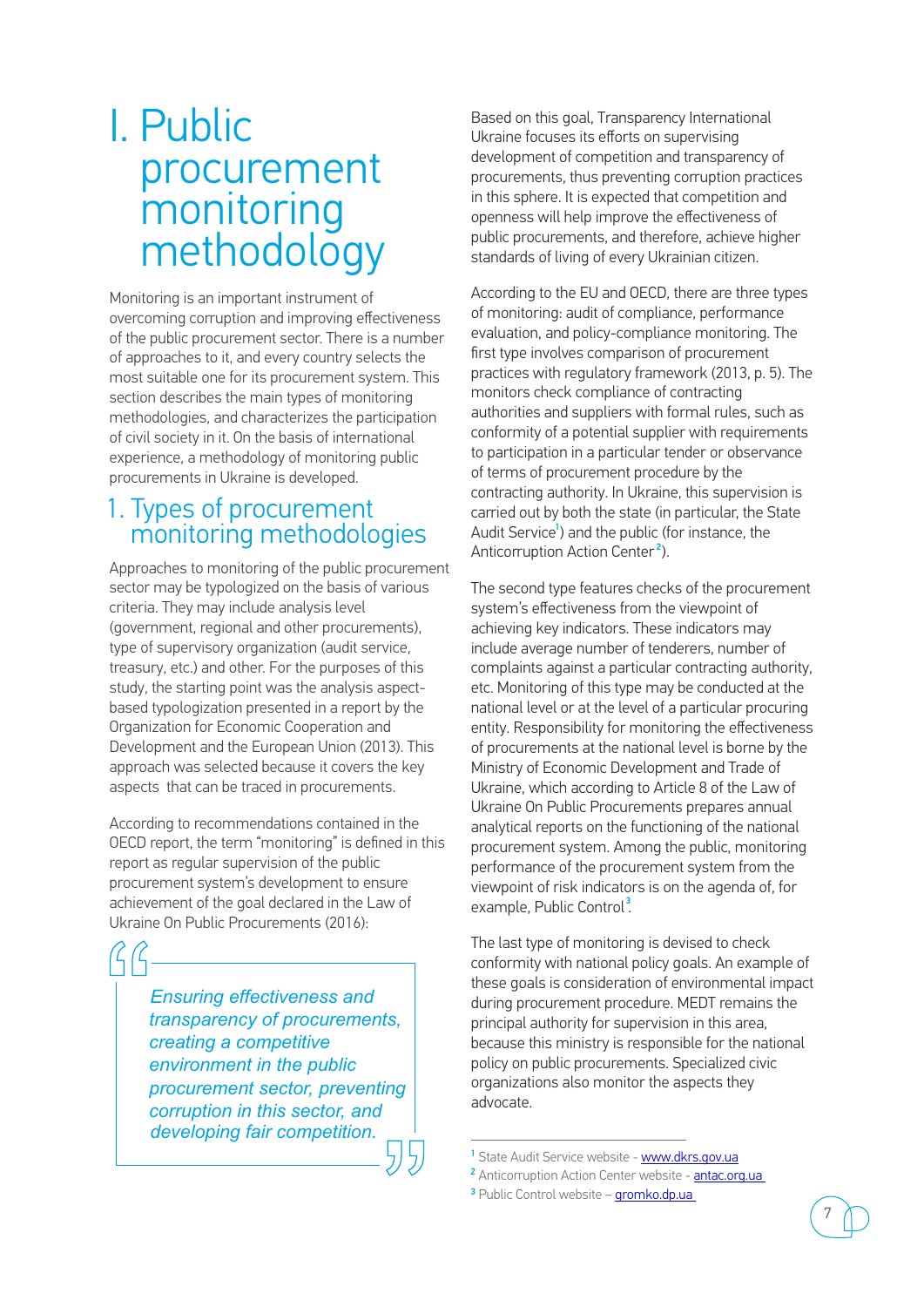### I. Public procurement monitoring methodology

Monitoring is an important instrument of overcoming corruption and improving effectiveness of the public procurement sector. There is a number of approaches to it, and every country selects the most suitable one for its procurement system. This section describes the main types of monitoring methodologies, and characterizes the participation of civil society in it. On the basis of international experience, a methodology of monitoring public procurements in Ukraine is developed.

### 1. Types of procurement monitoring methodologies

Approaches to monitoring of the public procurement sector may be typologized on the basis of various criteria. They may include analysis level (government, regional and other procurements), type of supervisory organization (audit service, treasury, etc.) and other. For the purposes of this study, the starting point was the analysis aspectbased typologization presented in a report by the Organization for Economic Cooperation and Development and the European Union (2013). This approach was selected because it covers the key aspects that can be traced in procurements.

According to recommendations contained in the OECD report, the term "monitoring" is defined in this report as regular supervision of the public procurement system's development to ensure achievement of the goal declared in the Law of Ukraine On Public Procurements (2016):

*Ensuring effectiveness and transparency of procurements, creating a competitive environment in the public procurement sector, preventing corruption in this sector, and developing fair competition.*   $\begin{array}{c}\nG\\ \hline\n\vdots \\
\hline\n\vdots \\
\hline\n\vdots \\
\hline\n\vdots \\
\hline\n\end{array}$  $\begin{array}{c|c}\n\text{ng} & \overset{\circ}{\circ} \\
\hline\n\circ & \circ \\
\hline\n\circ & \circ \\
\hline\n\circ & \circ \\
\hline\n\circ & \circ \\
\hline\n\circ & \circ \\
\hline\n\circ & \circ \\
\hline\n\circ & \circ \\
\hline\n\circ & \circ \\
\hline\n\circ & \circ \\
\hline\n\circ & \circ \\
\hline\n\circ & \circ \\
\hline\n\circ & \circ \\
\hline\n\circ & \circ \\
\hline\n\circ & \circ \\
\hline\n\circ & \circ \\
\hline\n\circ & \circ \\
\hline\n\circ & \circ \\
\hline\n\circ & \circ \\
\hline\n\circ & \circ \\
\hline\n$ 

Based on this goal, Тransparency International Ukraine focuses its efforts on supervising development of competition and transparency of procurements, thus preventing corruption practices in this sphere. It is expected that competition and openness will help improve the effectiveness of public procurements, and therefore, achieve higher standards of living of every Ukrainian citizen.

According to the EU and OECD, there are three types of monitoring: audit of compliance, performance evaluation, and policy-compliance monitoring. The first type involves comparison of procurement practices with regulatory framework (2013, p. 5). The monitors check compliance of contracting authorities and suppliers with formal rules, such as conformity of a potential supplier with requirements to participation in a particular tender or observance of terms of procurement procedure by the contracting authority. In Ukraine, this supervision is carried out by both the state (in particular, the State Audit Service<sup>1</sup>) and the public (for instance, the Anticorruption Action Center<sup>2</sup>).

The second type features checks of the procurement system's effectiveness from the viewpoint of achieving key indicators. These indicators may include average number of tenderers, number of complaints against a particular contracting authority, etc. Monitoring of this type may be conducted at the national level or at the level of a particular procuring entity. Responsibility for monitoring the effectiveness of procurements at the national level is borne by the Ministry of Economic Development and Trade of Ukraine, which according to Article 8 of the Law of Ukraine On Public Procurements prepares annual analytical reports on the functioning of the national procurement system. Among the public, monitoring performance of the procurement system from the viewpoint of risk indicators is on the agenda of, for example, Public Control<sup>3</sup>.

The last type of monitoring is devised to check conformity with national policy goals. An example of these goals is consideration of environmental impact during procurement procedure. MEDT remains the principal authority for supervision in this area, because this ministry is responsible for the national policy on public procurements. Specialized civic organizations also monitor the aspects they advocate.

<sup>3</sup> Public Control website – **gromko.dp.ua** 

<sup>&</sup>lt;sup>1</sup> State Audit Service website - [www.dkrs.gov.ua](http://www.dkrs.gov.ua)

<sup>&</sup>lt;sup>2</sup> Anticorruption Action Center website - **antac.org.ua**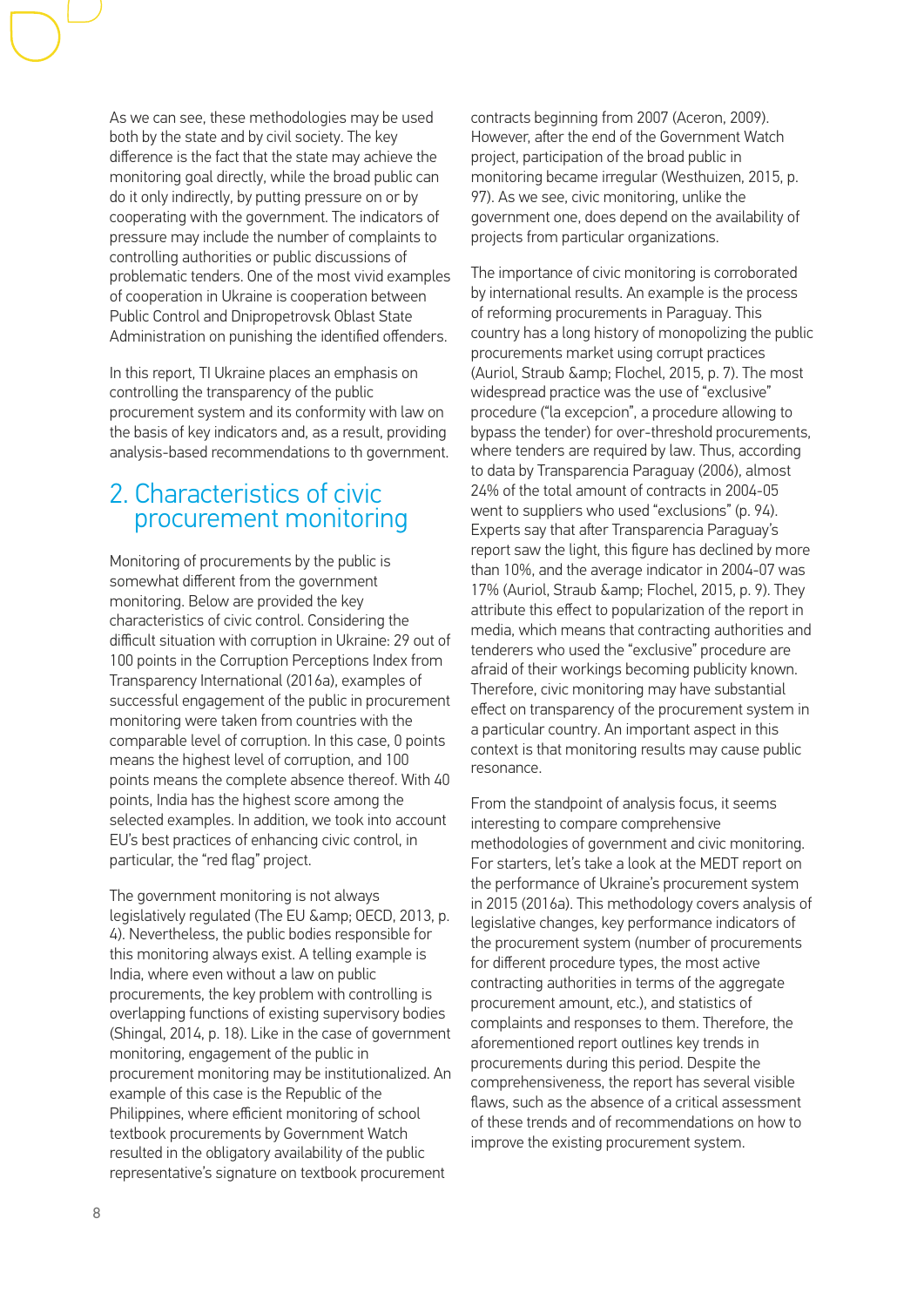As we can see, these methodologies may be used both by the state and by civil society. The key difference is the fact that the state may achieve the monitoring goal directly, while the broad public can do it only indirectly, by putting pressure on or by cooperating with the government. The indicators of pressure may include the number of complaints to controlling authorities or public discussions of problematic tenders. One of the most vivid examples of cooperation in Ukraine is cooperation between Public Control and Dnipropetrovsk Oblast State Administration on punishing the identified offenders.

In this report, TI Ukraine places an emphasis on controlling the transparency of the public procurement system and its conformity with law on the basis of key indicators and, as a result, providing analysis-based recommendations to th government.

### 2. Characteristics of civic procurement monitoring

Monitoring of procurements by the public is somewhat different from the government monitoring. Below are provided the key characteristics of civic control. Considering the difficult situation with corruption in Ukraine: 29 out of 100 points in the Corruption Perceptions Index from Transparency International (2016a), examples of successful engagement of the public in procurement monitoring were taken from countries with the comparable level of corruption. In this case, 0 points means the highest level of corruption, and 100 points means the complete absence thereof. With 40 points, India has the highest score among the selected examples. In addition, we took into account EU's best practices of enhancing civic control, in particular, the "red flag" project.

The government monitoring is not always legislatively regulated (The EU & amp; OECD, 2013, p. 4). Nevertheless, the public bodies responsible for this monitoring always exist. A telling example is India, where even without a law on public procurements, the key problem with controlling is overlapping functions of existing supervisory bodies (Shingal, 2014, p. 18). Like in the case of government monitoring, engagement of the public in procurement monitoring may be institutionalized. An example of this case is the Republic of the Philippines, where efficient monitoring of school textbook procurements by Government Watch resulted in the obligatory availability of the public representative's signature on textbook procurement

contracts beginning from 2007 (Aceron, 2009). However, after the end of the Government Watch project, participation of the broad public in monitoring became irregular (Westhuizen, 2015, p. 97). As we see, civic monitoring, unlike the government one, does depend on the availability of projects from particular organizations.

The importance of civic monitoring is corroborated by international results. An example is the process of reforming procurements in Paraguay. This country has a long history of monopolizing the public procurements market using corrupt practices (Auriol, Straub & amp; Flochel, 2015, p. 7). The most widespread practice was the use of "exclusive" procedure ("la excepcion", a procedure allowing to bypass the tender) for over-threshold procurements, where tenders are required by law. Thus, according to data by Transparencia Paraguay (2006), almost 24% of the total amount of contracts in 2004-05 went to suppliers who used "exclusions" (p. 94). Experts say that after Transparencia Paraguay's report saw the light, this figure has declined by more than 10%, and the average indicator in 2004-07 was 17% (Auriol, Straub & amp; Flochel, 2015, p. 9). They attribute this effect to popularization of the report in media, which means that contracting authorities and tenderers who used the "exclusive" procedure are afraid of their workings becoming publicity known. Therefore, civic monitoring may have substantial effect on transparency of the procurement system in a particular country. An important aspect in this context is that monitoring results may cause public resonance.

From the standpoint of analysis focus, it seems interesting to compare comprehensive methodologies of government and civic monitoring. For starters, let's take a look at the MEDT report on the performance of Ukraine's procurement system in 2015 (2016а). This methodology covers analysis of legislative changes, key performance indicators of the procurement system (number of procurements for different procedure types, the most active contracting authorities in terms of the aggregate procurement amount, etc.), and statistics of complaints and responses to them. Therefore, the aforementioned report outlines key trends in procurements during this period. Despite the comprehensiveness, the report has several visible flaws, such as the absence of a critical assessment of these trends and of recommendations on how to improve the existing procurement system.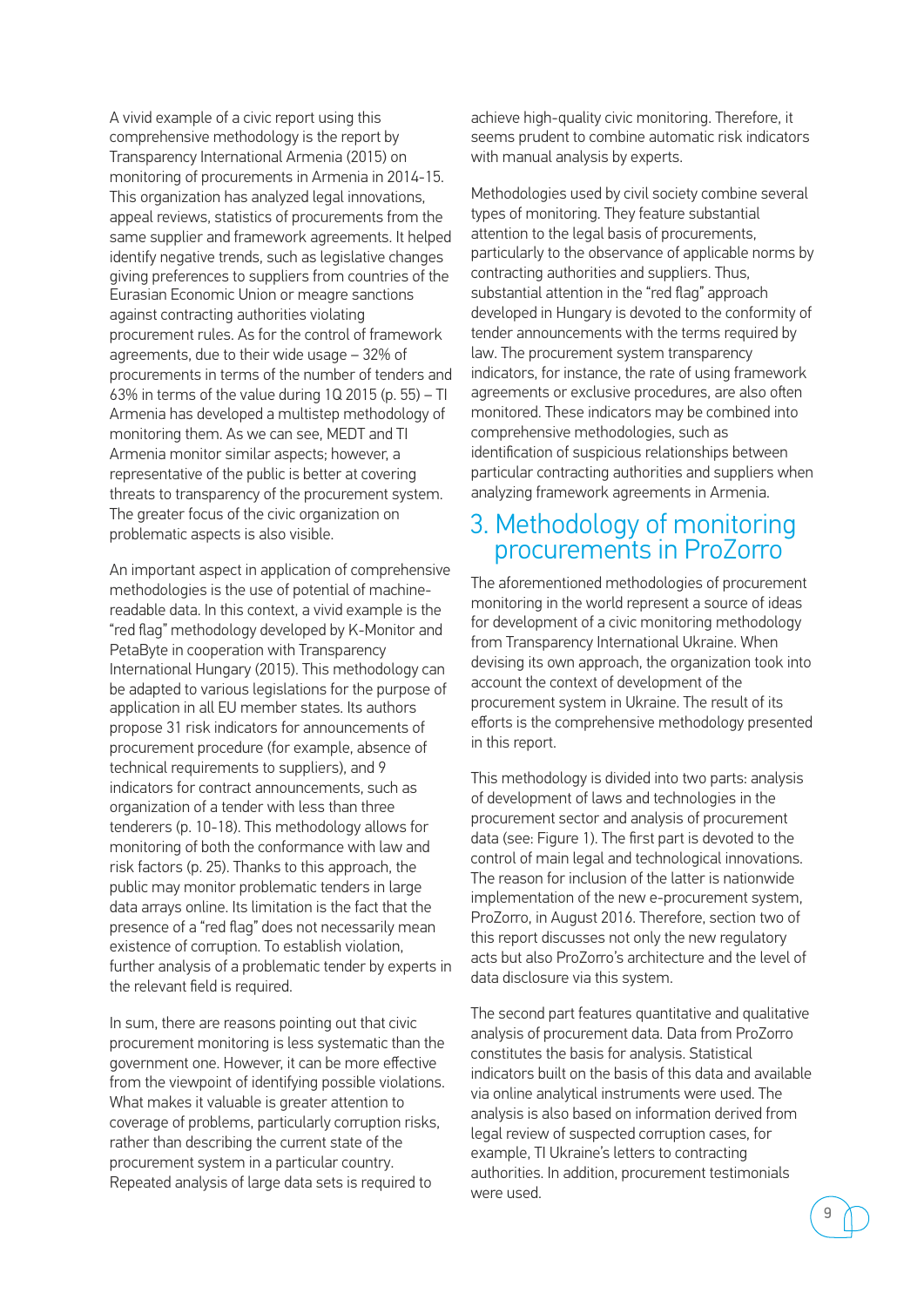A vivid example of a civic report using this comprehensive methodology is the report by Transparency International Armenia (2015) on monitoring of procurements in Armenia in 2014-15. This organization has analyzed legal innovations, appeal reviews, statistics of procurements from the same supplier and framework agreements. It helped identify negative trends, such as legislative changes giving preferences to suppliers from countries of the Eurasian Economic Union or meagre sanctions against contracting authorities violating procurement rules. As for the control of framework agreements, due to their wide usage – 32% of procurements in terms of the number of tenders and 63% in terms of the value during 1Q 2015 (p. 55) – ТІ Armenia has developed a multistep methodology of monitoring them. As we can see, MEDT and ТІ Armenia monitor similar aspects; however, a representative of the public is better at covering threats to transparency of the procurement system. The greater focus of the civic organization on problematic aspects is also visible.

An important aspect in application of comprehensive methodologies is the use of potential of machinereadable data. In this context, a vivid example is the "red flag" methodology developed by K-Monitor and PetaByte in cooperation with Transparency International Hungary (2015). This methodology can be adapted to various legislations for the purpose of application in all EU member states. Its authors propose 31 risk indicators for announcements of procurement procedure (for example, absence of technical requirements to suppliers), and 9 indicators for contract announcements, such as organization of a tender with less than three tenderers (p. 10-18). This methodology allows for monitoring of both the conformance with law and risk factors (p. 25). Thanks to this approach, the public may monitor problematic tenders in large data arrays online. Its limitation is the fact that the presence of a "red flag" does not necessarily mean existence of corruption. To establish violation, further analysis of a problematic tender by experts in the relevant field is required.

In sum, there are reasons pointing out that civic procurement monitoring is less systematic than the government one. However, it can be more effective from the viewpoint of identifying possible violations. What makes it valuable is greater attention to coverage of problems, particularly corruption risks, rather than describing the current state of the procurement system in a particular country. Repeated analysis of large data sets is required to

achieve high-quality civic monitoring. Therefore, it seems prudent to combine automatic risk indicators with manual analysis by experts.

Methodologies used by civil society combine several types of monitoring. They feature substantial attention to the legal basis of procurements, particularly to the observance of applicable norms by contracting authorities and suppliers. Thus, substantial attention in the "red flag" approach developed in Hungary is devoted to the conformity of tender announcements with the terms required by law. The procurement system transparency indicators, for instance, the rate of using framework agreements or exclusive procedures, are also often monitored. These indicators may be combined into comprehensive methodologies, such as identification of suspicious relationships between particular contracting authorities and suppliers when analyzing framework agreements in Armenia.

### 3. Methodology of monitoring procurements in ProZorro

The aforementioned methodologies of procurement monitoring in the world represent a source of ideas for development of a civic monitoring methodology from Transparency International Ukraine. When devising its own approach, the organization took into account the context of development of the procurement system in Ukraine. The result of its efforts is the comprehensive methodology presented in this report.

This methodology is divided into two parts: analysis of development of laws and technologies in the procurement sector and analysis of procurement data (see: Figure 1). The first part is devoted to the control of main legal and technological innovations. The reason for inclusion of the latter is nationwide implementation of the new e-procurement system, ProZorro, in August 2016. Therefore, section two of this report discusses not only the new regulatory acts but also ProZorro's architecture and the level of data disclosure via this system.

The second part features quantitative and qualitative analysis of procurement data. Data from ProZorro constitutes the basis for analysis. Statistical indicators built on the basis of this data and available via online analytical instruments were used. The analysis is also based on information derived from legal review of suspected corruption cases, for example, TI Ukraine's letters to contracting authorities. In addition, procurement testimonials were used.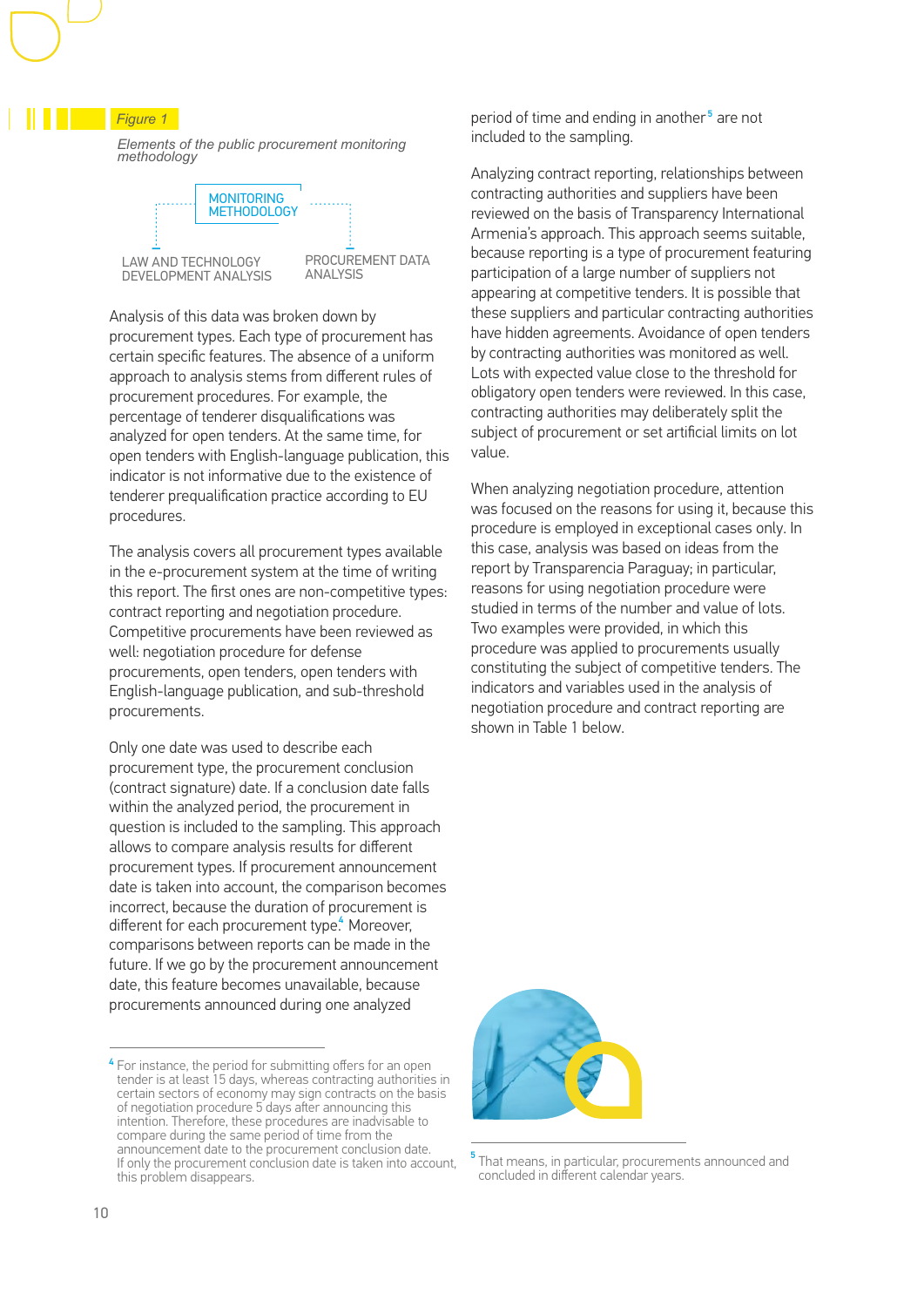*Figure 1* 

 *Elements of the public procurement monitoring methodology*



PROCUREMENT DATA

Analysis of this data was broken down by procurement types. Each type of procurement has certain specific features. The absence of a uniform approach to analysis stems from different rules of procurement procedures. For example, the percentage of tenderer disqualifications was analyzed for open tenders. At the same time, for open tenders with English-language publication, this indicator is not informative due to the existence of tenderer prequalification practice according to EU procedures.

The analysis covers all procurement types available in the e-procurement system at the time of writing this report. The first ones are non-competitive types: contract reporting and negotiation procedure. Competitive procurements have been reviewed as well: negotiation procedure for defense procurements, open tenders, open tenders with English-language publication, and sub-threshold procurements.

Only one date was used to describe each procurement type, the procurement conclusion (contract signature) date. If a conclusion date falls within the analyzed period, the procurement іn question is included to the sampling. This approach allows to compare analysis results for different procurement types. If procurement announcement date is taken into account, the comparison becomes incorrect, because the duration of procurement is different for each procurement type.<sup>4</sup> Moreover, comparisons between reports can be made in the future. If we go by the procurement announcement date, this feature becomes unavailable, because procurements announced during one analyzed

period of time and ending in another<sup>5</sup> are not included to the sampling.

Analyzing contract reporting, relationships between contracting authorities and suppliers have been reviewed on the basis of Transparency International Armenia's approach. This approach seems suitable, because reporting is a type of procurement featuring participation of a large number of suppliers not appearing at competitive tenders. It is possible that these suppliers and particular contracting authorities have hidden agreements. Avoidance of open tenders by contracting authorities was monitored as well. Lots with expected value close to the threshold for obligatory open tenders were reviewed. In this case, contracting authorities may deliberately split the subject of procurement or set artificial limits on lot value.

When analyzing negotiation procedure, attention was focused on the reasons for using it, because this procedure is employed in exceptional cases only. In this case, analysis was based on ideas from the report by Transparencia Paraguay; in particular, reasons for using negotiation procedure were studied in terms of the number and value of lots. Two examples were provided, in which this procedure was applied to procurements usually constituting the subject of competitive tenders. The indicators and variables used in the analysis of negotiation procedure and contract reporting are shown in Table 1 below.



<sup>&</sup>lt;sup>5</sup> That means, in particular, procurements announced and concluded in different calendar years.

<sup>&</sup>lt;sup>4</sup> For instance, the period for submitting offers for an open tender is at least 15 days, whereas contracting authorities in certain sectors of economy may sign contracts on the basis of negotiation procedure 5 days after announcing this intention. Therefore, these procedures are inadvisable to compare during the same period of time from the announcement date to the procurement conclusion date. If only the procurement conclusion date is taken into account, this problem disappears.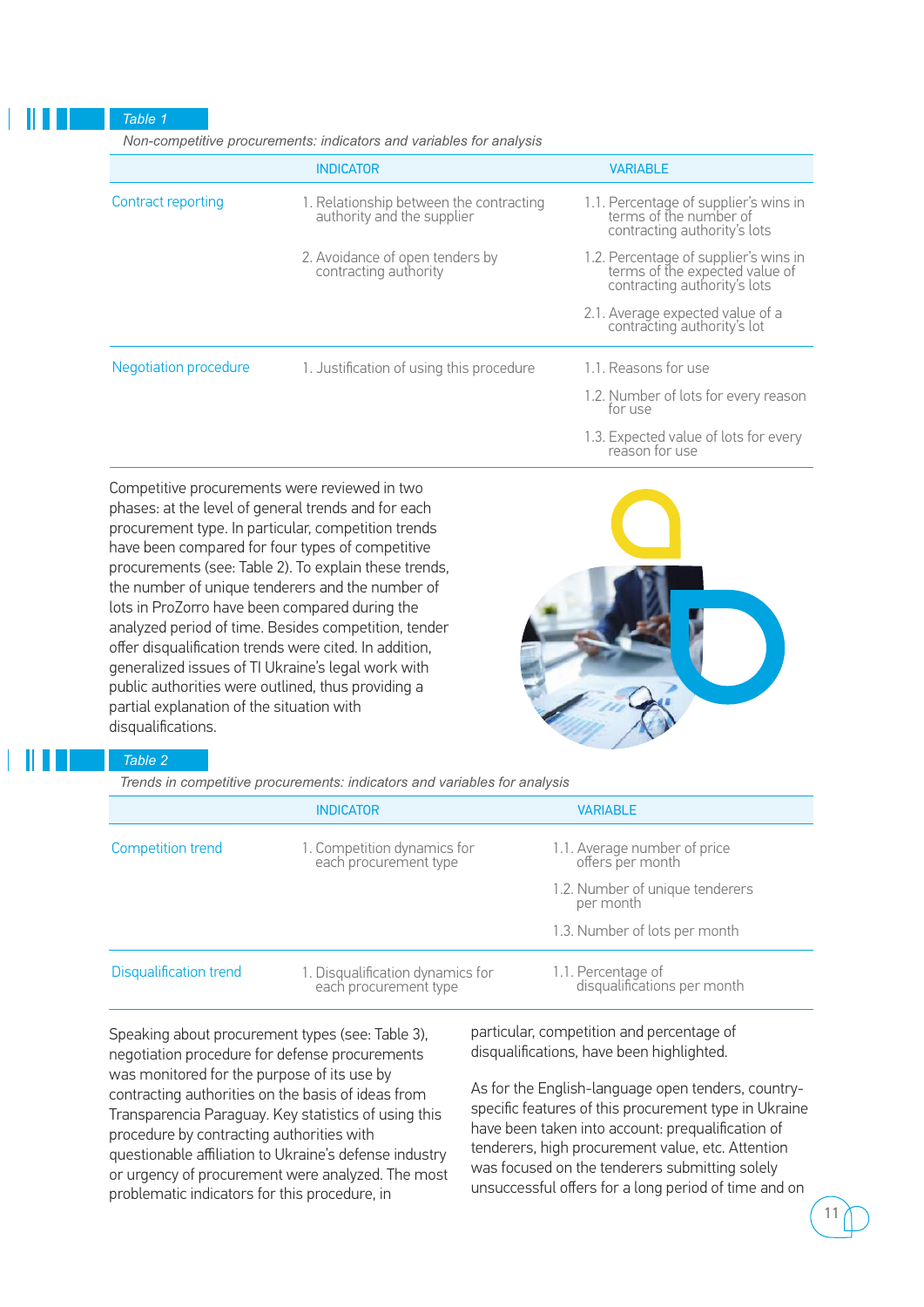#### *Table 1*

 *Non-competitive procurements: indicators and variables for analysis*

|                       | <b>INDICATOR</b>                                                      | <b>VARIABLE</b>                                                                                         |
|-----------------------|-----------------------------------------------------------------------|---------------------------------------------------------------------------------------------------------|
| Contract reporting    | 1. Relationship between the contracting<br>authority and the supplier | 1.1. Percentage of supplier's wins in<br>terms of the number of<br>contracting authority's lots         |
|                       | 2. Avoidance of open tenders by<br>contracting authority              | 1.2. Percentage of supplier's wins in<br>terms of the expected value of<br>contracting authority's lots |
|                       |                                                                       | 2.1. Average expected value of a<br>contracting authority's lot                                         |
| Negotiation procedure | 1. Justification of using this procedure                              | 1.1. Reasons for use                                                                                    |
|                       |                                                                       | 1.2. Number of lots for every reason<br>for use                                                         |
|                       |                                                                       | 1.3. Expected value of lots for every                                                                   |

1.3. Expected value of lots for every reason for use

Competitive procurements were reviewed in two phases: at the level of general trends and for each procurement type. In particular, competition trends have been compared for four types of competitive procurements (see: Table 2). To explain these trends, the number of unique tenderers and the number of lots in ProZorro have been compared during the analyzed period of time. Besides competition, tender offer disqualification trends were cited. In addition, generalized issues of TI Ukraine's legal work with public authorities were outlined, thus providing a partial explanation of the situation with disqualifications.



### *Table 2*

 *Trends in competitive procurements: indicators and variables for analysis*

|                               | <b>INDICATOR</b>                                          | <b>VARIABLE</b>                                   |
|-------------------------------|-----------------------------------------------------------|---------------------------------------------------|
| <b>Competition trend</b>      | 1. Competition dynamics for<br>each procurement type      | 1.1. Average number of price<br>offers per month  |
|                               |                                                           | 1.2. Number of unique tenderers<br>per month      |
|                               |                                                           | 1.3. Number of lots per month                     |
| <b>Disqualification trend</b> | 1. Disqualification dynamics for<br>each procurement type | 1.1. Percentage of<br>disqualifications per month |

Speaking about procurement types (see: Table 3), negotiation procedure for defense procurements was monitored for the purpose of its use by contracting authorities on the basis of ideas from Transparencia Paraguay. Key statistics of using this procedure by contracting authorities with questionable affiliation to Ukraine's defense industry or urgency of procurement were analyzed. The most problematic indicators for this procedure, in

particular, competition and percentage of disqualifications, have been highlighted.

As for the English-language open tenders, countryspecific features of this procurement type in Ukraine have been taken into account: prequalification of tenderers, high procurement value, etc. Attention was focused on the tenderers submitting solely unsuccessful offers for a long period of time and on

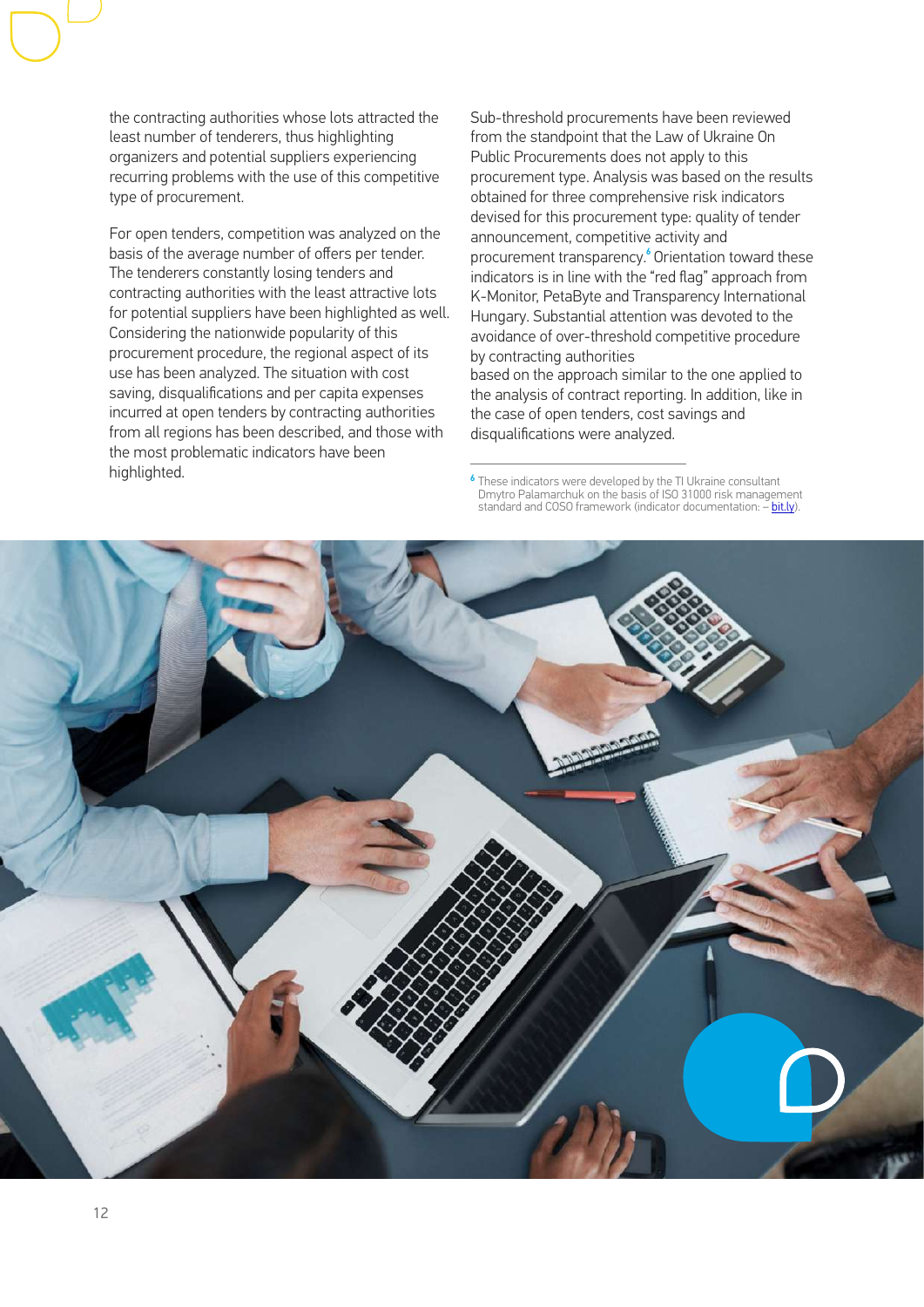the contracting authorities whose lots attracted the least number of tenderers, thus highlighting organizers and potential suppliers experiencing recurring problems with the use of this competitive type of procurement.

For open tenders, competition was analyzed on the basis of the average number of offers per tender. The tenderers constantly losing tenders and contracting authorities with the least attractive lots for potential suppliers have been highlighted as well. Considering the nationwide popularity of this procurement procedure, the regional aspect of its use has been analyzed. The situation with cost saving, disqualifications and per capita expenses incurred at open tenders by contracting authorities from all regions has been described, and those with the most problematic indicators have been highlighted.

Sub-threshold procurements have been reviewed from the standpoint that the Law of Ukraine On Public Procurements does not apply to this procurement type. Analysis was based on the results obtained for three comprehensive risk indicators devised for this procurement type: quality of tender announcement, competitive activity and procurement transparency.<sup>6</sup> Orientation toward these indicators is in line with the "red flag" approach from K-Monitor, PetaByte and Transparency International Hungary. Substantial attention was devoted to the avoidance of over-threshold competitive procedure by contracting authorities based on the approach similar to the one applied to the analysis of contract reporting. In addition, like in the case of open tenders, cost savings and disqualifications were analyzed.

These indicators were developed by the TI Ukraine consultant Dmytro Palamarchuk on the basis of ISO 31000 risk management standard and COSO framework (indicator documentation: – [bit.ly](http://bit.ly/2owOxcT)).



6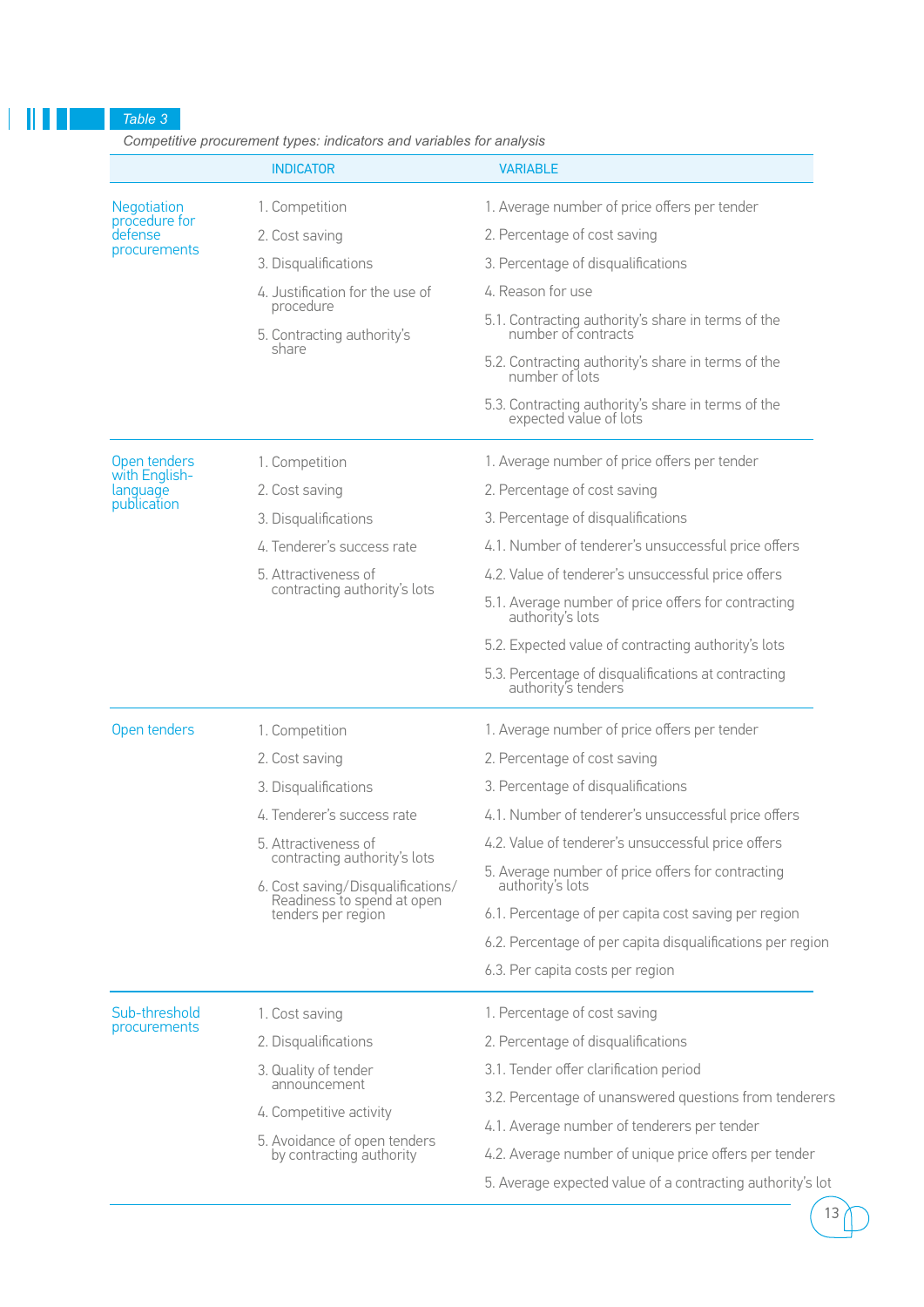*Table 3* 

۷

 *Competitive procurement types: indicators and variables for analysis*

|                           | <b>INDICATOR</b>                                                | <b>VARIABLE</b>                                                            |
|---------------------------|-----------------------------------------------------------------|----------------------------------------------------------------------------|
| Negotiation               | 1. Competition                                                  | 1. Average number of price offers per tender                               |
| procedure for<br>defense  | 2. Cost saving                                                  | 2. Percentage of cost saving                                               |
| procurements              | 3. Disqualifications                                            | 3. Percentage of disqualifications                                         |
|                           | 4. Justification for the use of                                 | 4. Reason for use                                                          |
|                           | procedure<br>5. Contracting authority's                         | 5.1. Contracting authority's share in terms of the<br>number of contracts  |
|                           | share                                                           | 5.2. Contracting authority's share in terms of the<br>number of lots       |
|                           |                                                                 | 5.3. Contracting authority's share in terms of the expected value of lots  |
| Open tenders              | 1. Competition                                                  | 1. Average number of price offers per tender                               |
| with English-<br>language | 2. Cost saving                                                  | 2. Percentage of cost saving                                               |
| publication               | 3. Disqualifications                                            | 3. Percentage of disqualifications                                         |
|                           | 4. Tenderer's success rate                                      | 4.1. Number of tenderer's unsuccessful price offers                        |
|                           | 5. Attractiveness of                                            | 4.2. Value of tenderer's unsuccessful price offers                         |
|                           | contracting authority's lots                                    | 5.1. Average number of price offers for contracting<br>authority's lots    |
|                           |                                                                 | 5.2. Expected value of contracting authority's lots                        |
|                           |                                                                 | 5.3. Percentage of disqualifications at contracting<br>authority's tenders |
| Open tenders              | 1. Competition                                                  | 1. Average number of price offers per tender                               |
|                           | 2. Cost saving                                                  | 2. Percentage of cost saving                                               |
|                           | 3. Disqualifications                                            | 3. Percentage of disqualifications                                         |
|                           | 4. Tenderer's success rate                                      | 4.1. Number of tenderer's unsuccessful price offers                        |
|                           | 5. Attractiveness of<br>contracting authority's lots            | 4.2. Value of tenderer's unsuccessful price offers                         |
|                           | 6. Cost saving/Disqualifications/<br>Readiness to spend at open | 5. Average number of price offers for contracting<br>authority's lots      |
|                           | tenders per region                                              | 6.1. Percentage of per capita cost saving per region                       |
|                           |                                                                 | 6.2. Percentage of per capita disqualifications per region                 |
|                           |                                                                 | 6.3. Per capita costs per region                                           |
| Sub-threshold             | 1. Cost saving                                                  | 1. Percentage of cost saving                                               |
| procurements              | 2. Disqualifications                                            | 2. Percentage of disqualifications                                         |
|                           | 3. Quality of tender                                            | 3.1. Tender offer clarification period                                     |
|                           | announcement                                                    | 3.2. Percentage of unanswered questions from tenderers                     |
|                           | 4. Competitive activity                                         | 4.1. Average number of tenderers per tender                                |
|                           | 5. Avoidance of open tenders<br>by contracting authority        | 4.2. Average number of unique price offers per tender                      |
|                           |                                                                 | 5. Average expected value of a contracting authority's lot                 |

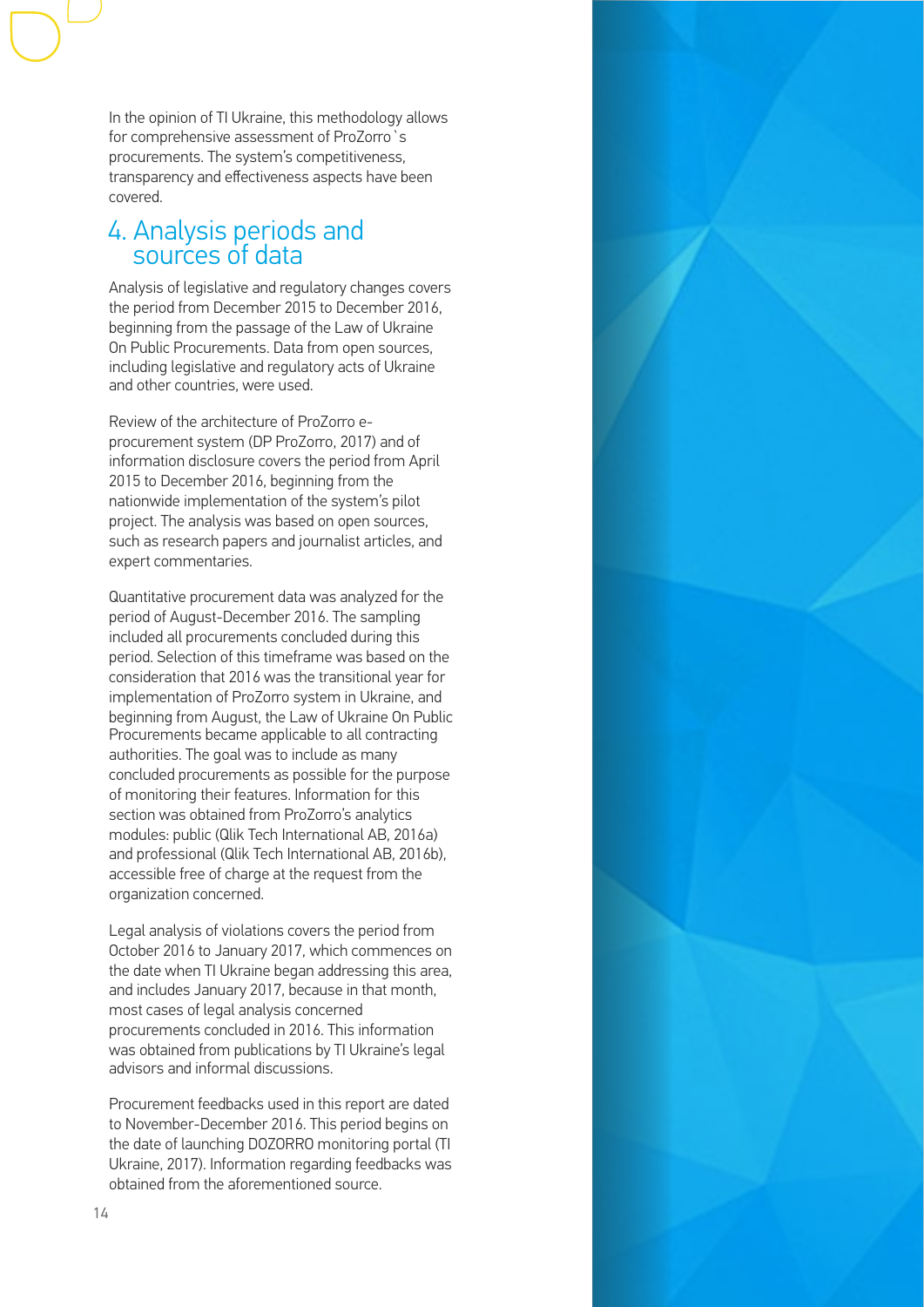In the opinion of TI Ukraine, this methodology allows for comprehensive assessment of ProZorro`s procurements. The system's competitiveness, transparency and effectiveness aspects have been covered.

### 4. Analysis periods and sources of data

Analysis of legislative and regulatory changes covers the period from December 2015 to December 2016, beginning from the passage of the Law of Ukraine On Public Procurements. Data from open sources, including legislative and regulatory acts of Ukraine and other countries, were used.

Review of the architecture of ProZorro eprocurement system (DP ProZorro, 2017) and of information disclosure covers the period from April 2015 to December 2016, beginning from the nationwide implementation of the system's pilot project. The analysis was based on open sources, such as research papers and journalist articles, and expert commentaries.

Quantitative procurement data was analyzed for the period of August-December 2016. The sampling included all procurements concluded during this period. Selection of this timeframe was based on the consideration that 2016 was the transitional year for implementation of ProZorro system in Ukraine, and beginning from August, the Law of Ukraine On Public Procurements became applicable to all contracting authorities. The goal was to include as many concluded procurements as possible for the purpose of monitoring their features. Information for this section was obtained from ProZorro's analytics modules: public (Qlik Tech International AB, 2016a) and professional (Qlik Tech International AB, 2016b), accessible free of charge at the request from the organization concerned.

Legal analysis of violations covers the period from October 2016 to January 2017, which commences on the date when TI Ukraine began addressing this area, and includes January 2017, because in that month, most cases of legal analysis concerned procurements concluded in 2016. This information was obtained from publications by TI Ukraine's legal advisors and informal discussions.

Procurement feedbacks used in this report are dated to November-December 2016. This period begins on the date of launching DOZORRO monitoring portal (TI Ukraine, 2017). Information regarding feedbacks was obtained from the aforementioned source.

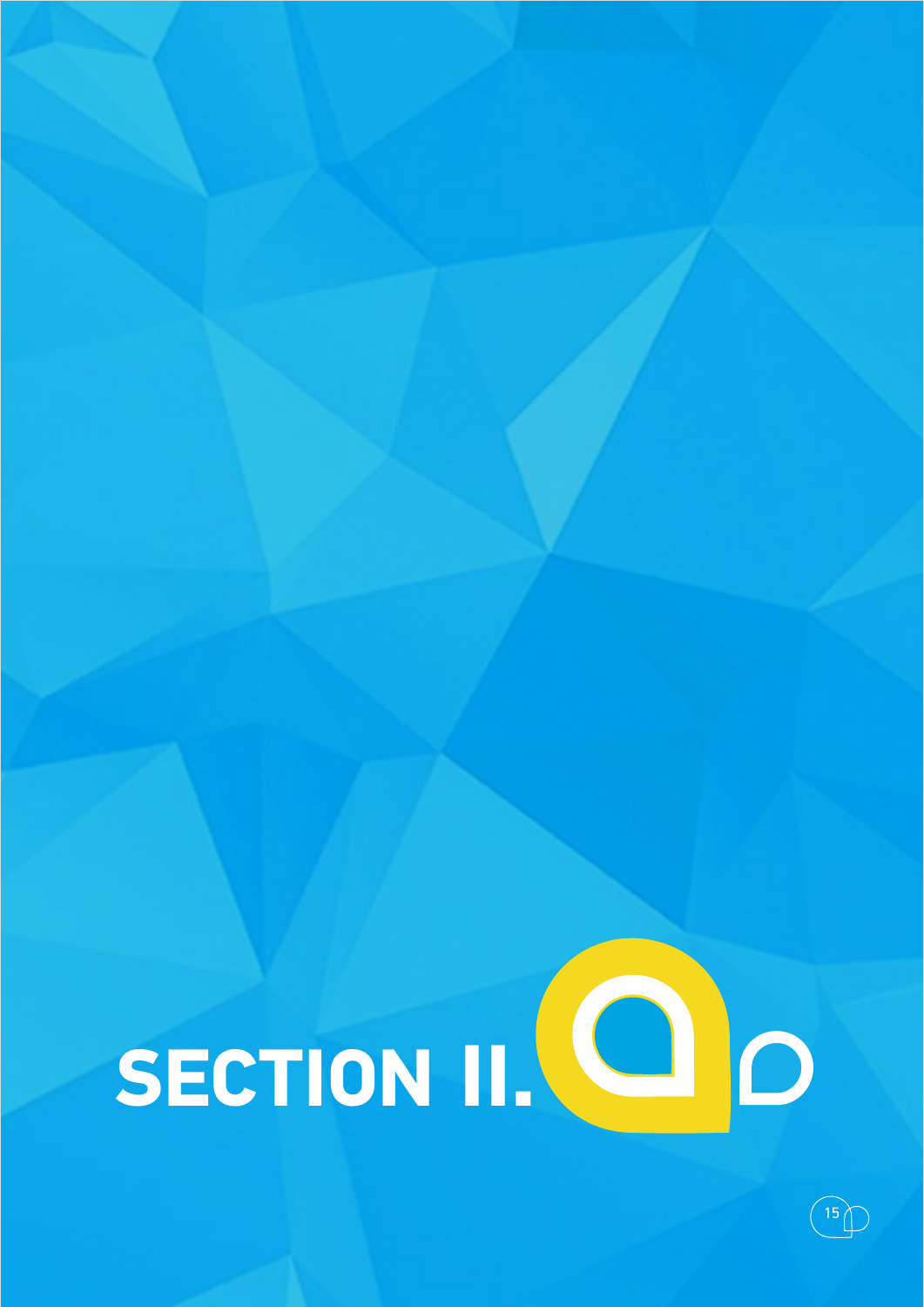

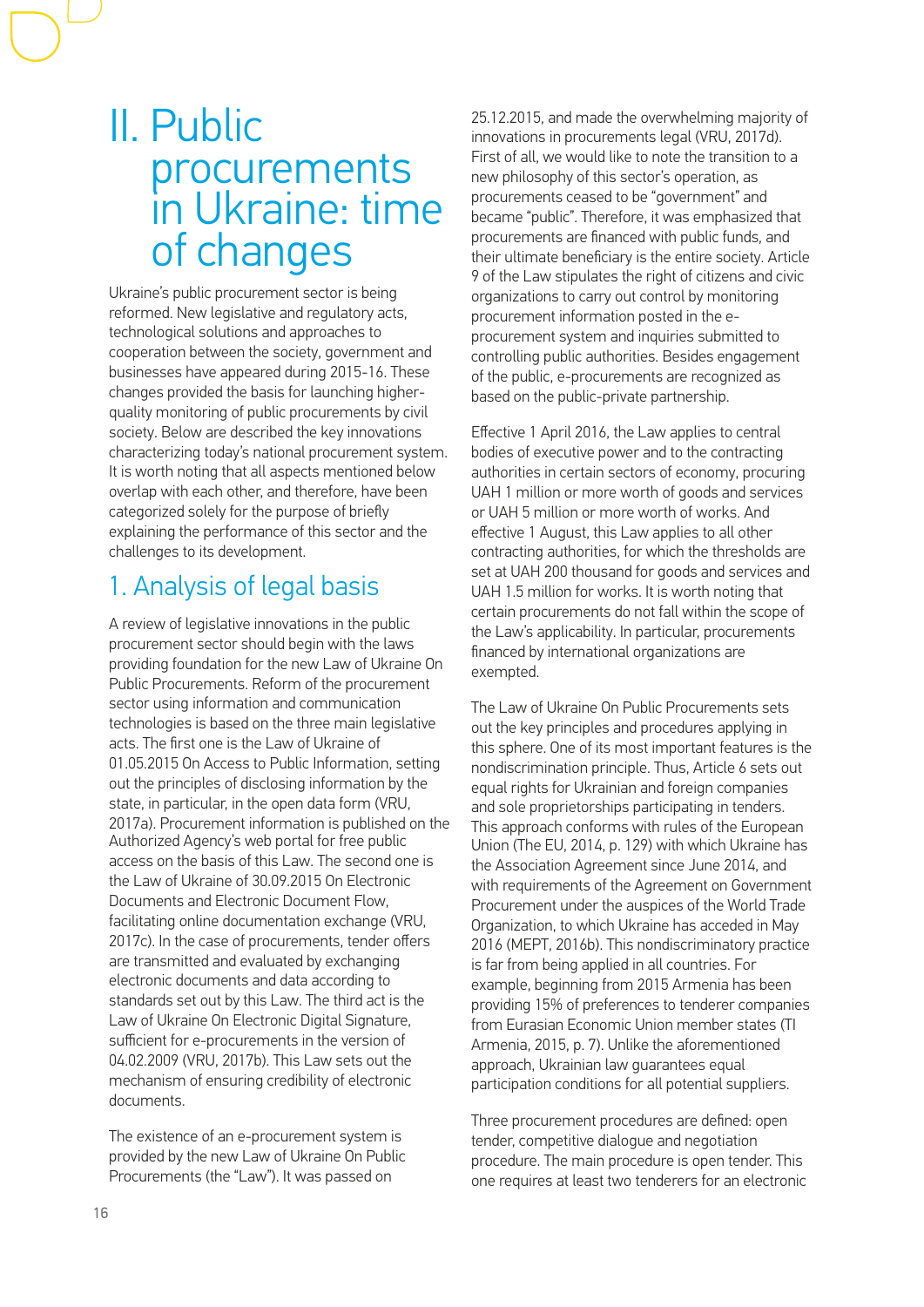### II. Public procurements in Ukraine: time of changes

Ukraine's public procurement sector is being reformed. New legislative and regulatory acts, technological solutions and approaches to cooperation between the society, government and businesses have appeared during 2015-16. These changes provided the basis for launching higherquality monitoring of public procurements by civil society. Below are described the key innovations characterizing today's national procurement system. It is worth noting that all aspects mentioned below overlap with each other, and therefore, have been categorized solely for the purpose of briefly explaining the performance of this sector and the challenges to its development.

### 1. Analysis of legal basis

A review of legislative innovations in the public procurement sector should begin with the laws providing foundation for the new Law of Ukraine On Public Procurements. Reform of the procurement sector using information and communication technologies is based on the three main legislative acts. The first one is the Law of Ukraine of 01.05.2015 On Access to Public Information, setting out the principles of disclosing information by the state, in particular, in the open data form (VRU, 2017а). Procurement information is published on the Authorized Agency's web portal for free public access on the basis of this Law. The second one is the Law of Ukraine of 30.09.2015 On Electronic Documents and Electronic Document Flow, facilitating online documentation exchange (VRU, 2017с). In the case of procurements, tender offers are transmitted and evaluated by exchanging electronic documents and data according to standards set out by this Law. The third act is the Law of Ukraine On Electronic Digital Signature, sufficient for e-procurements in the version of 04.02.2009 (VRU, 2017b). This Law sets out the mechanism of ensuring credibility of electronic documents.

The existence of an e-procurement system is provided by the new Law of Ukraine On Public Procurements (the "Law"). It was passed on

25.12.2015, and made the overwhelming majority of innovations in procurements legal (VRU, 2017d). First of all, we would like to note the transition to a new philosophy of this sector's operation, as procurements ceased to be "government" and became "public". Therefore, it was emphasized that procurements are financed with public funds, and their ultimate beneficiary is the entire society. Article 9 of the Law stipulates the right of citizens and civic organizations to carry out control by monitoring procurement information posted in the eprocurement system and inquiries submitted to controlling public authorities. Besides engagement of the public, e-procurements are recognized as based on the public-private partnership.

Effective 1 April 2016, the Law applies to central bodies of executive power and to the contracting authorities in certain sectors of economy, procuring UAH 1 million or more worth of goods and services or UAH 5 million or more worth of works. And effective 1 August, this Law applies to all other contracting authorities, for which the thresholds are set at UAH 200 thousand for goods and services and UAH 1.5 million for works. It is worth noting that certain procurements do not fall within the scope of the Law's applicability. In particular, procurements financed by international organizations are exempted.

The Law of Ukraine On Public Procurements sets out the key principles and procedures applying in this sphere. One of its most important features is the nondiscrimination principle. Thus, Article 6 sets out equal rights for Ukrainian and foreign companies and sole proprietorships participating in tenders. This approach conforms with rules of the European Union (The EU, 2014, p. 129) with which Ukraine has the Association Agreement since June 2014, and with requirements of the Agreement on Government Procurement under the auspices of the World Trade Organization, to which Ukraine has acceded in May 2016 (МЕРТ, 2016b). This nondiscriminatory practice is far from being applied in all countries. For example, beginning from 2015 Armenia has been providing 15% of preferences to tenderer companies from Eurasian Economic Union member states (TI Armenia, 2015, p. 7). Unlike the aforementioned approach, Ukrainian law guarantees equal participation conditions for all potential suppliers.

Three procurement procedures are defined: open tender, competitive dialogue and negotiation procedure. The main procedure is open tender. This one requires at least two tenderers for an electronic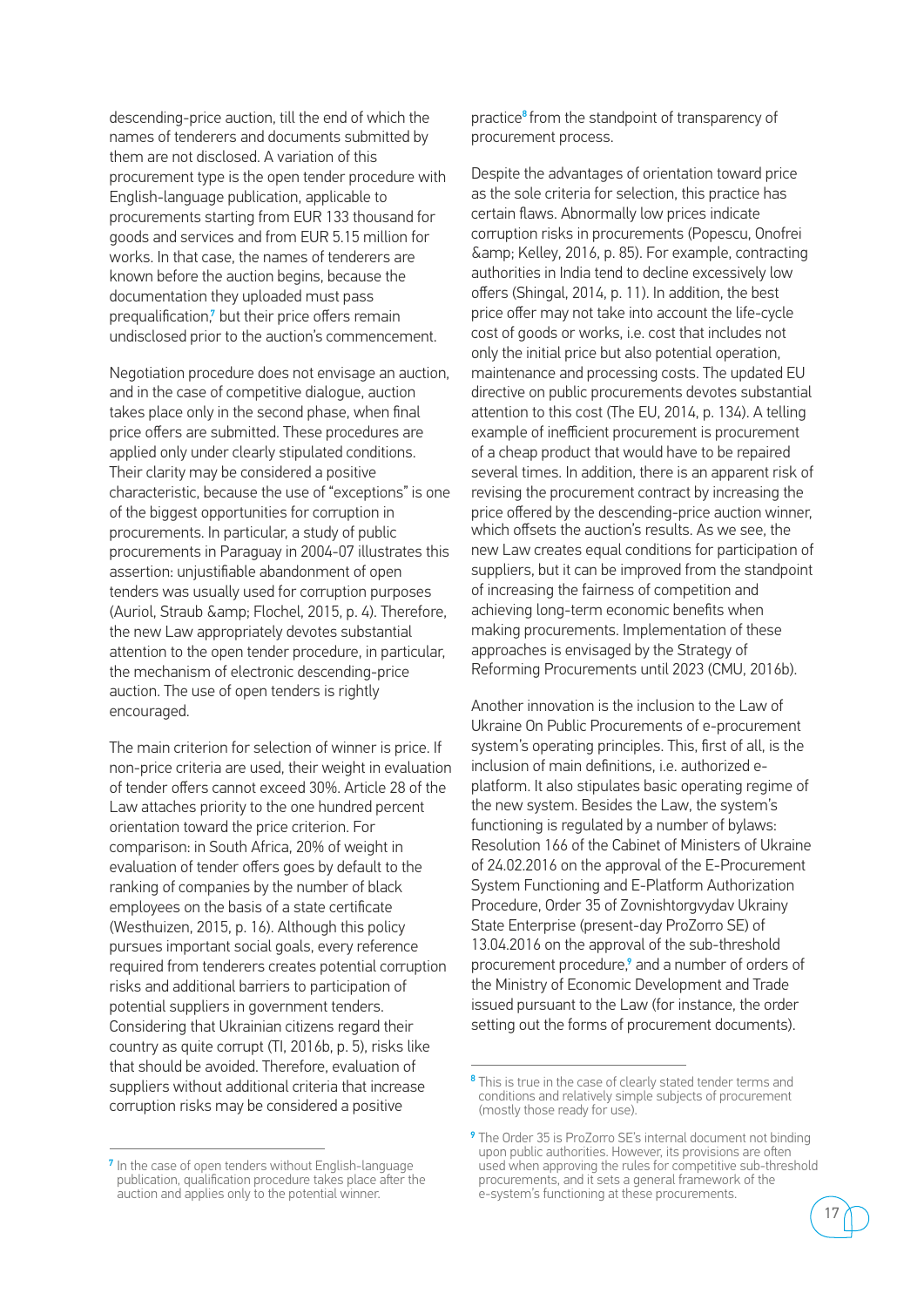descending-price auction, till the end of which the names of tenderers and documents submitted by them are not disclosed. A variation of this procurement type is the open tender procedure with English-language publication, applicable to procurements starting from EUR 133 thousand for goods and services and from EUR 5.15 million for works. In that case, the names of tenderers are known before the auction begins, because the documentation they uploaded must pass prequalification,<sup>7</sup> but their price offers remain undisclosed prior to the auction's commencement.

Negotiation procedure does not envisage an auction, and in the case of competitive dialogue, auction takes place only in the second phase, when final price offers are submitted. These procedures are applied only under clearly stipulated conditions. Their clarity may be considered a positive characteristic, because the use of "exceptions" is one of the biggest opportunities for corruption in procurements. In particular, a study of public procurements in Paraguay in 2004-07 illustrates this assertion: unjustifiable abandonment of open tenders was usually used for corruption purposes (Auriol, Straub & amp; Flochel, 2015, p. 4). Therefore, the new Law appropriately devotes substantial attention to the open tender procedure, in particular, the mechanism of electronic descending-price auction. The use of open tenders is rightly encouraged.

The main criterion for selection of winner is price. If non-price criteria are used, their weight in evaluation of tender offers cannot exceed 30%. Article 28 of the Law attaches priority to the one hundred percent orientation toward the price criterion. For comparison: in South Africa, 20% of weight in evaluation of tender offers goes by default to the ranking of companies by the number of black employees on the basis of a state certificate (Westhuizen, 2015, p. 16). Although this policy pursues important social goals, every reference required from tenderers creates potential corruption risks and additional barriers to participation of potential suppliers in government tenders. Considering that Ukrainian citizens regard their country as quite corrupt (TI, 2016b, p. 5), risks like that should be avoided. Therefore, evaluation of suppliers without additional criteria that increase corruption risks may be considered a positive

<sup>7</sup> In the case of open tenders without English-language publication, qualification procedure takes place after the auction and applies only to the potential winner.

practice<sup>8</sup> from the standpoint of transparency of procurement process.

Despite the advantages of orientation toward price as the sole criteria for selection, this practice has certain flaws. Abnormally low prices indicate corruption risks in procurements (Popescu, Onofrei  $\&$ amp: Kelley, 2016, p. 85). For example, contracting authorities in India tend to decline excessively low offers (Shingal, 2014, p. 11). In addition, the best price offer may not take into account the life-cycle cost of goods or works, i.e. cost that includes not only the initial price but also potential operation, maintenance and processing costs. The updated EU directive on public procurements devotes substantial attention to this cost (The EU, 2014, p. 134). A telling example of inefficient procurement is procurement of a cheap product that would have to be repaired several times. In addition, there is an apparent risk of revising the procurement contract by increasing the price offered by the descending-price auction winner, which offsets the auction's results. As we see, the new Law creates equal conditions for participation of suppliers, but it can be improved from the standpoint of increasing the fairness of competition and achieving long-term economic benefits when making procurements. Implementation of these approaches is envisaged by the Strategy of Reforming Procurements until 2023 (CMU, 2016b).

Another innovation is the inclusion to the Law of Ukraine On Public Procurements of e-procurement system's operating principles. This, first of all, is the inclusion of main definitions, i.e. authorized eplatform. It also stipulates basic operating regime of the new system. Besides the Law, the system's functioning is regulated by a number of bylaws: Resolution 166 of the Cabinet of Ministers of Ukraine of 24.02.2016 on the approval of the E-Procurement System Functioning and E-Platform Authorization Procedure, Order 35 of Zovnishtorgvydav Ukrainy State Enterprise (present-day ProZorro SE) of 13.04.2016 on the approval of the sub-threshold procurement procedure,<sup>9</sup> and a number of orders of the Ministry of Economic Development and Trade issued pursuant to the Law (for instance, the order setting out the forms of procurement documents).

<sup>&</sup>lt;sup>9</sup> The Order 35 is ProZorro SE's internal document not binding upon public authorities. However, its provisions are often used when approving the rules for competitive sub-threshold procurements, and it sets a general framework of the e-system's functioning at these procurements.



<sup>&</sup>lt;sup>8</sup> This is true in the case of clearly stated tender terms and conditions and relatively simple subjects of procurement (mostly those ready for use).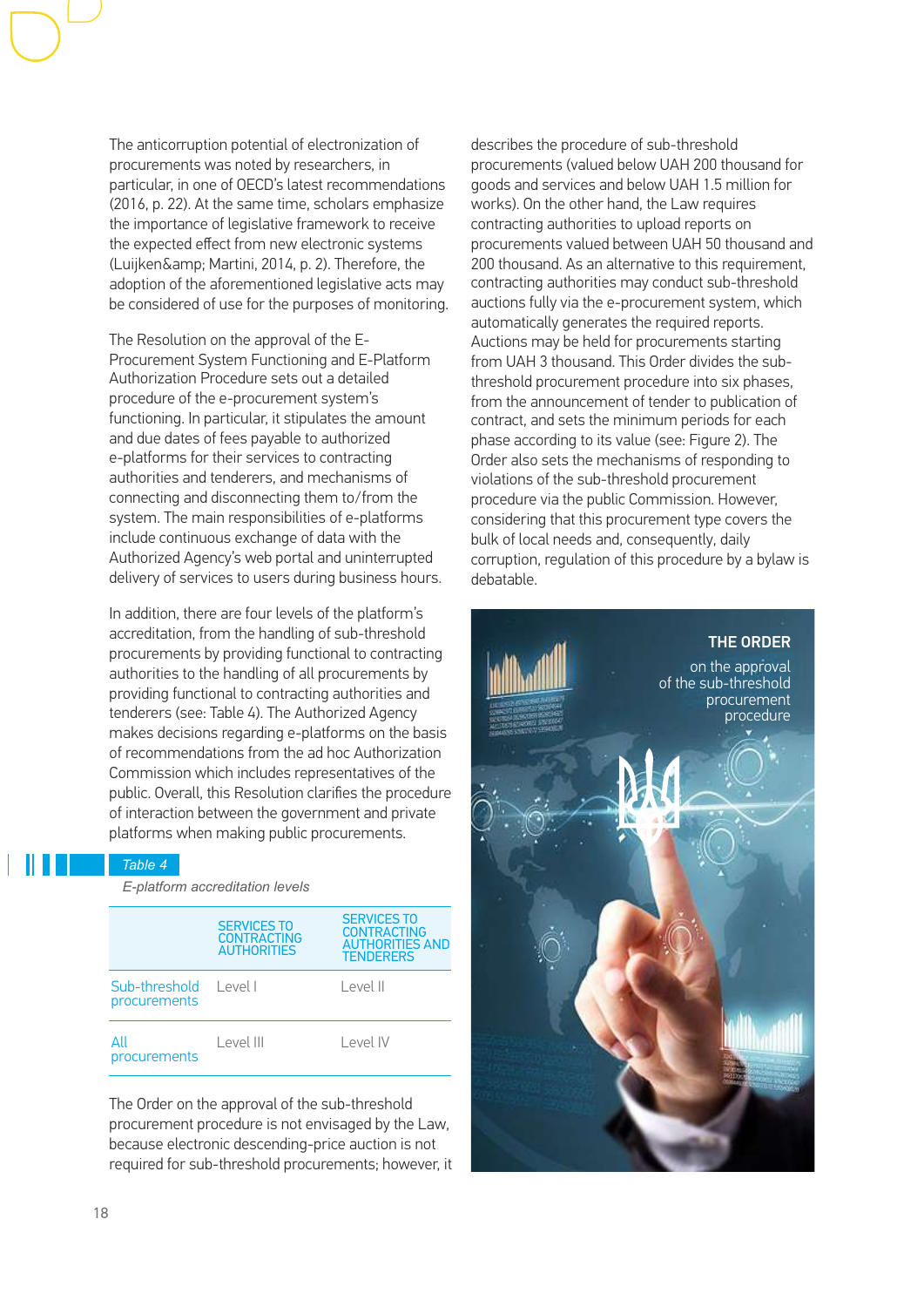The anticorruption potential of electronization of procurements was noted by researchers, in particular, in one of OECD's latest recommendations (2016, p. 22). At the same time, scholars emphasize the importance of legislative framework to receive the expected effect from new electronic systems (Luijken& Martini, 2014, p. 2). Therefore, the adoption of the aforementioned legislative acts may be considered of use for the purposes of monitoring.

The Resolution on the approval of the E-Procurement System Functioning and E-Platform Authorization Procedure sets out a detailed procedure of the e-procurement system's functioning. In particular, it stipulates the amount and due dates of fees payable to authorized e-platforms for their services to contracting authorities and tenderers, and mechanisms of connecting and disconnecting them to/from the system. The main responsibilities of e-platforms include continuous exchange of data with the Authorized Agency's web portal and uninterrupted delivery of services to users during business hours.

In addition, there are four levels of the platform's accreditation, from the handling of sub-threshold procurements by providing functional to contracting authorities to the handling of all procurements by providing functional to contracting authorities and tenderers (see: Table 4). The Authorized Agency makes decisions regarding e-platforms on the basis of recommendations from the ad hoc Authorization Commission which includes representatives of the public. Overall, this Resolution clarifies the procedure of interaction between the government and private platforms when making public procurements.

### *Table 4*

 *E-platform accreditation levels*

|                                       | <b>SERVICES TO</b><br><b>CONTRACTING</b><br><b>AUTHORITIES</b> | <b>SERVICES TO</b><br><b>CONTRACTING</b><br><b>AUTHORITIES AND</b><br><b>TFNDFRFRS</b> |  |
|---------------------------------------|----------------------------------------------------------------|----------------------------------------------------------------------------------------|--|
| Sub-threshold Level L<br>procurements |                                                                | $ $ evel $ $                                                                           |  |
| Αll<br>procurements                   | Level III                                                      | Level IV                                                                               |  |

The Order on the approval of the sub-threshold procurement procedure is not envisaged by the Law, because electronic descending-price auction is not required for sub-threshold procurements; however, it

describes the procedure of sub-threshold procurements (valued below UAH 200 thousand for goods and services and below UAH 1.5 million for works). On the other hand, the Law requires contracting authorities to upload reports on procurements valued between UAH 50 thousand and 200 thousand. As an alternative to this requirement, contracting authorities may conduct sub-threshold auctions fully via the e-procurement system, which automatically generates the required reports. Auctions may be held for procurements starting from UAH 3 thousand. This Order divides the subthreshold procurement procedure into six phases, from the announcement of tender to publication of contract, and sets the minimum periods for each phase according to its value (see: Figure 2). The Order also sets the mechanisms of responding to violations of the sub-threshold procurement procedure via the public Commission. However, considering that this procurement type covers the bulk of local needs and, consequently, daily corruption, regulation of this procedure by a bylaw is debatable.

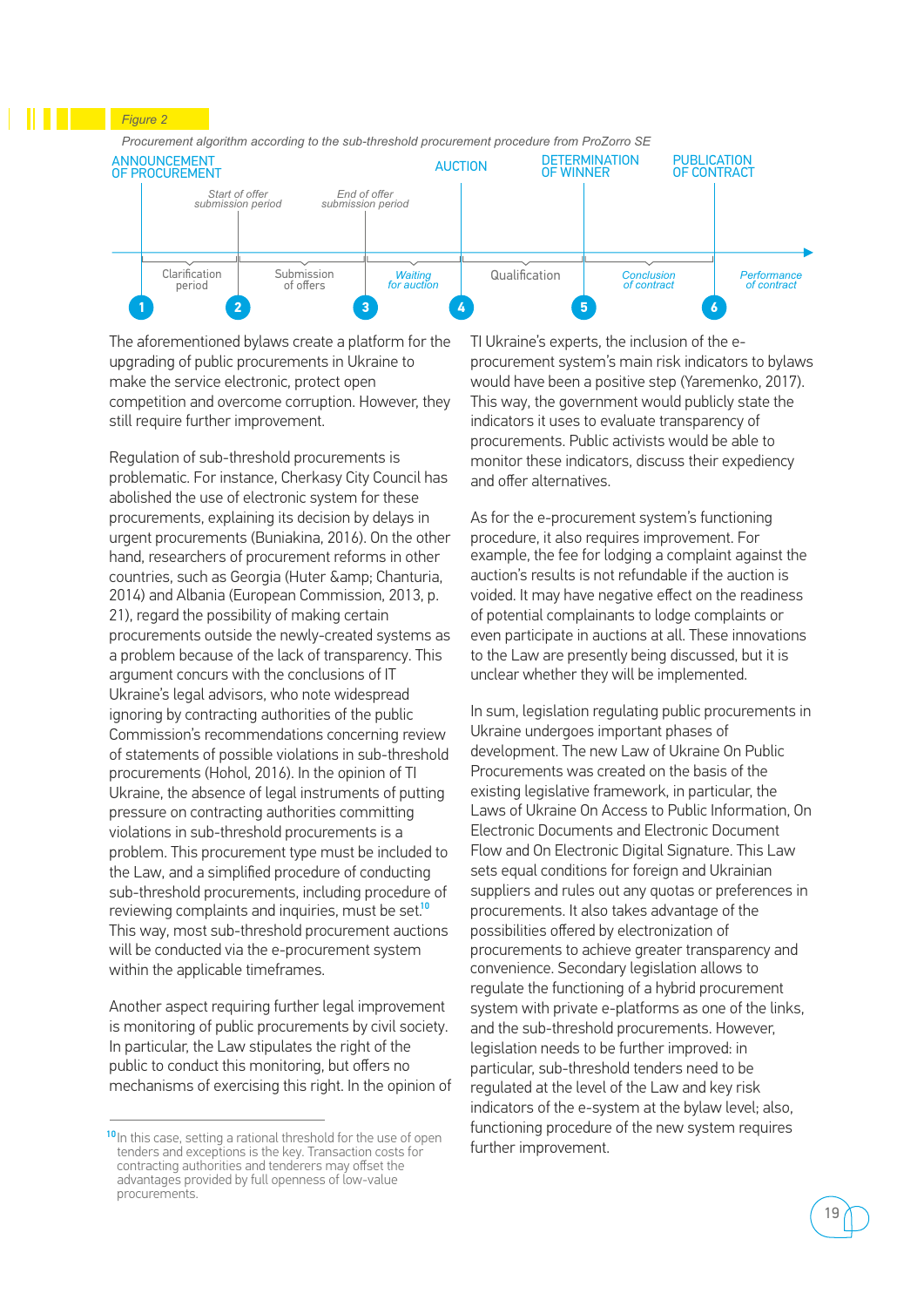

The aforementioned bylaws create a platform for the upgrading of public procurements in Ukraine to make the service electronic, protect open competition and overcome corruption. However, they still require further improvement.

Regulation of sub-threshold procurements is problematic. For instance, Cherkasy City Council has abolished the use of electronic system for these procurements, explaining its decision by delays in urgent procurements (Buniakina, 2016). On the other hand, researchers of procurement reforms in other countries, such as Georgia (Huter & amp; Chanturia, 2014) and Albania (European Commission, 2013, p. 21), regard the possibility of making certain procurements outside the newly-created systems as a problem because of the lack of transparency. This argument concurs with the conclusions of IT Ukraine's legal advisors, who note widespread ignoring by contracting authorities of the public Commission's recommendations concerning review of statements of possible violations in sub-threshold procurements (Hohol, 2016). In the opinion of TI Ukraine, the absence of legal instruments of putting pressure on contracting authorities committing violations in sub-threshold procurements is a problem. This procurement type must be included to the Law, and a simplified procedure of conducting sub-threshold procurements, including procedure of reviewing complaints and inquiries, must be set.<sup>10</sup> This way, most sub-threshold procurement auctions will be conducted via the e-procurement system within the applicable timeframes.

Another aspect requiring further legal improvement is monitoring of public procurements by civil society. In particular, the Law stipulates the right of the public to conduct this monitoring, but offers no mechanisms of exercising this right. In the opinion of TI Ukraine's experts, the inclusion of the eprocurement system's main risk indicators to bylaws would have been a positive step (Yaremenko, 2017). This way, the government would publicly state the indicators it uses to evaluate transparency of procurements. Public activists would be able to monitor these indicators, discuss their expediency and offer alternatives.

As for the e-procurement system's functioning procedure, it also requires improvement. For example, the fee for lodging a complaint against the auction's results is not refundable if the auction is voided. It may have negative effect on the readiness of potential complainants to lodge complaints or even participate in auctions at all. These innovations to the Law are presently being discussed, but it is unclear whether they will be implemented.

In sum, legislation regulating public procurements in Ukraine undergoes important phases of development. The new Law of Ukraine On Public Procurements was created on the basis of the existing legislative framework, in particular, the Laws of Ukraine On Access to Public Information, On Electronic Documents and Electronic Document Flow and On Electronic Digital Signature. This Law sets equal conditions for foreign and Ukrainian suppliers and rules out any quotas or preferences in procurements. It also takes advantage of the possibilities offered by electronization of procurements to achieve greater transparency and convenience. Secondary legislation allows to regulate the functioning of a hybrid procurement system with private e-platforms as one of the links, and the sub-threshold procurements. However, legislation needs to be further improved: in particular, sub-threshold tenders need to be regulated at the level of the Law and key risk indicators of the e-system at the bylaw level; also, functioning procedure of the new system requires further improvement.

<sup>&</sup>lt;sup>10</sup> In this case, setting a rational threshold for the use of open tenders and exceptions is the key. Transaction costs for contracting authorities and tenderers may offset the advantages provided by full openness of low-value procurements.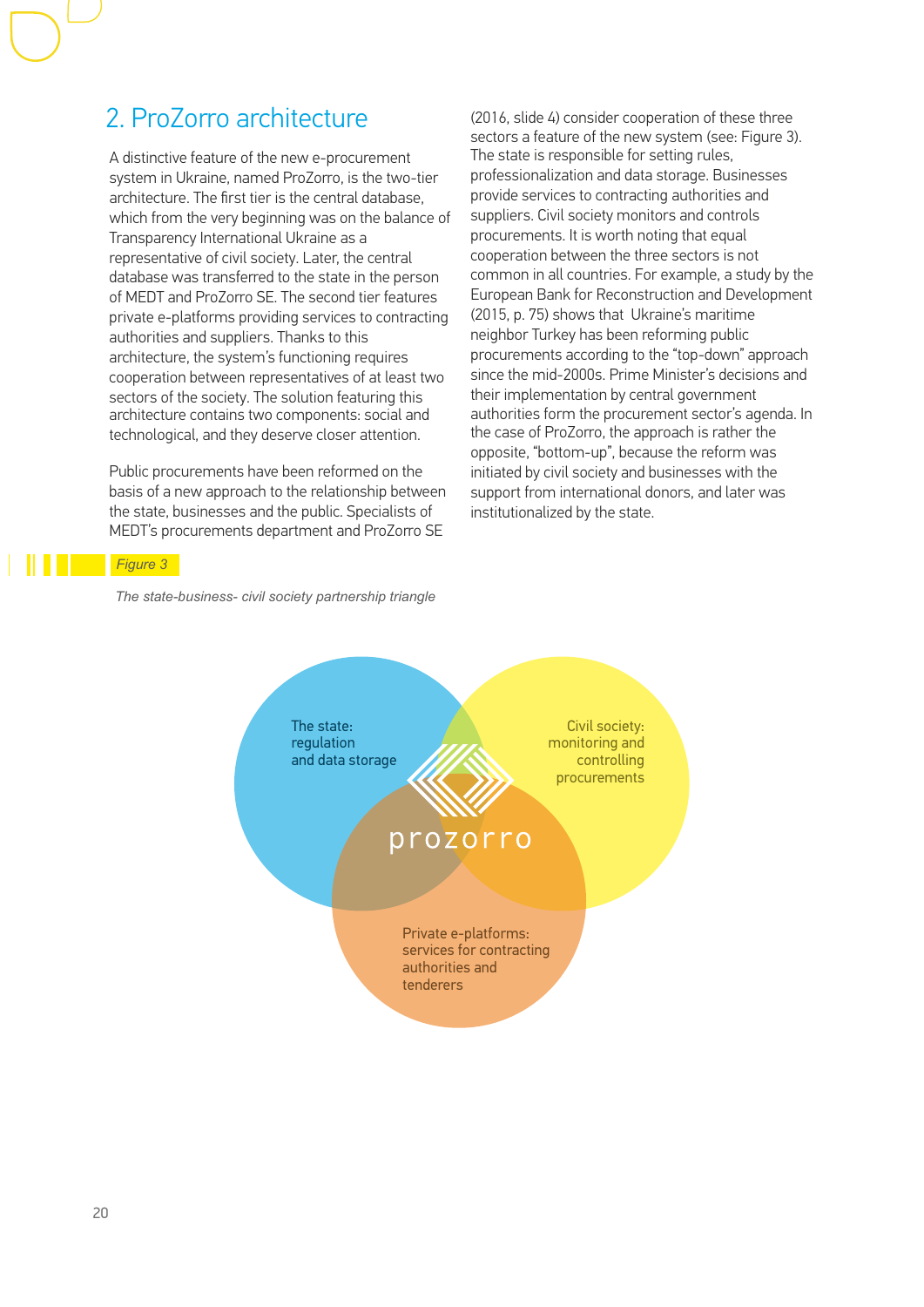### 2. ProZorro architecture

A distinctive feature of the new e-procurement system in Ukraine, named ProZorro, is the two-tier architecture. The first tier is the central database, which from the very beginning was on the balance of Transparency International Ukraine as a representative of civil society. Later, the central database was transferred to the state in the person of MEDT and ProZorro SE. The second tier features private e-platforms providing services to contracting authorities and suppliers. Thanks to this architecture, the system's functioning requires cooperation between representatives of at least two sectors of the society. The solution featuring this architecture contains two components: social and technological, and they deserve closer attention.

Public procurements have been reformed on the basis of a new approach to the relationship between the state, businesses and the public. Specialists of MEDT's procurements department and ProZorro SE

(2016, slide 4) consider cooperation of these three sectors a feature of the new system (see: Figure 3). The state is responsible for setting rules, professionalization and data storage. Businesses provide services to contracting authorities and suppliers. Civil society monitors and controls procurements. It is worth noting that equal cooperation between the three sectors is not common in all countries. For example, a study by the European Bank for Reconstruction and Development (2015, p. 75) shows that Ukraine's maritime neighbor Turkey has been reforming public procurements according to the "top-down" approach since the mid-2000s. Prime Minister's decisions and their implementation by central government authorities form the procurement sector's agenda. In the case of ProZorro, the approach is rather the opposite, "bottom-up", because the reform was initiated by civil society and businesses with the support from international donors, and later was institutionalized by the state.

### *Figure 3*

 *The state-business- civil society partnership triangle*

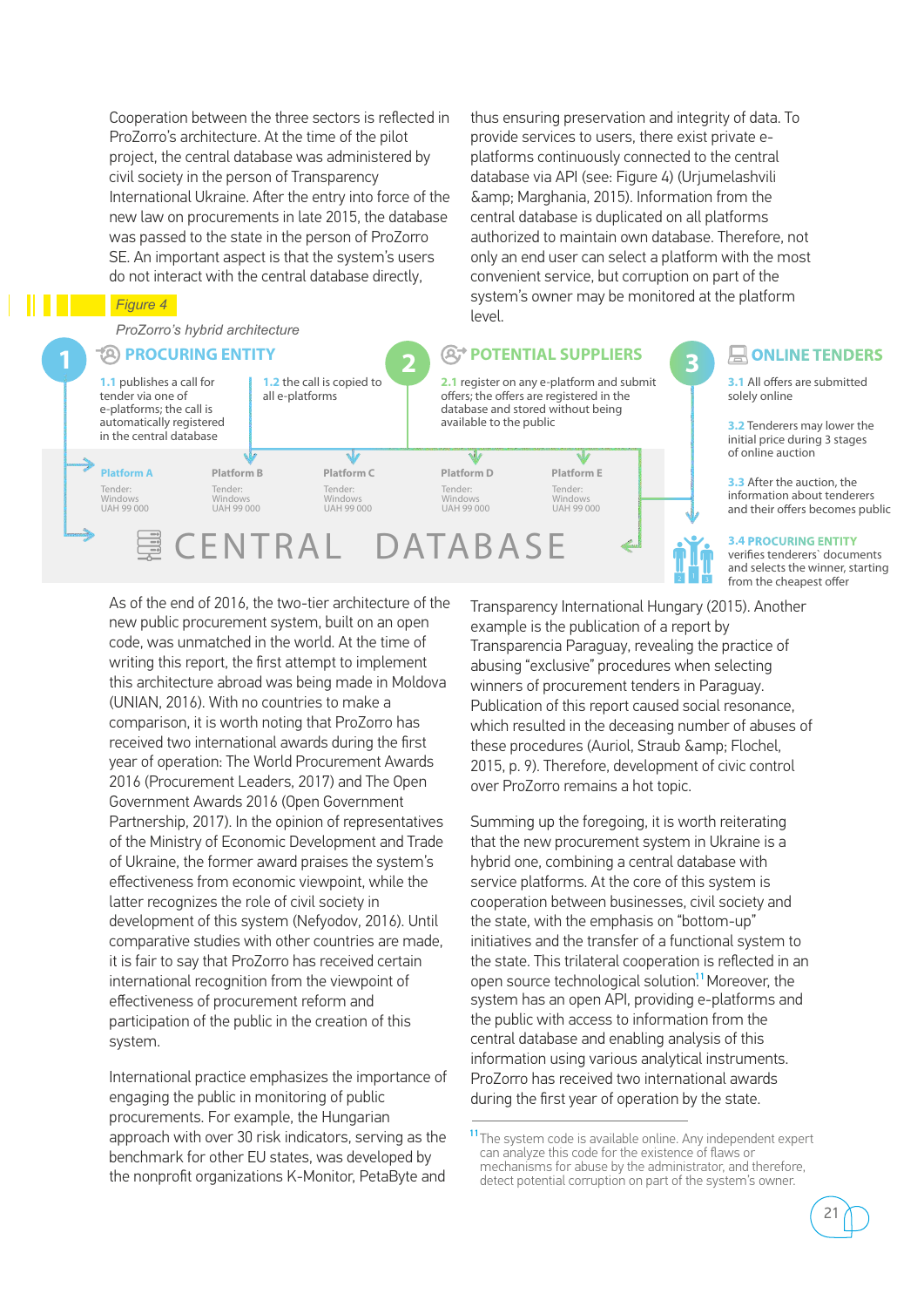Cooperation between the three sectors is reflected in ProZorro's architecture. At the time of the pilot project, the central database was administered by civil society in the person of Transparency International Ukraine. After the entry into force of the new law on procurements in late 2015, the database was passed to the state in the person of ProZorro SE. An important aspect is that the system's users do not interact with the central database directly,

*Figure 4*

Tender: Windows UAH 99 000

*ProZorro's hybrid architecture*

### **PROCURING ENTITY**

**1 3 POTENTIAL SUPPLIERS1.1** publishes a call for tender via one of e-platforms; the call is automatically registered in the central database

**Platform A Platform B Platform C Platform D Platform E** Tender: Windows UAH 99 000

## CENTRAL DATABASE

Windows UAH 99 000 Windows UAH 99 000

Tender:

**1.2** the call is copied to all e-platforms

thus ensuring preservation and integrity of data. To provide services to users, there exist private eplatforms continuously connected to the central database via API (see: Figure 4) (Urjumelashvili & Marghania, 2015). Information from the central database is duplicated on all platforms authorized to maintain own database. Therefore, not only an end user can select a platform with the most convenient service, but corruption on part of the system's owner may be monitored at the platform level.

## **2.1** register on any e-platform and submit

Tender: Windows UAH 99 000

W

offers; the offers are registered in the database and stored without being

available to the public

Tender:

Ŵ

**2**

**ONLINE TENDERS 3.1** All offers are submitted solely online

> **3.2** Tenderers may lower the initial price during 3 stages of online auction

**3.3** After the auction, the information about tenderers and their offers becomes public

**3.4 PROCURING ENTITY** 

verifies tenderers` documents and selects the winner, starting from the cheapest offer

As of the end of 2016, the two-tier architecture of the new public procurement system, built on an open code, was unmatched in the world. At the time of writing this report, the first attempt to implement this architecture abroad was being made in Moldova (UNIAN, 2016). With no countries to make a comparison, it is worth noting that ProZorro has received two international awards during the first year of operation: The World Procurement Awards 2016 (Procurement Leaders, 2017) and The Open Government Awards 2016 (Open Government Partnership, 2017). In the opinion of representatives of the Ministry of Economic Development and Trade of Ukraine, the former award praises the system's effectiveness from economic viewpoint, while the latter recognizes the role of civil society in development of this system (Nefyodov, 2016). Until comparative studies with other countries are made, it is fair to say that ProZorro has received certain international recognition from the viewpoint of effectiveness of procurement reform and participation of the public in the creation of this system.

International practice emphasizes the importance of engaging the public in monitoring of public procurements. For example, the Hungarian approach with over 30 risk indicators, serving as the benchmark for other EU states, was developed by the nonprofit organizations K-Monitor, PetaByte and

Transparency International Hungary (2015). Another example is the publication of a report by Transparencia Paraguay, revealing the practice of abusing "exclusive" procedures when selecting winners of procurement tenders in Paraguay. Publication of this report caused social resonance, which resulted in the deceasing number of abuses of these procedures (Auriol, Straub & amp; Flochel, 2015, p. 9). Therefore, development of civic control over ProZorro remains a hot topic.

Summing up the foregoing, it is worth reiterating that the new procurement system in Ukraine is a hybrid one, combining a central database with service platforms. At the core of this system is cooperation between businesses, civil society and the state, with the emphasis on "bottom-up" initiatives and the transfer of a functional system to the state. This trilateral cooperation is reflected in an open source technological solution.<sup>11</sup> Moreover, the system has an open АРІ, providing e-platforms and the public with access to information from the central database and enabling analysis of this information using various analytical instruments. ProZorro has received two international awards during the first year of operation by the state.

<sup>&</sup>lt;sup>11</sup> The system code is available online. Any independent expert can analyze this code for the existence of flaws or mechanisms for abuse by the administrator, and therefore, detect potential corruption on part of the system's owner.

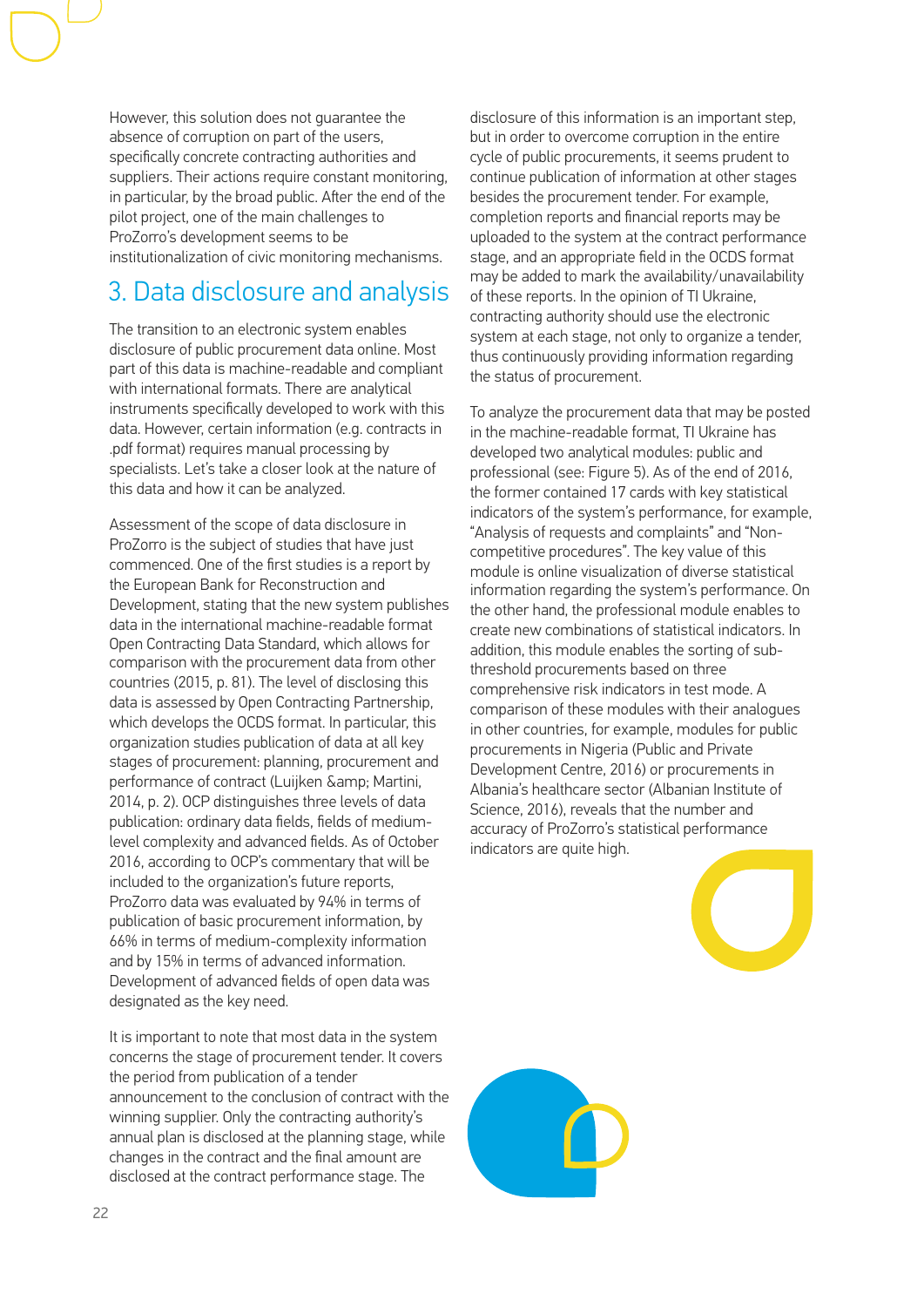However, this solution does not guarantee the absence of corruption on part of the users, specifically concrete contracting authorities and suppliers. Their actions require constant monitoring, in particular, by the broad public. After the end of the pilot project, one of the main challenges to ProZorro's development seems to be institutionalization of civic monitoring mechanisms.

### 3. Data disclosure and analysis

The transition to an electronic system enables disclosure of public procurement data online. Most part of this data is machine-readable and compliant with international formats. There are analytical instruments specifically developed to work with this data. However, certain information (e.g. contracts in .pdf format) requires manual processing by specialists. Let's take a closer look at the nature of this data and how it can be analyzed.

Assessment of the scope of data disclosure in ProZorro is the subject of studies that have just commenced. One of the first studies is a report by the European Bank for Reconstruction and Development, stating that the new system publishes data in the international machine-readable format Open Contracting Data Standard, which allows for comparison with the procurement data from other countries (2015, p. 81). The level of disclosing this data is assessed by Open Contracting Partnership, which develops the OCDS format. In particular, this organization studies publication of data at all key stages of procurement: planning, procurement and performance of contract (Luijken & amp; Martini, 2014, p. 2). OCP distinguishes three levels of data publication: ordinary data fields, fields of mediumlevel complexity and advanced fields. As of October 2016, according to OCP's commentary that will be included to the organization's future reports, ProZorro data was evaluated by 94% in terms of publication of basic procurement information, by 66% in terms of medium-complexity information and by 15% in terms of advanced information. Development of advanced fields of open data was designated as the key need.

It is important to note that most data in the system concerns the stage of procurement tender. It covers the period from publication of a tender announcement to the conclusion of contract with the winning supplier. Only the contracting authority's annual plan is disclosed at the planning stage, while changes in the contract and the final amount are disclosed at the contract performance stage. The

disclosure of this information is an important step, but in order to overcome corruption in the entire cycle of public procurements, it seems prudent to continue publication of information at other stages besides the procurement tender. For example, completion reports and financial reports may be uploaded to the system at the contract performance stage, and an appropriate field in the OCDS format may be added to mark the availability/unavailability of these reports. In the opinion of TI Ukraine, contracting authority should use the electronic system at each stage, not only to organize a tender, thus continuously providing information regarding the status of procurement.

To analyze the procurement data that may be posted in the machine-readable format, TI Ukraine has developed two analytical modules: public and professional (see: Figure 5). As of the end of 2016, the former contained 17 cards with key statistical indicators of the system's performance, for example, "Analysis of requests and complaints" and "Noncompetitive procedures". The key value of this module is online visualization of diverse statistical information regarding the system's performance. On the other hand, the professional module enables to create new combinations of statistical indicators. In addition, this module enables the sorting of subthreshold procurements based on three comprehensive risk indicators in test mode. A comparison of these modules with their analogues in other countries, for example, modules for public procurements in Nigeria (Public and Private Development Centre, 2016) or procurements in Albania's healthcare sector (Albanian Institute of Science, 2016), reveals that the number and accuracy of ProZorro's statistical performance indicators are quite high.

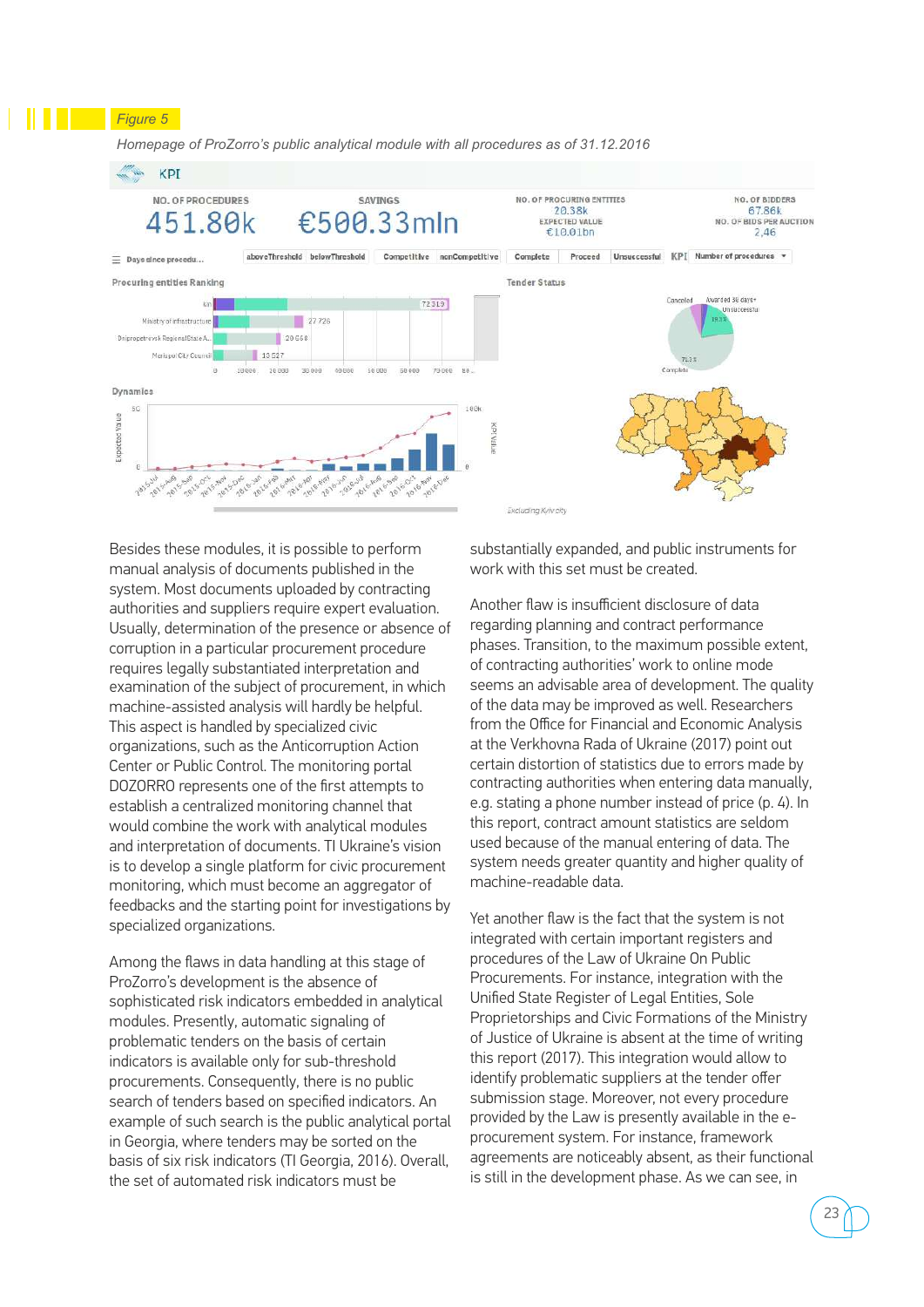*Homepage of ProZorro's public analytical module with all procedures as of 31.12.2016*

*Figure 5* 



Besides these modules, it is possible to perform manual analysis of documents published in the system. Most documents uploaded by contracting authorities and suppliers require expert evaluation. Usually, determination of the presence or absence of corruption in a particular procurement procedure requires legally substantiated interpretation and examination of the subject of procurement, in which machine-assisted analysis will hardly be helpful. This aspect is handled by specialized civic organizations, such as the Anticorruption Action Center or Public Control. The monitoring portal DOZORRO represents one of the first attempts to establish a centralized monitoring channel that would combine the work with analytical modules and interpretation of documents. TI Ukraine's vision is to develop a single platform for civic procurement monitoring, which must become an aggregator of feedbacks and the starting point for investigations by specialized organizations.

Among the flaws in data handling at this stage of ProZorro's development is the absence of sophisticated risk indicators embedded in analytical modules. Presently, automatic signaling of problematic tenders on the basis of certain indicators is available only for sub-threshold procurements. Consequently, there is no public search of tenders based on specified indicators. An example of such search is the public analytical portal in Georgia, where tenders may be sorted on the basis of six risk indicators (ТІ Georgia, 2016). Overall, the set of automated risk indicators must be

substantially expanded, and public instruments for work with this set must be created.

Another flaw is insufficient disclosure of data regarding planning and contract performance phases. Transition, to the maximum possible extent, of contracting authorities' work to online mode seems an advisable area of development. The quality of the data may be improved as well. Researchers from the Office for Financial and Economic Analysis at the Verkhovna Rada of Ukraine (2017) point out certain distortion of statistics due to errors made by contracting authorities when entering data manually, e.g. stating a phone number instead of price (p. 4). In this report, contract amount statistics are seldom used because of the manual entering of data. The system needs greater quantity and higher quality of machine-readable data.

Yet another flaw is the fact that the system is not integrated with certain important registers and procedures of the Law of Ukraine On Public Procurements. For instance, integration with the Unified State Register of Legal Entities, Sole Proprietorships and Civic Formations of the Ministry of Justice of Ukraine is absent at the time of writing this report (2017). This integration would allow to identify problematic suppliers at the tender offer submission stage. Moreover, not every procedure provided by the Law is presently available in the eprocurement system. For instance, framework agreements are noticeably absent, as their functional is still in the development phase. As we can see, in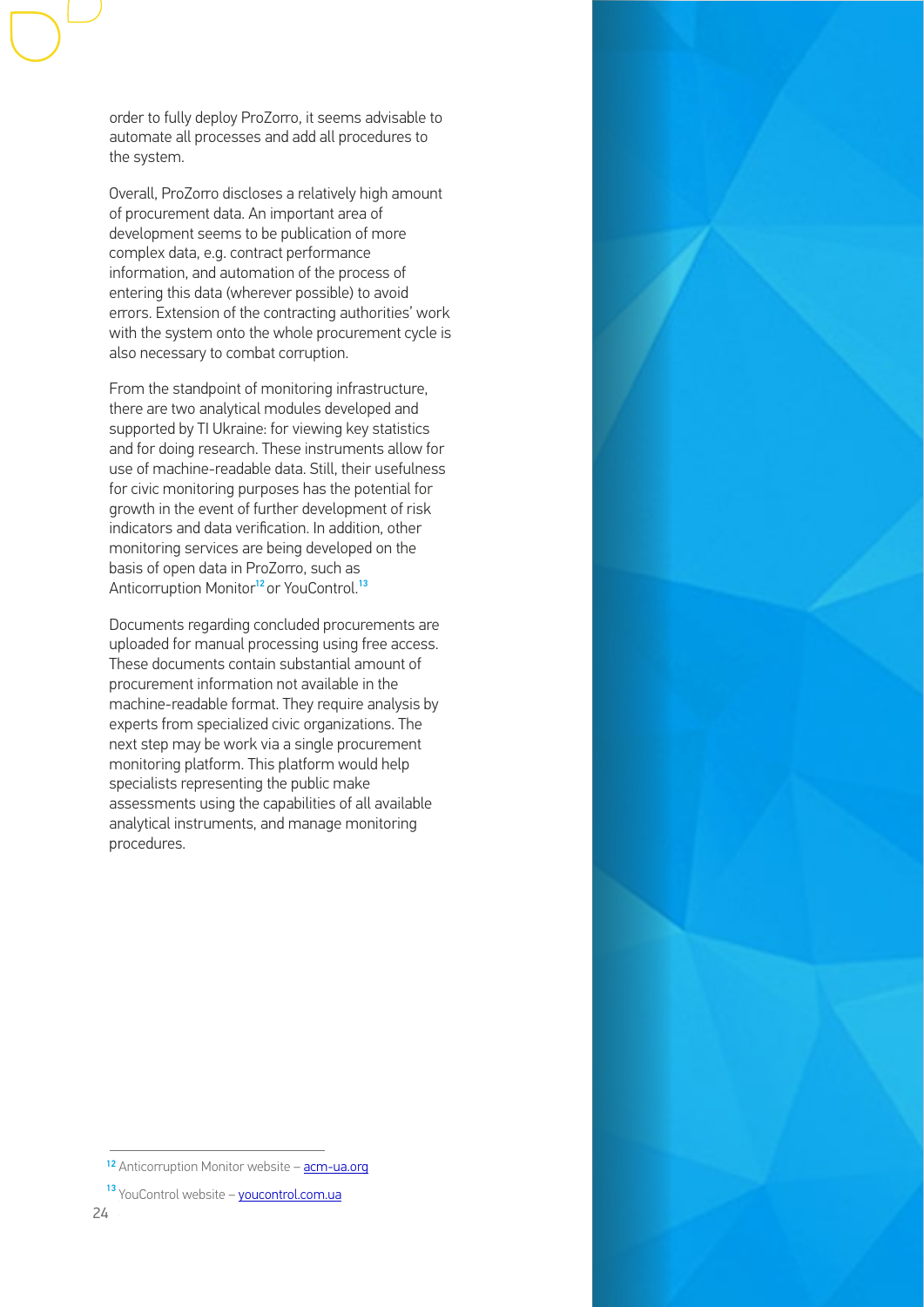order to fully deploy ProZorro, it seems advisable to automate all processes and add all procedures to the system.

Overall, ProZorro discloses a relatively high amount of procurement data. An important area of development seems to be publication of more complex data, e.g. contract performance information, and automation of the process of entering this data (wherever possible) to avoid errors. Extension of the contracting authorities' work with the system onto the whole procurement cycle is also necessary to combat corruption.

From the standpoint of monitoring infrastructure, there are two analytical modules developed and supported by TI Ukraine: for viewing key statistics and for doing research. These instruments allow for use of machine-readable data. Still, their usefulness for civic monitoring purposes has the potential for growth in the event of further development of risk indicators and data verification. In addition, other monitoring services are being developed on the basis of open data in ProZorro, such as Anticorruption Monitor<sup>12</sup> or YouControl.<sup>13</sup>

Documents regarding concluded procurements are uploaded for manual processing using free access. These documents contain substantial amount of procurement information not available in the machine-readable format. They require analysis by experts from specialized civic organizations. The next step may be work via a single procurement monitoring platform. This platform would help specialists representing the public make assessments using the capabilities of all available analytical instruments, and manage monitoring procedures.



13 YouControl website – <u>youcontrol.com.ua</u>  $24.$ 

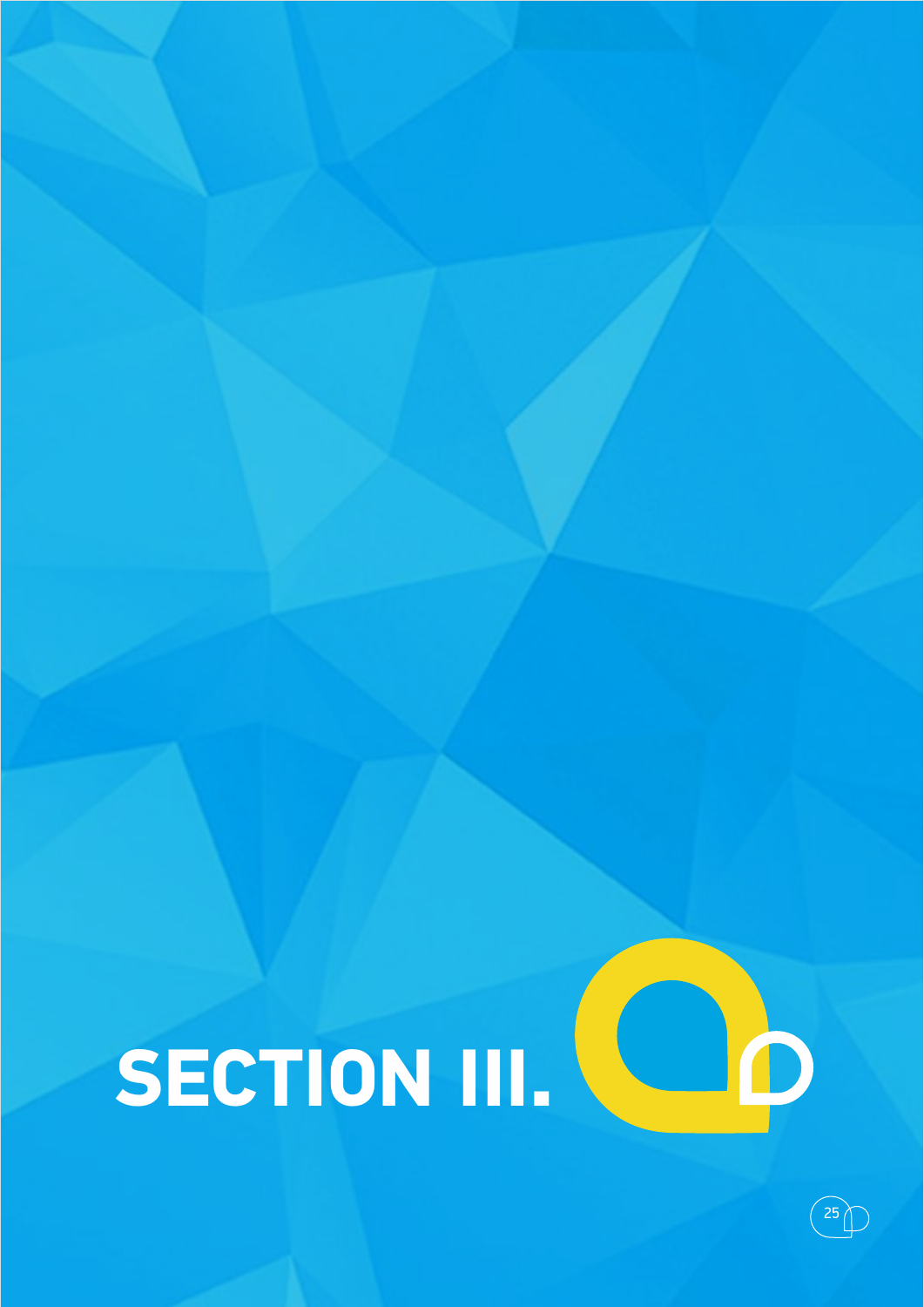# **SECTION III.**



D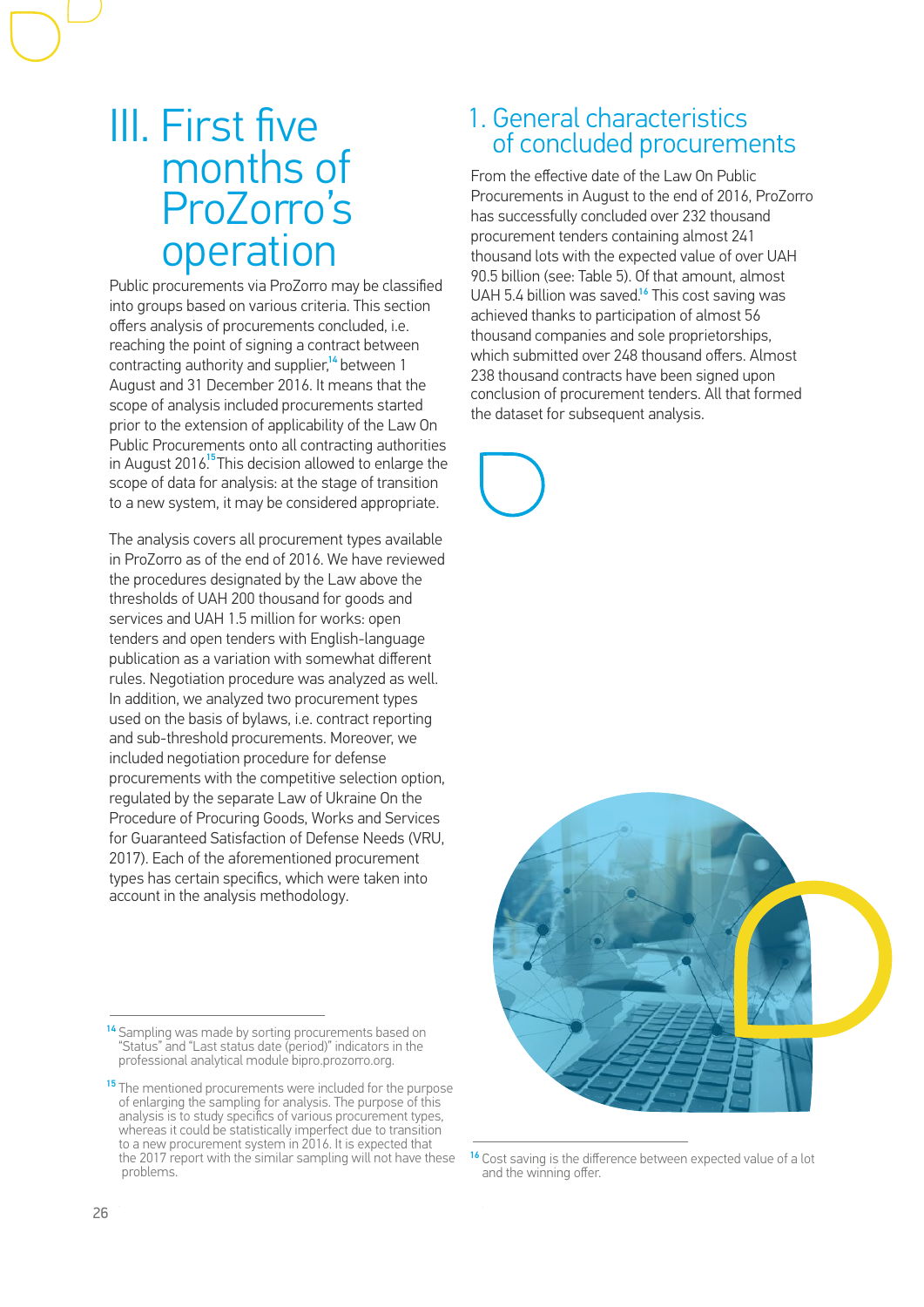### III. First five months of ProZorro's operation

Public procurements via ProZorro may be classified into groups based on various criteria. This section offers analysis of procurements concluded, i.e. reaching the point of signing a contract between contracting authority and supplier,<sup>14</sup> between 1 August and 31 December 2016. It means that the scope of analysis included procurements started prior to the extension of applicability of the Law On Public Procurements onto all contracting authorities in August 2016.<sup>15</sup> This decision allowed to enlarge the scope of data for analysis: at the stage of transition to a new system, it may be considered appropriate.

The analysis covers all procurement types available in ProZorro as of the end of 2016. We have reviewed the procedures designated by the Law above the thresholds of UAH 200 thousand for goods and services and UAH 1.5 million for works: open tenders and open tenders with English-language publication as a variation with somewhat different rules. Negotiation procedure was analyzed as well. In addition, we analyzed two procurement types used on the basis of bylaws, i.e. contract reporting and sub-threshold procurements. Moreover, we included negotiation procedure for defense procurements with the competitive selection option, regulated by the separate Law of Ukraine On the Procedure of Procuring Goods, Works and Services for Guaranteed Satisfaction of Defense Needs (VRU, 2017). Each of the aforementioned procurement types has certain specifics, which were taken into account in the analysis methodology.

### 1. General characteristics of concluded procurements

From the effective date of the Law On Public Procurements in August to the end of 2016, ProZorro has successfully concluded over 232 thousand procurement tenders containing almost 241 thousand lots with the expected value of over UAH 90.5 billion (see: Table 5). Of that amount, almost UAH 5.4 billion was saved.<sup>16</sup> This cost saving was achieved thanks to participation of almost 56 thousand companies and sole proprietorships, which submitted over 248 thousand offers. Almost 238 thousand contracts have been signed upon conclusion of procurement tenders. All that formed the dataset for subsequent analysis.





<sup>&</sup>lt;sup>16</sup> Cost saving is the difference between expected value of a lot and the winning offer.

<sup>&</sup>lt;sup>14</sup> Sampling was made by sorting procurements based on "Status" and "Last status date (period)" indicators in the professional analytical module bipro.prozorro.org.

<sup>&</sup>lt;sup>15</sup> The mentioned procurements were included for the purpose of enlarging the sampling for analysis. The purpose of this analysis is to study specifics of various procurement types, whereas it could be statistically imperfect due to transition to a new procurement system in 2016. It is expected that the 2017 report with the similar sampling will not have these problems.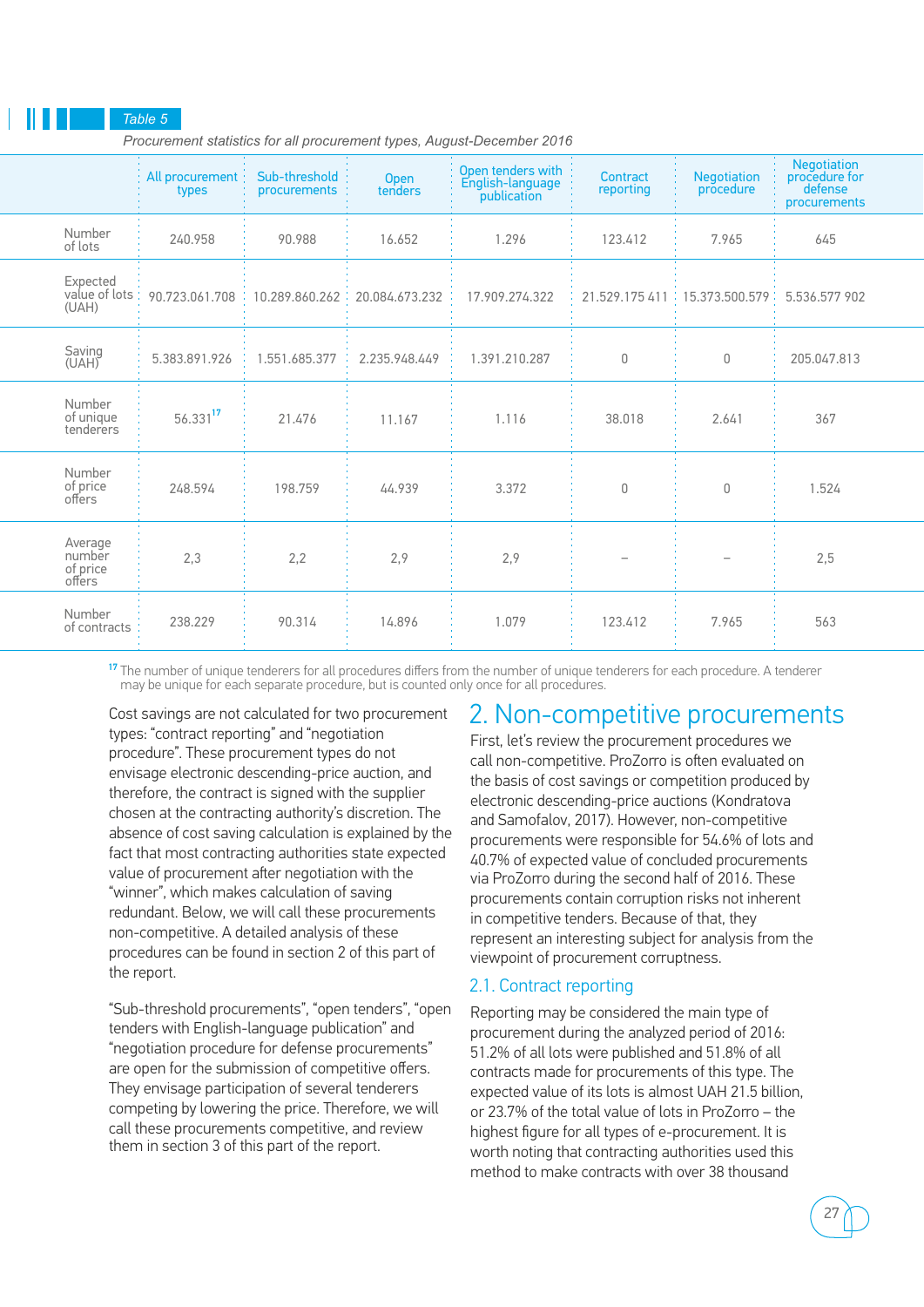### *Table 5*

 *Procurement statistics for all procurement types, August-December 2016*

|                                         | All procurement<br>types | Sub-threshold<br><i>procurements</i> | Open<br>tenders | Open tenders with<br>English-language<br>publication | Contract<br>reporting | <b>Negotiation</b><br>procedure | Negotiation<br>procedure for<br>defense<br>procurements |  |
|-----------------------------------------|--------------------------|--------------------------------------|-----------------|------------------------------------------------------|-----------------------|---------------------------------|---------------------------------------------------------|--|
| Number<br>of lots                       | 240.958                  | 90.988                               | 16.652          | 1.296                                                | 123.412               | 7.965                           | 645                                                     |  |
| Expected<br>value of lots<br>(UAH)      | 90.723.061.708           | 10.289.860.262                       | 20.084.673.232  | 17.909.274.322                                       | 21.529.175 411        | 15,373,500,579                  | 5.536.577 902                                           |  |
| Saving<br>(UAH)                         | 5.383.891.926            | 1.551.685.377                        | 2.235.948.449   | 1.391.210.287                                        | 0                     | 0                               | 205,047,813                                             |  |
| Number<br>of unique<br>tenderers        | 56.33117                 | 21.476                               | 11.167          | 1.116                                                | 38,018                | 2.641                           | 367                                                     |  |
| Number<br>of price<br>offers            | 248.594                  | 198.759                              | 44.939          | 3.372                                                | $\mathbf 0$           | 0                               | 1.524                                                   |  |
| Average<br>number<br>of price<br>offers | 2,3                      | 2,2                                  | 2,9             | 2,9                                                  |                       |                                 | 2,5                                                     |  |
| Number<br>of contracts                  | 238.229                  | 90.314                               | 14.896          | 1.079                                                | 123.412               | 7.965                           | 563                                                     |  |

<sup>17</sup> The number of unique tenderers for all procedures differs from the number of unique tenderers for each procedure. A tenderer may be unique for each separate procedure, but is counted only once for all procedures.

Cost savings are not calculated for two procurement types: "contract reporting" and "negotiation procedure". These procurement types do not envisage electronic descending-price auction, and therefore, the contract is signed with the supplier chosen at the contracting authority's discretion. The absence of cost saving calculation is explained by the fact that most contracting authorities state expected value of procurement after negotiation with the "winner", which makes calculation of saving redundant. Below, we will call these procurements non-competitive. A detailed analysis of these procedures can be found in section 2 of this part of the report.

"Sub-threshold procurements", "open tenders", "open tenders with English-language publication" and "negotiation procedure for defense procurements" are open for the submission of competitive offers. They envisage participation of several tenderers competing by lowering the price. Therefore, we will call these procurements competitive, and review them in section 3 of this part of the report.

### 2. Non-competitive procurements

First, let's review the procurement procedures we call non-competitive. ProZorro is often evaluated on the basis of cost savings or competition produced by electronic descending-price auctions (Kondratova and Samofalov, 2017). However, non-competitive procurements were responsible for 54.6% of lots and 40.7% of expected value of concluded procurements via ProZorro during the second half of 2016. These procurements contain corruption risks not inherent in competitive tenders. Because of that, they represent an interesting subject for analysis from the viewpoint of procurement corruptness.

### 2.1. Contract reporting

Reporting may be considered the main type of procurement during the analyzed period of 2016: 51.2% of all lots were published and 51.8% of all contracts made for procurements of this type. The expected value of its lots is almost UAH 21.5 billion, or 23.7% of the total value of lots in ProZorro – the highest figure for all types of e-procurement. It is worth noting that contracting authorities used this method to make contracts with over 38 thousand

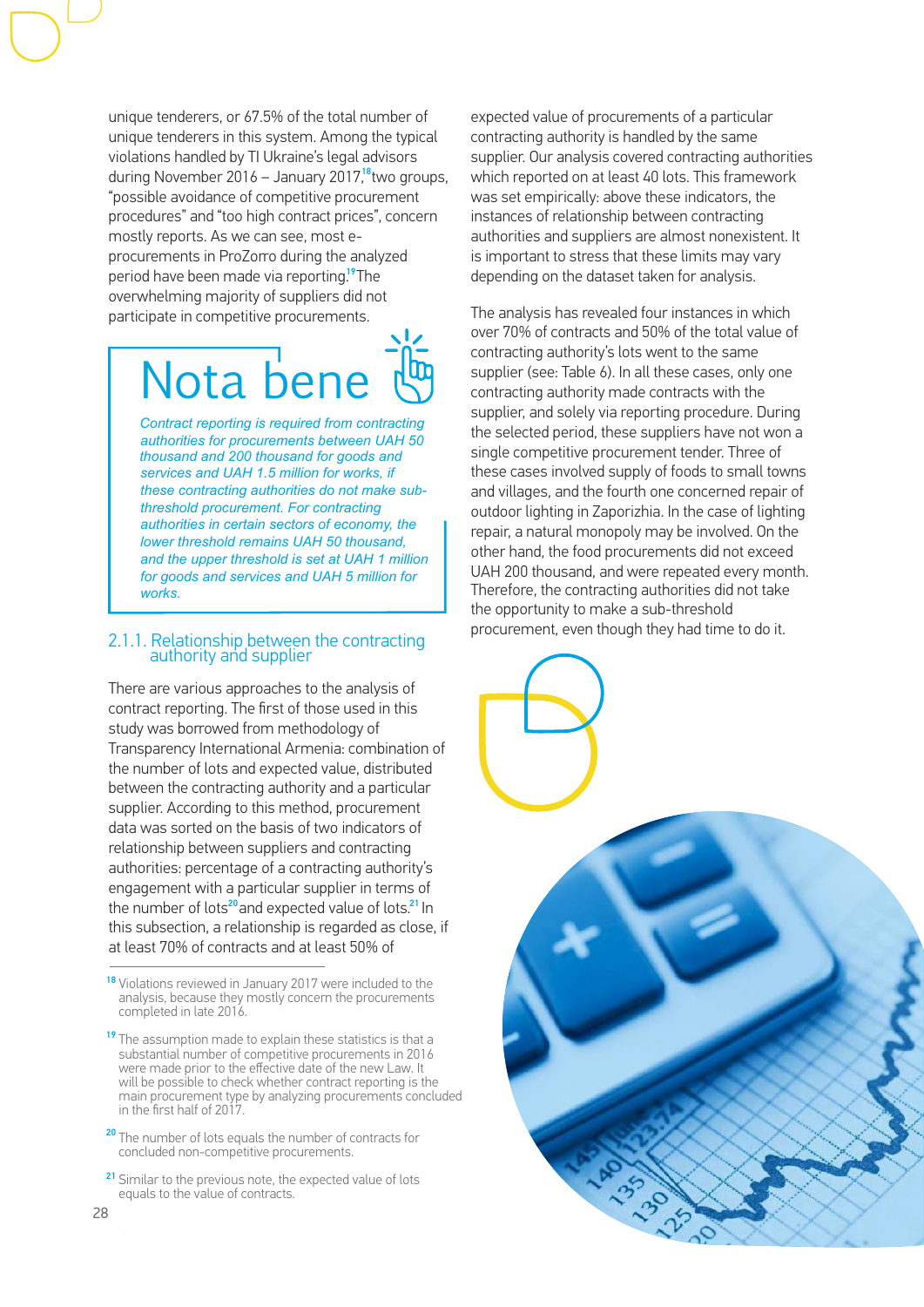unique tenderers, or 67.5% of the total number of unique tenderers in this system. Among the typical violations handled by TI Ukraine's legal advisors during November 2016 – January 2017,<sup>18</sup>two groups, "possible avoidance of competitive procurement procedures" and "too high contract prices", concern mostly reports. As we can see, most eprocurements in ProZorro during the analyzed period have been made via reporting.<sup>19</sup>The overwhelming majority of suppliers did not participate in competitive procurements.

## Nota bene

*Contract reporting is required from contracting authorities for procurements between UAH 50 thousand and 200 thousand for goods and services and UAH 1.5 million for works, if these contracting authorities do not make subthreshold procurement. For contracting authorities in certain sectors of economy, the lower threshold remains UAH 50 thousand, and the upper threshold is set at UAH 1 million for goods and services and UAH 5 million for works.* 

### 2.1.1. Relationship between the contracting authority and supplier

There are various approaches to the analysis of contract reporting. The first of those used in this study was borrowed from methodology of Transparency International Armenia: combination of the number of lots and expected value, distributed between the contracting authority and a particular supplier. According to this method, procurement data was sorted on the basis of two indicators of relationship between suppliers and contracting authorities: percentage of a contracting authority's engagement with a particular supplier in terms of the number of lots<sup>20</sup>and expected value of lots.<sup>21</sup> In this subsection, a relationship is regarded as close, if at least 70% of contracts and at least 50% of

expected value of procurements of a particular contracting authority is handled by the same supplier. Our analysis covered contracting authorities which reported on at least 40 lots. This framework was set empirically: above these indicators, the instances of relationship between contracting authorities and suppliers are almost nonexistent. It is important to stress that these limits may vary depending on the dataset taken for analysis.

The analysis has revealed four instances in which over 70% of contracts and 50% of the total value of contracting authority's lots went to the same supplier (see: Table 6). In all these cases, only one contracting authority made contracts with the supplier, and solely via reporting procedure. During the selected period, these suppliers have not won a single competitive procurement tender. Three of these cases involved supply of foods to small towns and villages, and the fourth one concerned repair of outdoor lighting in Zaporizhia. In the case of lighting repair, a natural monopoly may be involved. On the other hand, the food procurements did not exceed UAH 200 thousand, and were repeated every month. Therefore, the contracting authorities did not take the opportunity to make a sub-threshold procurement, even though they had time to do it.



<sup>&</sup>lt;sup>18</sup> Violations reviewed in January 2017 were included to the analysis, because they mostly concern the procurements completed in late 2016.

<sup>&</sup>lt;sup>19</sup> The assumption made to explain these statistics is that a substantial number of competitive procurements in 2016 were made prior to the effective date of the new Law. It will be possible to check whether contract reporting is the main procurement type by analyzing procurements concluded in the first half of 2017.

<sup>&</sup>lt;sup>20</sup> The number of lots equals the number of contracts for concluded non-competitive procurements.

<sup>&</sup>lt;sup>21</sup> Similar to the previous note, the expected value of lots equals to the value of contracts.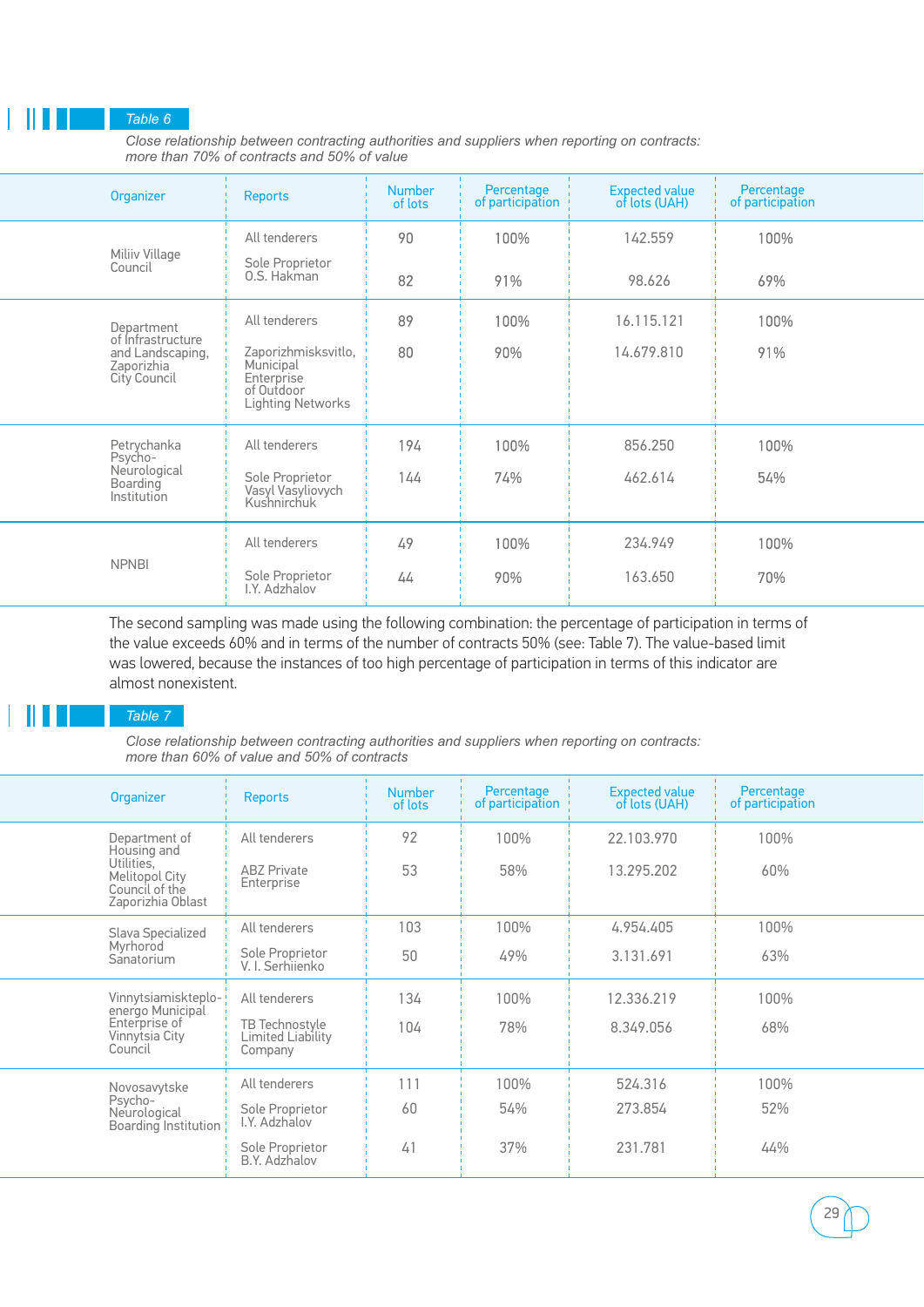### *Table 6*

*Close relationship between contracting authorities and suppliers when reporting on contracts: more than 70% of contracts and 50% of value*

|                                                                     | Organizer                                                                                | <b>Reports</b>                                      | <b>Number</b><br>of lots | Percentage<br>of participation | <b>Expected value</b><br>of lots (UAH) | Percentage<br>of participation |  |
|---------------------------------------------------------------------|------------------------------------------------------------------------------------------|-----------------------------------------------------|--------------------------|--------------------------------|----------------------------------------|--------------------------------|--|
|                                                                     | Miliiv Village                                                                           | All tenderers                                       | 90                       | 100%                           | 142.559                                | 100%                           |  |
|                                                                     | Council                                                                                  | Sole Proprietor<br>0.S. Hakman                      | 82                       | 91%                            | 98.626                                 | 69%                            |  |
|                                                                     | Department                                                                               | All tenderers                                       | 89                       | 100%                           | 16.115.121                             | 100%                           |  |
| of Infrastructure<br>and Landscaping,<br>Zaporizhia<br>City Council | Zaporizhmisksvitlo,<br>Municipal<br>Enterprise<br>of Outdoor<br><b>Lighting Networks</b> | 80                                                  | 90%                      | 14.679.810                     | 91%                                    |                                |  |
|                                                                     | Petrychanka<br>Psycho-                                                                   | All tenderers                                       | 194                      | 100%                           | 856.250                                | 100%                           |  |
| Neurological<br>Boarding<br>Institution                             |                                                                                          | Sole Proprietor<br>Vasyl Vasyliovych<br>Kushnirchuk | 144                      | 74%                            | 462.614                                | 54%                            |  |
|                                                                     |                                                                                          | All tenderers                                       | 49                       | 100%                           | 234.949                                | 100%                           |  |
|                                                                     | <b>NPNBI</b>                                                                             | Sole Proprietor<br>I.Y. Adzhalov                    | 44                       | 90%                            | 163.650                                | 70%                            |  |
|                                                                     |                                                                                          |                                                     |                          |                                |                                        |                                |  |

The second sampling was made using the following combination: the percentage of participation in terms of the value exceeds 60% and in terms of the number of contracts 50% (see: Table 7). The value-based limit was lowered, because the instances of too high percentage of participation in terms of this indicator are almost nonexistent.

### *Table 7*

*Close relationship between contracting authorities and suppliers when reporting on contracts: more than 60% of value and 50% of contracts*

|                                            | Organizer                                                    | <b>Reports</b>                          | <b>Number</b><br>of lots | Percentage<br>of participation | <b>Expected value</b><br>of lots (UAH) | Percentage<br>of participation |  |
|--------------------------------------------|--------------------------------------------------------------|-----------------------------------------|--------------------------|--------------------------------|----------------------------------------|--------------------------------|--|
|                                            | Department of<br>Housing and<br>Utilities.                   | All tenderers<br><b>ABZ Private</b>     | 92<br>53                 | 100%                           | 22.103.970<br>13.295.202               | 100%                           |  |
|                                            | <b>Melitopol City</b><br>Council of the<br>Zaporizhia Oblast | Enterprise                              |                          | 58%                            |                                        | 60%                            |  |
|                                            | Slava Specialized                                            | All tenderers                           | 103                      | 100%                           | 4.954.405                              | 100%                           |  |
| Myrhorod<br>Sanatorium                     | Sole Proprietor<br>V. I. Serhiienko                          | 50                                      | 49%                      | 3.131.691                      | 63%                                    |                                |  |
|                                            | Vinnytsiamiskteplo-<br>energo Municipal                      | All tenderers                           | 134                      | 100%                           | 12.336.219                             | 100%                           |  |
| Enterprise of<br>Vinnytsia City<br>Council | TB Technostyle<br>Limited Liability<br>Company               | 104                                     | 78%                      | 8.349.056                      | 68%                                    |                                |  |
|                                            | Novosavvtske                                                 | All tenderers                           | 111                      | 100%                           | 524.316                                | 100%                           |  |
|                                            | Psycho-<br>Neurological<br>Boarding Institution              | Sole Proprietor<br>I.Y. Adzhalov        | 60                       | 54%                            | 273.854                                | 52%                            |  |
|                                            |                                                              | Sole Proprietor<br><b>B.Y. Adzhalov</b> | 41                       | 37%                            | 231.781                                | 44%                            |  |
|                                            |                                                              |                                         |                          |                                |                                        |                                |  |

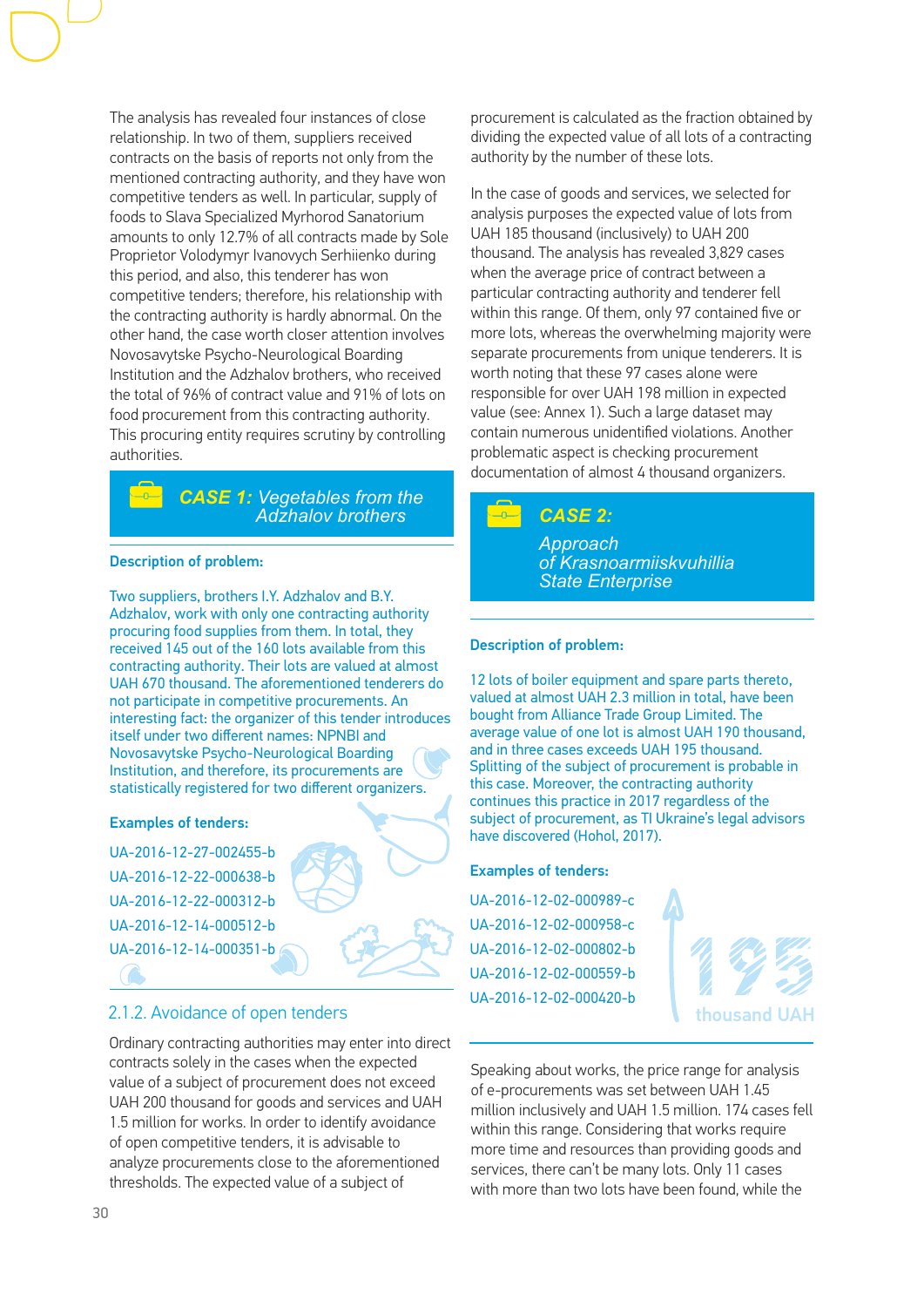The analysis has revealed four instances of close relationship. In two of them, suppliers received contracts on the basis of reports not only from the mentioned contracting authority, and they have won competitive tenders as well. In particular, supply of foods to Slava Specialized Myrhorod Sanatorium amounts to only 12.7% of all contracts made by Sole Proprietor Volodymyr Ivanovych Serhiienko during this period, and also, this tenderer has won competitive tenders; therefore, his relationship with the contracting authority is hardly abnormal. On the other hand, the case worth closer attention involves Novosavytske Psycho-Neurological Boarding Institution and the Adzhalov brothers, who received the total of 96% of contract value and 91% of lots on food procurement from this contracting authority. This procuring entity requires scrutiny by controlling authorities.

### *CASE 1: Vegetables from the Adzhalov brothers*

### Description of problem:

Two suppliers, brothers I.Y. Adzhalov and B.Y. Adzhalov, work with only one contracting authority procuring food supplies from them. In total, they received 145 out of the 160 lots available from this contracting authority. Their lots are valued at almost UAH 670 thousand. The aforementioned tenderers do not participate in competitive procurements. An interesting fact: the organizer of this tender introduces itself under two different names: NPNBI and Novosavytske Psycho-Neurological Boarding Institution, and therefore, its procurements are statistically registered for two different organizers.

### Examples of tenders:

UA-2016-12-27-002455-b UA-2016-12-22-000638-b UA-2016-12-22-000312-b UA-2016-12-14-000512-b UA-2016-12-14-000351-b

### 2.1.2. Avoidance of open tenders

Ordinary contracting authorities may enter into direct contracts solely in the cases when the expected value of a subject of procurement does not exceed UAH 200 thousand for goods and services and UAH 1.5 million for works. In order to identify avoidance of open competitive tenders, it is advisable to analyze procurements close to the aforementioned thresholds. The expected value of a subject of

procurement is calculated as the fraction obtained by dividing the expected value of all lots of a contracting authority by the number of these lots.

In the case of goods and services, we selected for analysis purposes the expected value of lots from UAH 185 thousand (inclusively) to UAH 200 thousand. The analysis has revealed 3,829 cases when the average price of contract between a particular contracting authority and tenderer fell within this range. Of them, only 97 contained five or more lots, whereas the overwhelming majority were separate procurements from unique tenderers. It is worth noting that these 97 cases alone were responsible for over UAH 198 million in expected value (see: Annex 1). Such a large dataset may contain numerous unidentified violations. Another problematic aspect is checking procurement documentation of almost 4 thousand organizers.

### *CASE 2:*

*Approach of Krasnoarmiiskvuhillia State Enterprise*

### Description of problem:

12 lots of boiler equipment and spare parts thereto, valued at almost UAH 2.3 million in total, have been bought from Alliance Trade Group Limited. The average value of one lot is almost UAH 190 thousand, and in three cases exceeds UAH 195 thousand. Splitting of the subject of procurement is probable in this case. Moreover, the contracting authority continues this practice in 2017 regardless of the subject of procurement, as TI Ukraine's legal advisors have discovered (Hohol, 2017).

### Examples of tenders:

UA-2016-12-02-000989-c UA-2016-12-02-000958-c UA-2016-12-02-000802-b UA-2016-12-02-000559-b UA-2016-12-02-000420-b

thousand U

Speaking about works, the price range for analysis of e-procurements was set between UAH 1.45 million inclusively and UAH 1.5 million. 174 cases fell within this range. Considering that works require more time and resources than providing goods and services, there can't be many lots. Only 11 cases with more than two lots have been found, while the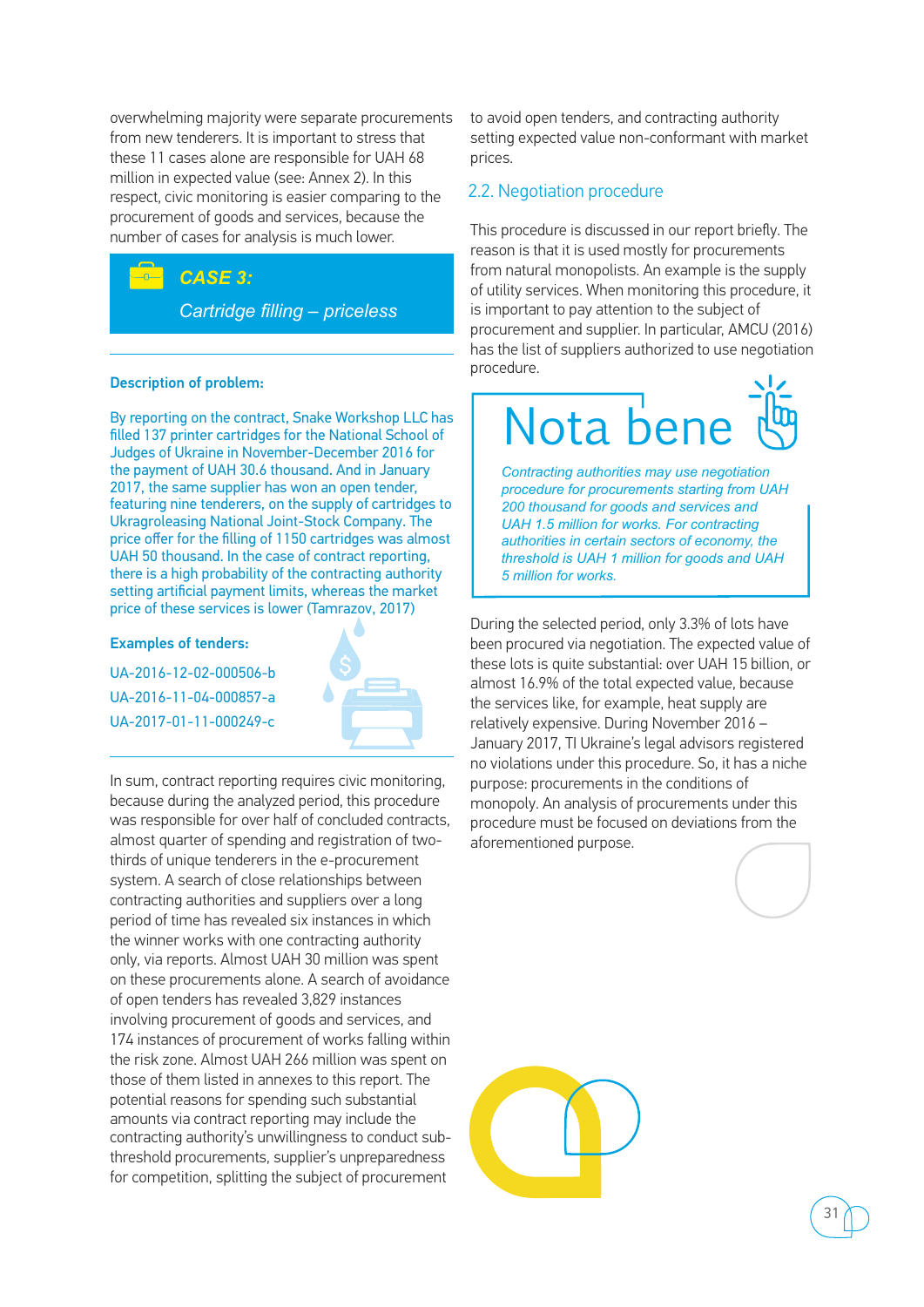overwhelming majority were separate procurements from new tenderers. It is important to stress that these 11 cases alone are responsible for UAH 68 million in expected value (see: Annex 2). In this respect, civic monitoring is easier comparing to the procurement of goods and services, because the number of cases for analysis is much lower.

### *CASE 3: Cartridge filling – priceless*

### Description of problem:

By reporting on the contract, Snake Workshop LLC has filled 137 printer cartridges for the National School of Judges of Ukraine in November-December 2016 for the payment of UAH 30.6 thousand. And in January 2017, the same supplier has won an open tender, featuring nine tenderers, on the supply of cartridges to Ukragroleasing National Joint-Stock Company. The price offer for the filling of 1150 cartridges was almost UAH 50 thousand. In the case of contract reporting, there is a high probability of the contracting authority setting artificial payment limits, whereas the market price of these services is lower (Tamrazov, 2017)

### Examples of tenders:

UA-2016-12-02-000506-b UA-2016-11-04-000857-a UA-2017-01-11-000249-c



In sum, contract reporting requires civic monitoring, because during the analyzed period, this procedure was responsible for over half of concluded contracts, almost quarter of spending and registration of twothirds of unique tenderers in the e-procurement system. A search of close relationships between contracting authorities and suppliers over a long period of time has revealed six instances in which the winner works with one contracting authority only, via reports. Almost UAH 30 million was spent on these procurements alone. A search of avoidance of open tenders has revealed 3,829 instances involving procurement of goods and services, and 174 instances of procurement of works falling within the risk zone. Almost UAH 266 million was spent on those of them listed in annexes to this report. The potential reasons for spending such substantial amounts via contract reporting may include the contracting authority's unwillingness to conduct subthreshold procurements, supplier's unpreparedness for competition, splitting the subject of procurement

to avoid open tenders, and contracting authority setting expected value non-conformant with market prices.

### 2.2. Negotiation procedure

This procedure is discussed in our report briefly. The reason is that it is used mostly for procurements from natural monopolists. An example is the supply of utility services. When monitoring this procedure, it is important to pay attention to the subject of procurement and supplier. In particular, AMCU (2016) has the list of suppliers authorized to use negotiation procedure.

## Nota ben

*Contracting authorities may use negotiation procedure for procurements starting from UAH 200 thousand for goods and services and UAH 1.5 million for works. For contracting authorities in certain sectors of economy, the threshold is UAH 1 million for goods and UAH 5 million for works.*

During the selected period, only 3.3% of lots have been procured via negotiation. The expected value of these lots is quite substantial: over UAH 15 billion, or almost 16.9% of the total expected value, because the services like, for example, heat supply are relatively expensive. During November 2016 – January 2017, TI Ukraine's legal advisors registered no violations under this procedure. So, it has a niche purpose: procurements in the conditions of monopoly. An analysis of procurements under this procedure must be focused on deviations from the aforementioned purpose.



31

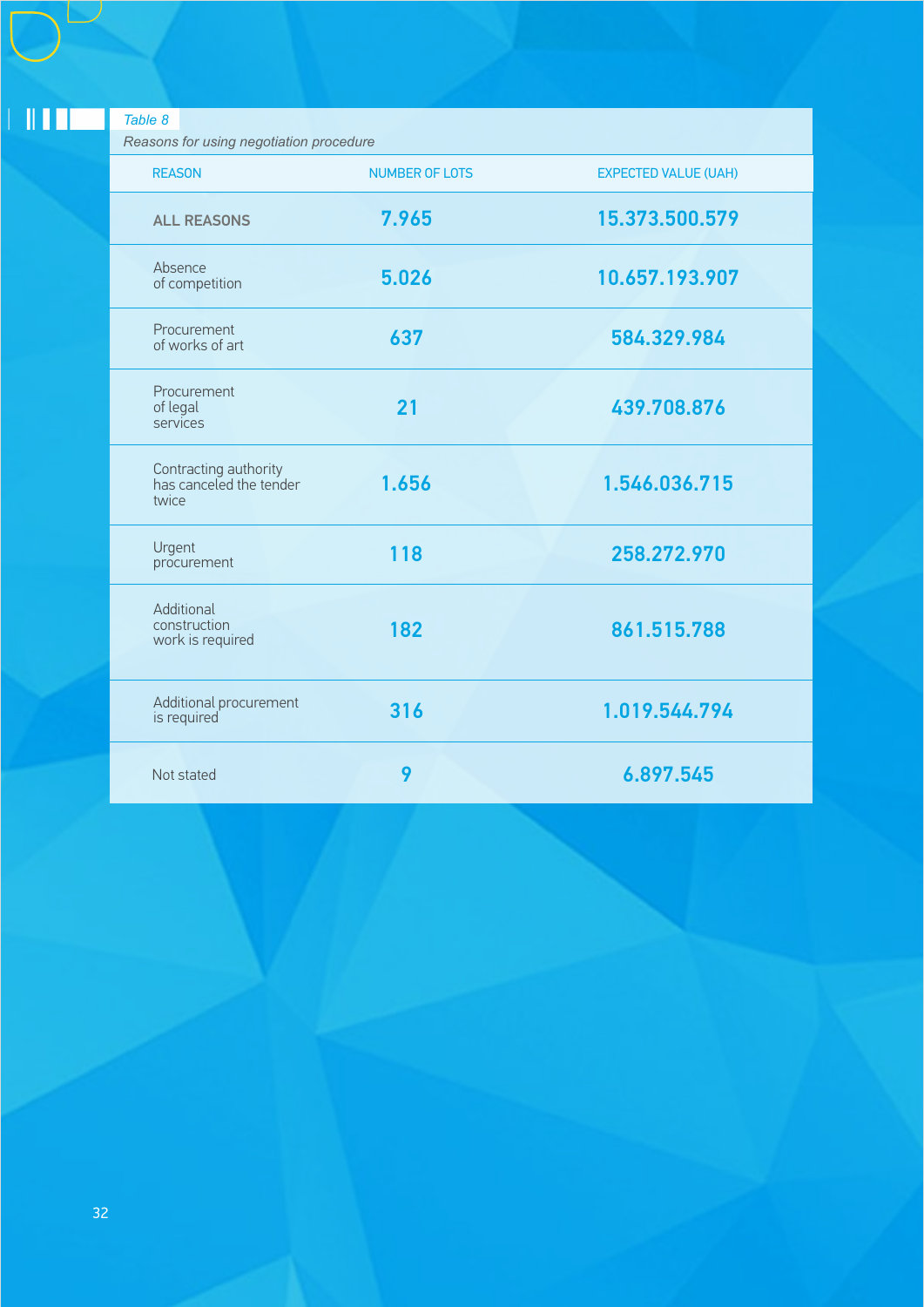| Table 8<br>Reasons for using negotiation procedure        |                       |                             |
|-----------------------------------------------------------|-----------------------|-----------------------------|
| <b>REASON</b>                                             | <b>NUMBER OF LOTS</b> | <b>EXPECTED VALUE (UAH)</b> |
| <b>ALL REASONS</b>                                        | 7.965                 | 15.373.500.579              |
| Absence<br>of competition                                 | 5.026                 | 10.657.193.907              |
| Procurement<br>of works of art                            | 637                   | 584.329.984                 |
| Procurement<br>of legal<br>services                       | 21                    | 439.708.876                 |
| Contracting authority<br>has canceled the tender<br>twice | 1.656                 | 1.546.036.715               |
| Urgent<br>procurement                                     | 118                   | 258.272.970                 |
| Additional<br>construction<br>work is required            | 182                   | 861.515.788                 |
| Additional procurement<br>is required                     | 316                   | 1.019.544.794               |
| Not stated                                                | 9                     | 6.897.545                   |

32

 $\pm 0.111\pm$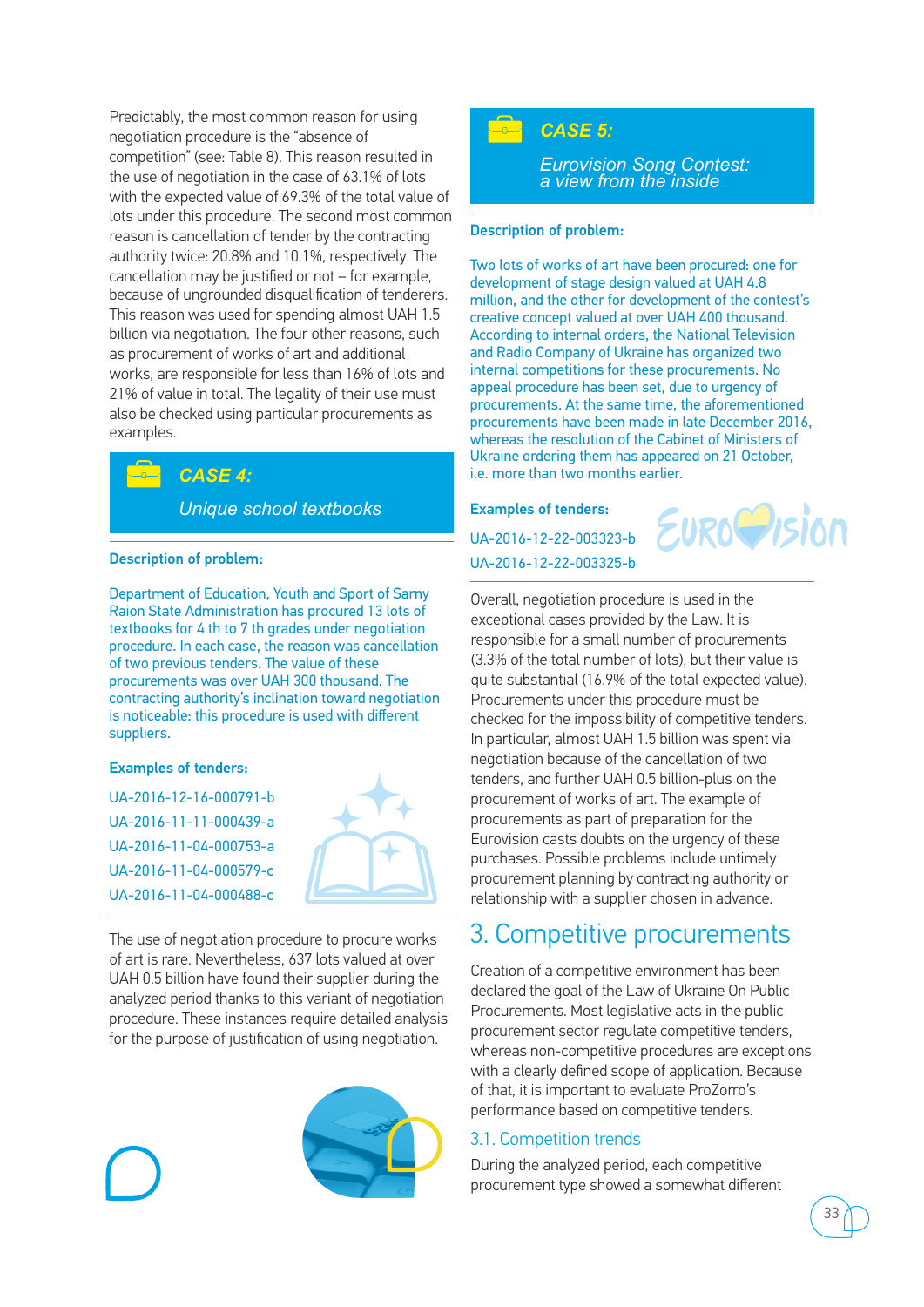Predictably, the most common reason for using negotiation procedure is the "absence of competition" (see: Table 8). This reason resulted in the use of negotiation in the case of 63.1% of lots with the expected value of 69.3% of the total value of lots under this procedure. The second most common reason is cancellation of tender by the contracting authority twice: 20.8% and 10.1%, respectively. The cancellation may be justified or not – for example, because of ungrounded disqualification of tenderers. This reason was used for spending almost UAH 1.5 billion via negotiation. The four other reasons, such as procurement of works of art and additional works, are responsible for less than 16% of lots and 21% of value in total. The legality of their use must also be checked using particular procurements as examples.

### *CASE 4:*

*Unique school textbooks*

### Description of problem:

Department of Education, Youth and Sport of Sarny Raion State Administration has procured 13 lots of textbooks for 4 th to 7 th grades under negotiation procedure. In each case, the reason was cancellation of two previous tenders. The value of these procurements was over UAH 300 thousand. The contracting authority's inclination toward negotiation is noticeable: this procedure is used with different suppliers.

### Examples of tenders:

UA-2016-12-16-000791-b UA-2016-11-11-000439-a UA-2016-11-04-000753-a UA-2016-11-04-000579-c UA-2016-11-04-000488-c



The use of negotiation procedure to procure works of art is rare. Nevertheless, 637 lots valued at over UAH 0.5 billion have found their supplier during the analyzed period thanks to this variant of negotiation procedure. These instances require detailed analysis for the purpose of justification of using negotiation.



### *CASE 5:*

*Eurovision Song Contest: a view from the inside*

### Description of problem:

Two lots of works of art have been procured: one for development of stage design valued at UAH 4.8 million, and the other for development of the contest's creative concept valued at over UAH 400 thousand. According to internal orders, the National Television and Radio Company of Ukraine has organized two internal competitions for these procurements. No appeal procedure has been set, due to urgency of procurements. At the same time, the aforementioned procurements have been made in late December 2016, whereas the resolution of the Cabinet of Ministers of Ukraine ordering them has appeared on 21 October, i.e. more than two months earlier.

### Examples of tenders:

UA-2016-12-22-003323-b UA-2016-12-22-003325-b



Overall, negotiation procedure is used in the exceptional cases provided by the Law. It is responsible for a small number of procurements (3.3% of the total number of lots), but their value is quite substantial (16.9% of the total expected value). Procurements under this procedure must be checked for the impossibility of competitive tenders. In particular, almost UAH 1.5 billion was spent via negotiation because of the cancellation of two tenders, and further UAH 0.5 billion-plus on the procurement of works of art. The example of procurements as part of preparation for the Eurovision casts doubts on the urgency of these purchases. Possible problems include untimely procurement planning by contracting authority or relationship with a supplier chosen in advance.

### 3. Competitive procurements

Creation of a competitive environment has been declared the goal of the Law of Ukraine On Public Procurements. Most legislative acts in the public procurement sector regulate competitive tenders, whereas non-competitive procedures are exceptions with a clearly defined scope of application. Because of that, it is important to evaluate ProZorro's performance based on competitive tenders.

### 3.1. Competition trends

During the analyzed period, each competitive procurement type showed a somewhat different



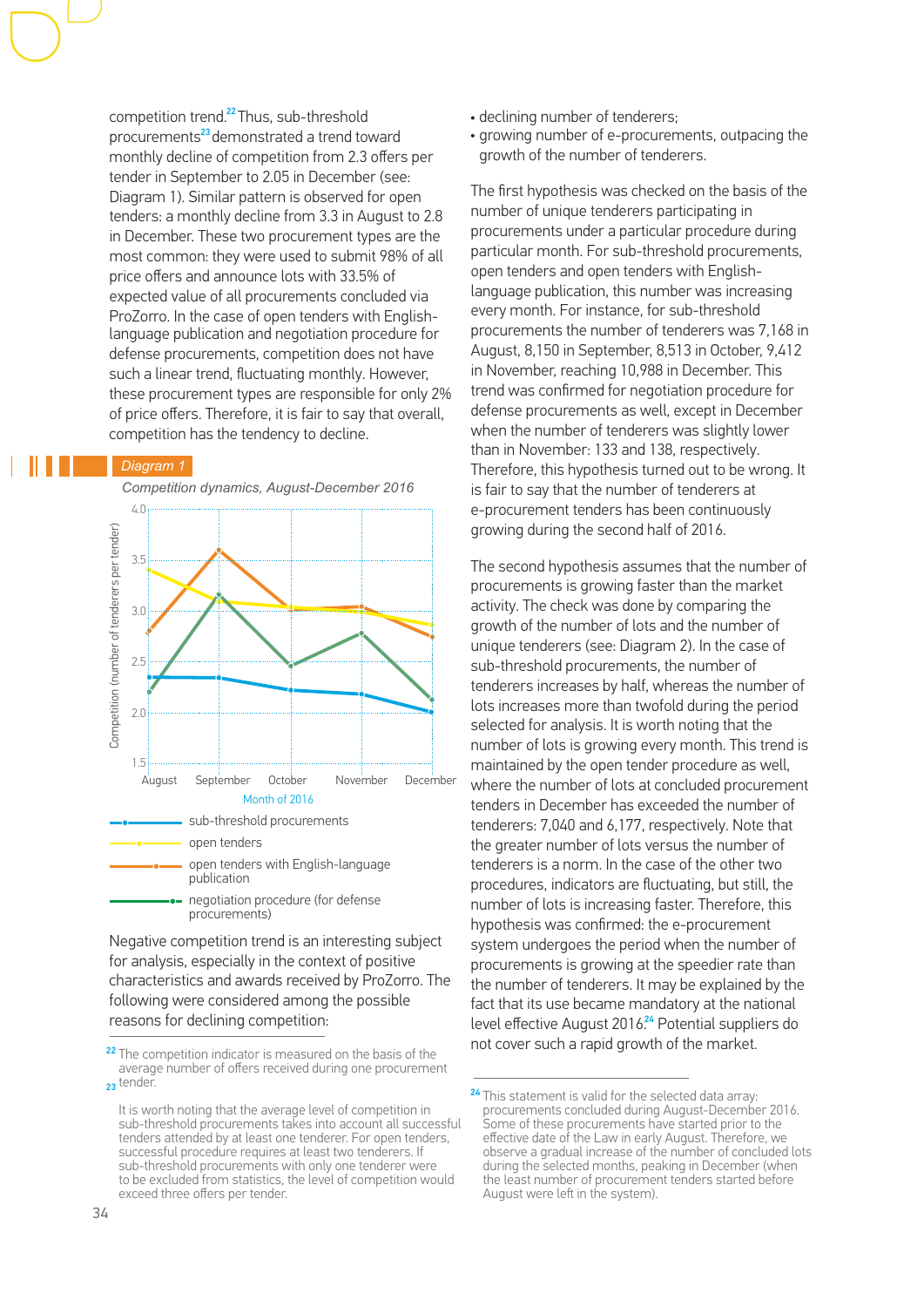competition trend.<sup>22</sup> Thus, sub-threshold procurements<sup>23</sup> demonstrated a trend toward monthly decline of competition from 2.3 offers per tender in September to 2.05 in December (see: Diagram 1). Similar pattern is observed for open tenders: a monthly decline from 3.3 in August to 2.8 in December. These two procurement types are the most common: they were used to submit 98% of all price offers and announce lots with 33.5% of expected value of all procurements concluded via ProZorro. In the case of open tenders with Englishlanguage publication and negotiation procedure for defense procurements, competition does not have such a linear trend, fluctuating monthly. However, these procurement types are responsible for only 2% of price offers. Therefore, it is fair to say that overall, competition has the tendency to decline.

### *Diagram 1*

 *Competition dynamics, August-December 2016*



Negative competition trend is an interesting subject for analysis, especially in the context of positive characteristics and awards received by ProZorro. The following were considered among the possible reasons for declining competition:

- declining number of tenderers;
- growing number of e-procurements, outpacing the growth of the number of tenderers.

The first hypothesis was checked on the basis of the number of unique tenderers participating in procurements under a particular procedure during particular month. For sub-threshold procurements, open tenders and open tenders with Englishlanguage publication, this number was increasing every month. For instance, for sub-threshold procurements the number of tenderers was 7,168 in August, 8,150 in September, 8,513 in October, 9,412 in November, reaching 10,988 in December. This trend was confirmed for negotiation procedure for defense procurements as well, except in December when the number of tenderers was slightly lower than in November: 133 and 138, respectively. Therefore, this hypothesis turned out to be wrong. It is fair to say that the number of tenderers at e-procurement tenders has been continuously growing during the second half of 2016.

The second hypothesis assumes that the number of procurements is growing faster than the market activity. The check was done by comparing the growth of the number of lots and the number of unique tenderers (see: Diagram 2). In the case of sub-threshold procurements, the number of tenderers increases by half, whereas the number of lots increases more than twofold during the period selected for analysis. It is worth noting that the number of lots is growing every month. This trend is maintained by the open tender procedure as well, where the number of lots at concluded procurement tenders in December has exceeded the number of tenderers: 7,040 and 6,177, respectively. Note that the greater number of lots versus the number of tenderers is a norm. In the case of the other two procedures, indicators are fluctuating, but still, the number of lots is increasing faster. Therefore, this hypothesis was confirmed: the e-procurement system undergoes the period when the number of procurements is growing at the speedier rate than the number of tenderers. It may be explained by the fact that its use became mandatory at the national level effective August 2016.<sup>24</sup> Potential suppliers do not cover such a rapid growth of the market.

<sup>&</sup>lt;sup>22</sup> The competition indicator is measured on the basis of the average number of offers received during one procurement 23 tender.

It is worth noting that the average level of competition in sub-threshold procurements takes into account all successful tenders attended by at least one tenderer. For open tenders, successful procedure requires at least two tenderers. If sub-threshold procurements with only one tenderer were to be excluded from statistics, the level of competition would exceed three offers per tender.

<sup>&</sup>lt;sup>24</sup> This statement is valid for the selected data array: procurements concluded during August-December 2016. Some of these procurements have started prior to the effective date of the Law in early August. Therefore, we observe a gradual increase of the number of concluded lots during the selected months, peaking in December (when the least number of procurement tenders started before August were left in the system).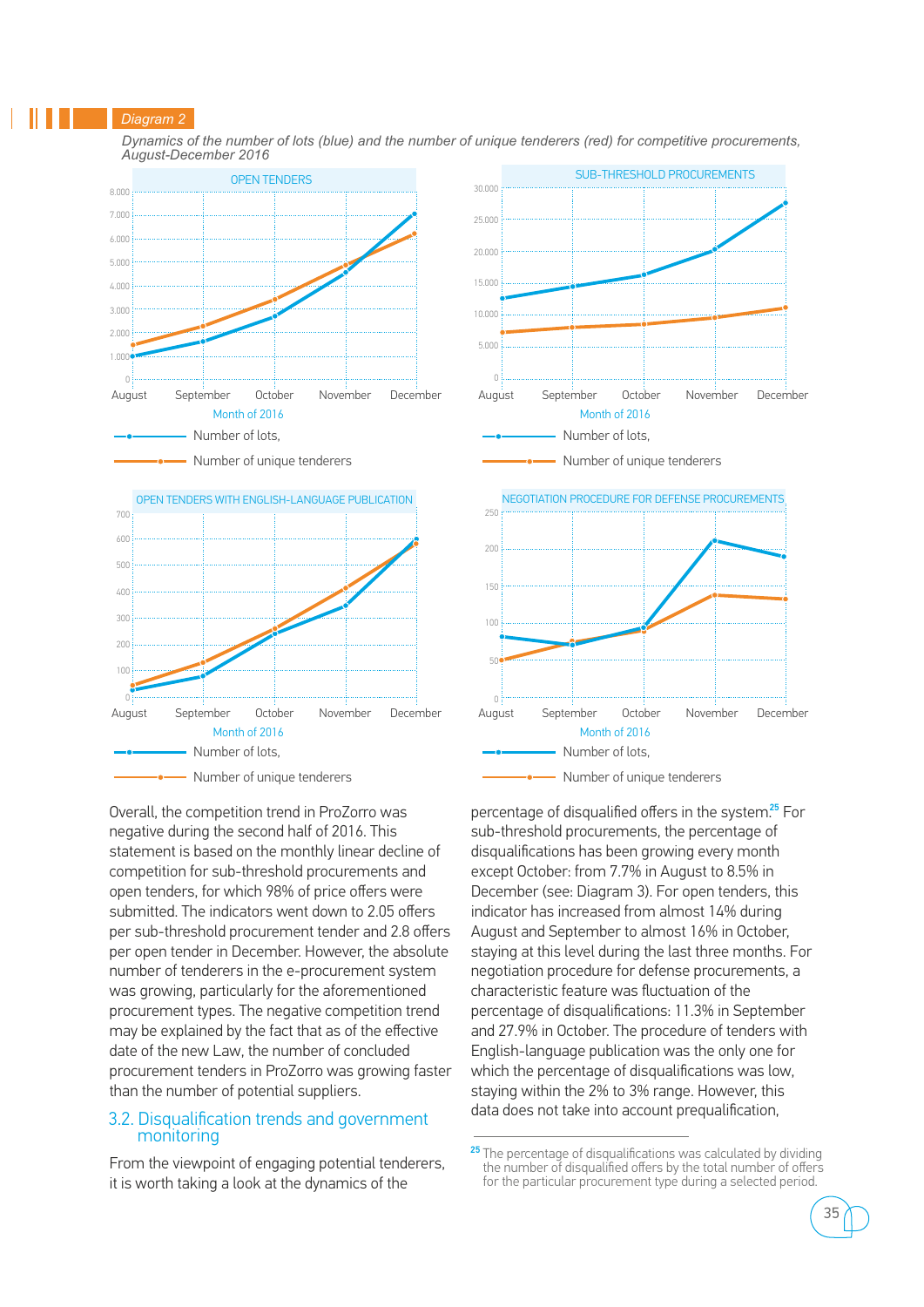#### *Diagram 2*

 *Dynamics of the number of lots (blue) and the number of unique tenderers (red) for competitive procurements, August-December 2016*



Overall, the competition trend in ProZorro was negative during the second half of 2016. This statement is based on the monthly linear decline of competition for sub-threshold procurements and open tenders, for which 98% of price offers were submitted. The indicators went down to 2.05 offers per sub-threshold procurement tender and 2.8 offers per open tender in December. However, the absolute number of tenderers in the e-procurement system was growing, particularly for the aforementioned procurement types. The negative competition trend may be explained by the fact that as of the effective date of the new Law, the number of concluded procurement tenders in ProZorro was growing faster than the number of potential suppliers.

### 3.2. Disqualification trends and government monitoring

From the viewpoint of engaging potential tenderers, it is worth taking a look at the dynamics of the



percentage of disqualified offers in the system.<sup>25</sup> For sub-threshold procurements, the percentage of disqualifications has been growing every month except October: from 7.7% in August to 8.5% in December (see: Diagram 3). For open tenders, this indicator has increased from almost 14% during August and September to almost 16% in October, staying at this level during the last three months. For negotiation procedure for defense procurements, a characteristic feature was fluctuation of the percentage of disqualifications: 11.3% in September and 27.9% in October. The procedure of tenders with English-language publication was the only one for which the percentage of disqualifications was low, staying within the 2% to 3% range. However, this data does not take into account prequalification,

<sup>&</sup>lt;sup>25</sup> The percentage of disqualifications was calculated by dividing the number of disqualified offers by the total number of offers for the particular procurement type during a selected period.

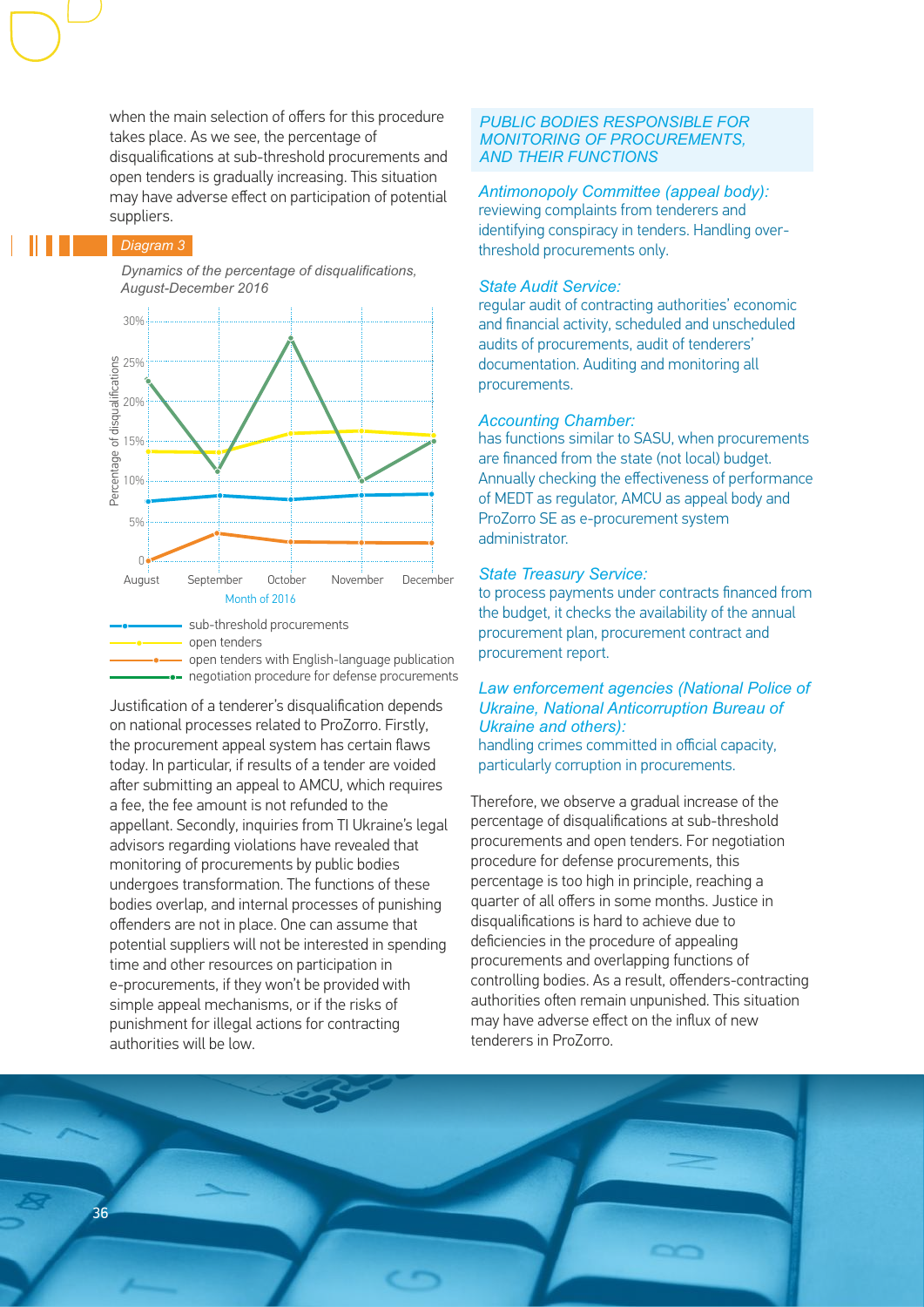when the main selection of offers for this procedure takes place. As we see, the percentage of disqualifications at sub-threshold procurements and open tenders is gradually increasing. This situation may have adverse effect on participation of potential suppliers.

### *Diagram 3*

 *Dynamics of the percentage of disqualifications, August-December 2016*



open tenders with English-language publication **n** negotiation procedure for defense procurements

Justification of a tenderer's disqualification depends on national processes related to ProZorro. Firstly, the procurement appeal system has certain flaws today. In particular, if results of a tender are voided after submitting an appeal to AMCU, which requires a fee, the fee amount is not refunded to the appellant. Secondly, inquiries from TI Ukraine's legal advisors regarding violations have revealed that monitoring of procurements by public bodies undergoes transformation. The functions of these bodies overlap, and internal processes of punishing offenders are not in place. One can assume that potential suppliers will not be interested in spending time and other resources on participation in e-procurements, if they won't be provided with simple appeal mechanisms, or if the risks of punishment for illegal actions for contracting authorities will be low.

### *PUBLIC BODIES RESPONSIBLE FOR MONITORING OF PROCUREMENTS, AND THEIR FUNCTIONS*

*Antimonopoly Committee (appeal body):*  reviewing complaints from tenderers and identifying conspiracy in tenders. Handling overthreshold procurements only.

### *State Audit Service:*

regular audit of contracting authorities' economic and financial activity, scheduled and unscheduled audits of procurements, audit of tenderers' documentation. Auditing and monitoring all procurements.

### *Accounting Chamber:*

has functions similar to SASU, when procurements are financed from the state (not local) budget. Annually checking the effectiveness of performance of MEDT as regulator, AMCU as appeal body and ProZorro SE as e-procurement system administrator.

#### *State Treasury Service:*

to process payments under contracts financed from the budget, it checks the availability of the annual procurement plan, procurement contract and procurement report.

### *Law enforcement agencies (National Police of Ukraine, National Anticorruption Bureau of Ukraine and others):*

handling crimes committed in official capacity, particularly corruption in procurements.

Therefore, we observe a gradual increase of the percentage of disqualifications at sub-threshold procurements and open tenders. For negotiation procedure for defense procurements, this percentage is too high in principle, reaching a quarter of all offers in some months. Justice in disqualifications is hard to achieve due to deficiencies in the procedure of appealing procurements and overlapping functions of controlling bodies. As a result, offenders-contracting authorities often remain unpunished. This situation may have adverse effect on the influx of new tenderers in ProZorro.

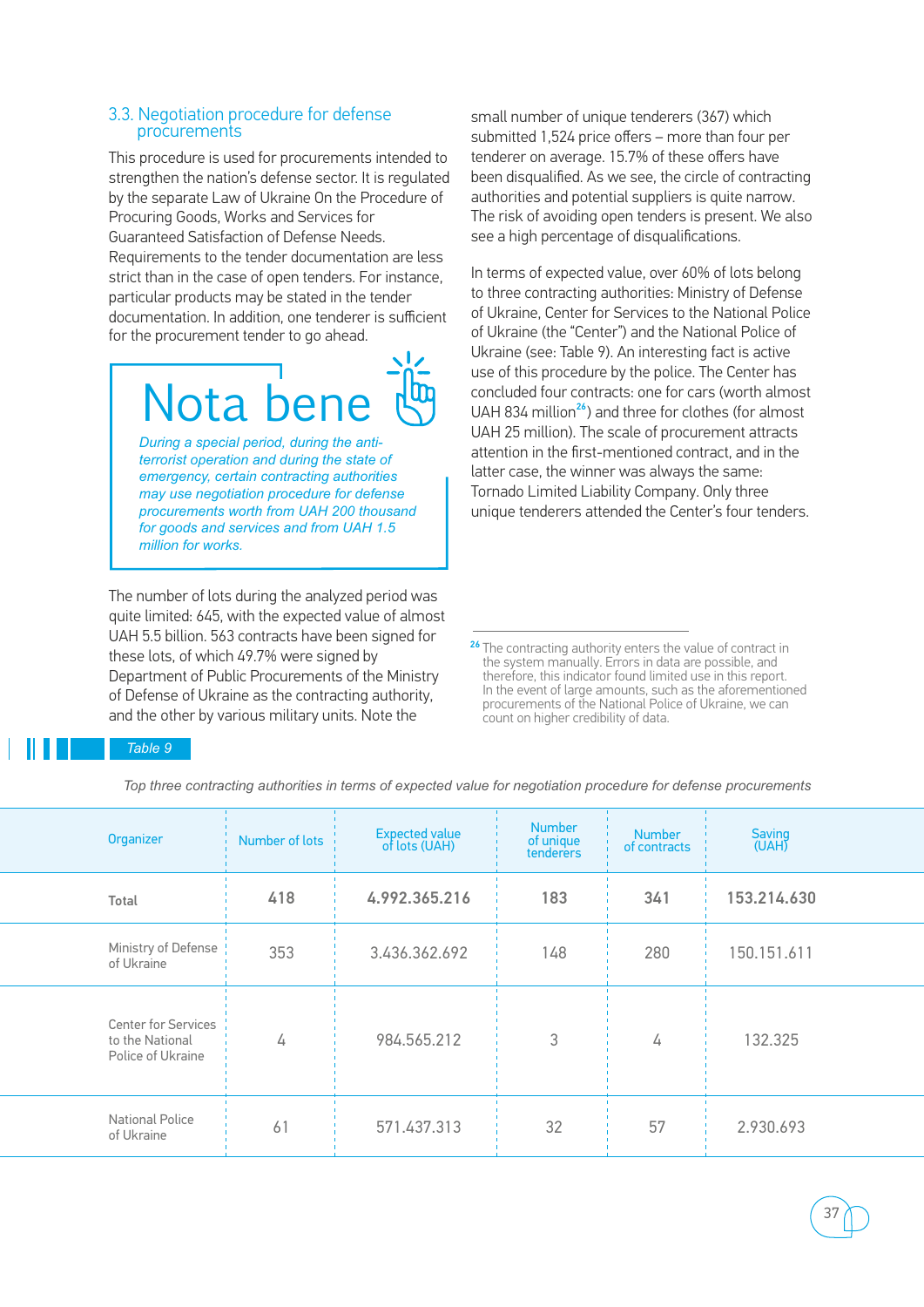### 3.3. Negotiation procedure for defense procurements

This procedure is used for procurements intended to strengthen the nation's defense sector. It is regulated by the separate Law of Ukraine On the Procedure of Procuring Goods, Works and Services for Guaranteed Satisfaction of Defense Needs. Requirements to the tender documentation are less strict than in the case of open tenders. For instance, particular products may be stated in the tender documentation. In addition, one tenderer is sufficient for the procurement tender to go ahead.

## Nota ben

*During a special period, during the antiterrorist operation and during the state of emergency, certain contracting authorities may use negotiation procedure for defense procurements worth from UAH 200 thousand for goods and services and from UAH 1.5 million for works.*

The number of lots during the analyzed period was quite limited: 645, with the expected value of almost UAH 5.5 billion. 563 contracts have been signed for these lots, of which 49.7% were signed by Department of Public Procurements of the Ministry of Defense of Ukraine as the contracting authority, and the other by various military units. Note the

small number of unique tenderers (367) which submitted 1,524 price offers – more than four per tenderer on average. 15.7% of these offers have been disqualified. As we see, the circle of contracting authorities and potential suppliers is quite narrow. The risk of avoiding open tenders is present. We also see a high percentage of disqualifications.

In terms of expected value, over 60% of lots belong to three contracting authorities: Ministry of Defense of Ukraine, Center for Services to the National Police of Ukraine (the "Center") and the National Police of Ukraine (see: Table 9). An interesting fact is active use of this procedure by the police. The Center has concluded four contracts: one for cars (worth almost UAH 834 million<sup>26</sup>) and three for clothes (for almost UAH 25 million). The scale of procurement attracts attention in the first-mentioned contract, and in the latter case, the winner was always the same: Tornado Limited Liability Company. Only three unique tenderers attended the Center's four tenders.

<sup>26</sup> The contracting authority enters the value of contract in the system manually. Errors in data are possible, and therefore, this indicator found limited use in this report. In the event of large amounts, such as the aforementioned procurements of the National Police of Ukraine, we can count on higher credibility of data.

### *Table 9*

 *Top three contracting authorities in terms of expected value for negotiation procedure for defense procurements*

| <b>Number</b><br><b>Saving</b><br><b>Number</b>                                                                          |  |
|--------------------------------------------------------------------------------------------------------------------------|--|
| Expected value<br>of lots (UAH)<br>Organizer<br>Number of lots<br>of unique<br>(UAH)<br>of contracts<br><b>tenderers</b> |  |
| 4.992.365.216<br>418<br>183<br>153.214.630<br>341<br>Total                                                               |  |
| Ministry of Defense<br>353<br>3.436.362.692<br>280<br>150.151.611<br>148<br>of Ukraine                                   |  |
| <b>Center for Services</b><br>3<br>984.565.212<br>132.325<br>to the National<br>4<br>4<br>Police of Ukraine              |  |
| <b>National Police</b><br>571.437.313<br>32<br>57<br>61<br>2.930.693<br>of Ukraine                                       |  |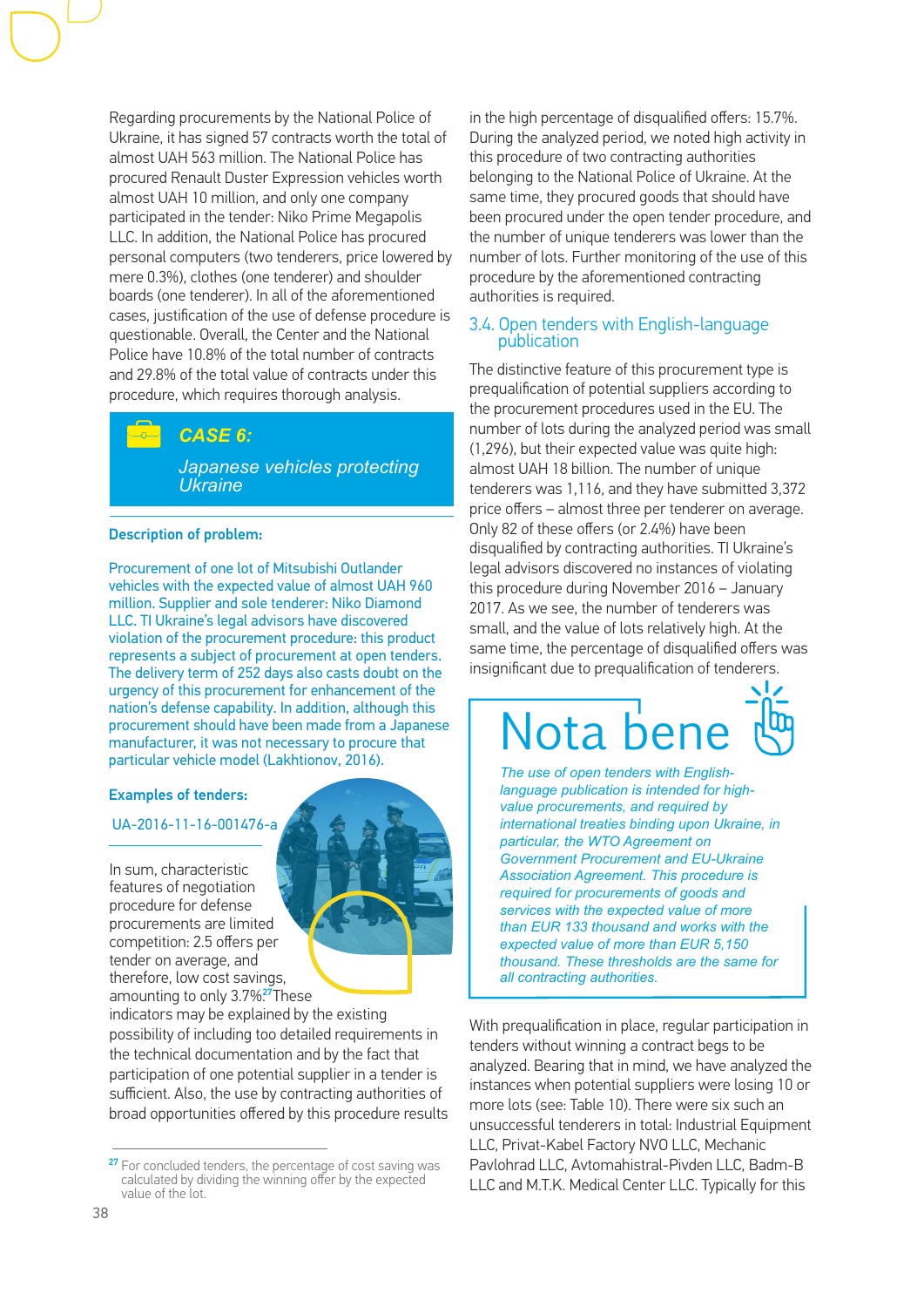Regarding procurements by the National Police of Ukraine, it has signed 57 contracts worth the total of almost UAH 563 million. The National Police has procured Renault Duster Expression vehicles worth almost UAH 10 million, and only one company participated in the tender: Niko Prime Megapolis LLC. In addition, the National Police has procured personal computers (two tenderers, price lowered by mere 0.3%), clothes (one tenderer) and shoulder boards (one tenderer). In all of the aforementioned cases, justification of the use of defense procedure is questionable. Overall, the Center and the National Police have 10.8% of the total number of contracts and 29.8% of the total value of contracts under this procedure, which requires thorough analysis.

### *CASE 6:*

*Japanese vehicles protecting Ukraine*

### Description of problem:

Procurement of one lot of Mitsubishi Outlander vehicles with the expected value of almost UAH 960 million. Supplier and sole tenderer: Niko Diamond LLC. TI Ukraine's legal advisors have discovered violation of the procurement procedure: this product represents a subject of procurement at open tenders. The delivery term of 252 days also casts doubt on the urgency of this procurement for enhancement of the nation's defense capability. In addition, although this procurement should have been made from a Japanese manufacturer, it was not necessary to procure that particular vehicle model (Lakhtionov, 2016).

#### Examples of tenders:

### UA-2016-11-16-001476-a

In sum, characteristic features of negotiation procedure for defense procurements are limited competition: 2.5 offers per tender on average, and therefore, low cost savings, amounting to only 3.7%? These

indicators may be explained by the existing possibility of including too detailed requirements in the technical documentation and by the fact that participation of one potential supplier in a tender is sufficient. Also, the use by contracting authorities of broad opportunities offered by this procedure results in the high percentage of disqualified offers: 15.7%. During the analyzed period, we noted high activity in this procedure of two contracting authorities belonging to the National Police of Ukraine. At the same time, they procured goods that should have been procured under the open tender procedure, and the number of unique tenderers was lower than the number of lots. Further monitoring of the use of this procedure by the aforementioned contracting authorities is required.

### 3.4. Open tenders with English-language publication

The distinctive feature of this procurement type is prequalification of potential suppliers according to the procurement procedures used in the EU. The number of lots during the analyzed period was small (1,296), but their expected value was quite high: almost UAH 18 billion. The number of unique tenderers was 1,116, and they have submitted 3,372 price offers – almost three per tenderer on average. Only 82 of these offers (or 2.4%) have been disqualified by contracting authorities. TI Ukraine's legal advisors discovered no instances of violating this procedure during November 2016 – January 2017. As we see, the number of tenderers was small, and the value of lots relatively high. At the same time, the percentage of disqualified offers was insignificant due to prequalification of tenderers.

## Nota ber

*The use of open tenders with Englishlanguage publication is intended for highvalue procurements, and required by international treaties binding upon Ukraine, in particular, the WTO Agreement on Government Procurement and EU-Ukraine Association Agreement. This procedure is required for procurements of goods and services with the expected value of more than EUR 133 thousand and works with the expected value of more than EUR 5,150 thousand. These thresholds are the same for all contracting authorities.*

With prequalification in place, regular participation in tenders without winning a contract begs to be analyzed. Bearing that in mind, we have analyzed the instances when potential suppliers were losing 10 or more lots (see: Table 10). There were six such an unsuccessful tenderers in total: Industrial Equipment LLC, Privat-Kabel Factory NVO LLC, Mechanic Pavlohrad LLC, Avtomahistral-Pivden LLC, Badm-B LLC and M.T.K. Medical Center LLC. Typically for this

<sup>&</sup>lt;sup>27</sup> For concluded tenders, the percentage of cost saving was calculated by dividing the winning offer by the expected value of the lot.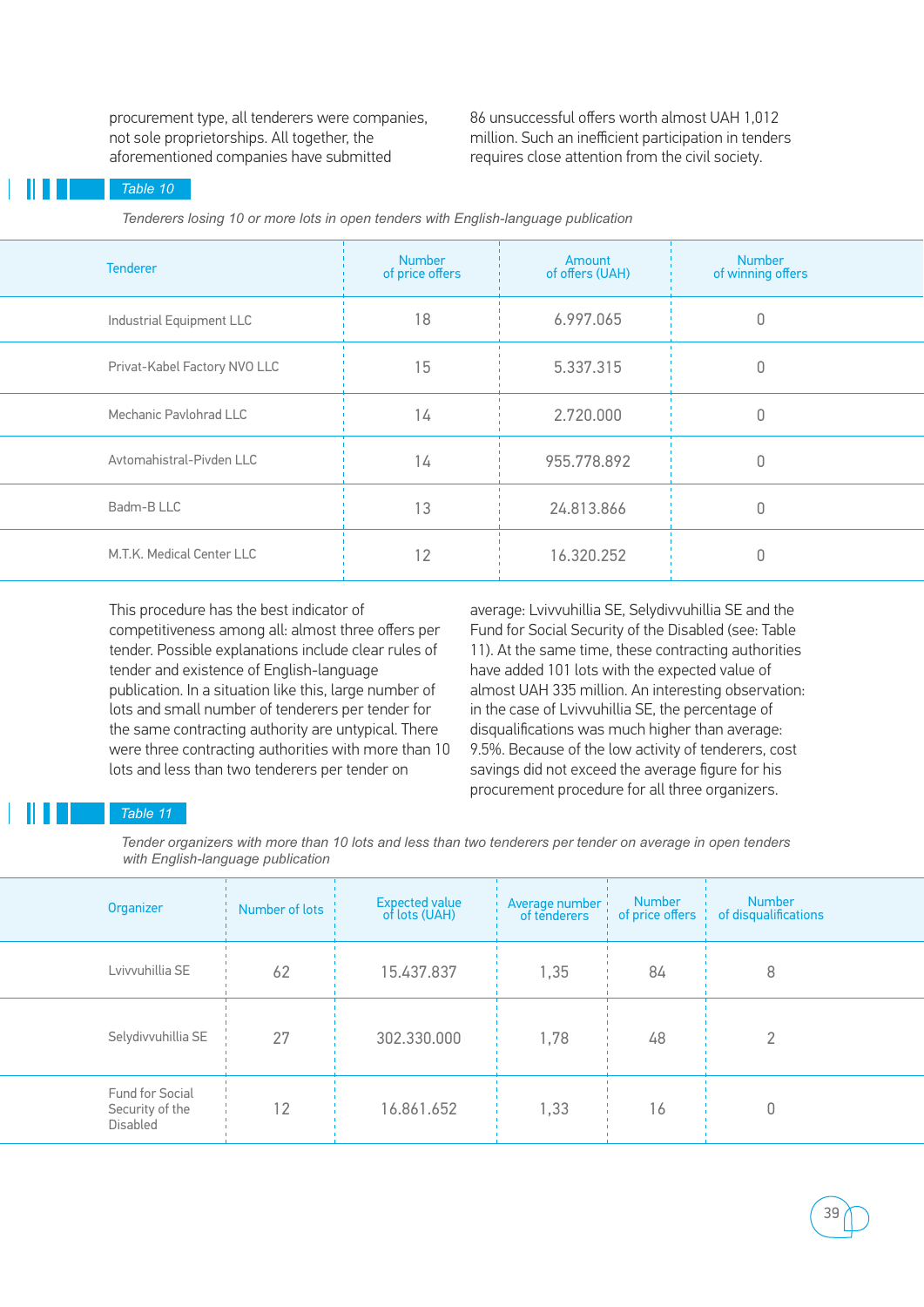procurement type, all tenderers were companies, not sole proprietorships. All together, the aforementioned companies have submitted

86 unsuccessful offers worth almost UAH 1,012 million. Such an inefficient participation in tenders requires close attention from the civil society.

### *Table 10*

 *Tenderers losing 10 or more lots in open tenders with English-language publication*

| <b>Tenderer</b>              | <b>Number</b><br>of price offers | Amount<br>of offers (UAH) | <b>Number</b><br>of winning offers |
|------------------------------|----------------------------------|---------------------------|------------------------------------|
| Industrial Equipment LLC     | 18                               | 6.997.065                 |                                    |
| Privat-Kabel Factory NVO LLC | 15                               | 5.337.315                 |                                    |
| Mechanic Pavlohrad LLC       | 14                               | 2.720.000                 | 0                                  |
| Avtomahistral-Pivden LLC     | 14                               | 955.778.892               | Ω                                  |
| Badm-B LLC                   | 13                               | 24.813.866                |                                    |
| M.T.K. Medical Center LLC    | 12                               | 16.320.252                |                                    |

This procedure has the best indicator of competitiveness among all: almost three offers per tender. Possible explanations include clear rules of tender and existence of English-language publication. In a situation like this, large number of lots and small number of tenderers per tender for the same contracting authority are untypical. There were three contracting authorities with more than 10 lots and less than two tenderers per tender on

average: Lvivvuhillia SE, Selydivvuhillia SE and the Fund for Social Security of the Disabled (see: Table 11). At the same time, these contracting authorities have added 101 lots with the expected value of almost UAH 335 million. An interesting observation: in the case of Lvivvuhillia SE, the percentage of disqualifications was much higher than average: 9.5%. Because of the low activity of tenderers, cost savings did not exceed the average figure for his procurement procedure for all three organizers.

### *Table 11*

 *Tender organizers with more than 10 lots and less than two tenderers per tender on average in open tenders with English-language publication*

| Organizer                                             | Number of lots | <b>Expected value</b><br>of lots (UAH) | Average number<br>of tenderers | <b>Number</b><br>of price offers $\frac{1}{2}$ | <b>Number</b><br>of disqualifications |
|-------------------------------------------------------|----------------|----------------------------------------|--------------------------------|------------------------------------------------|---------------------------------------|
| Lvivvuhillia SE                                       | 62             | 15.437.837                             | 1,35                           | 84                                             | 8                                     |
| Selydivvuhillia SE                                    | 27             | 302.330.000                            | 1,78                           | 48                                             |                                       |
| Fund for Social<br>Security of the<br><b>Disabled</b> | 12             | 16.861.652                             | 1,33                           | 16                                             |                                       |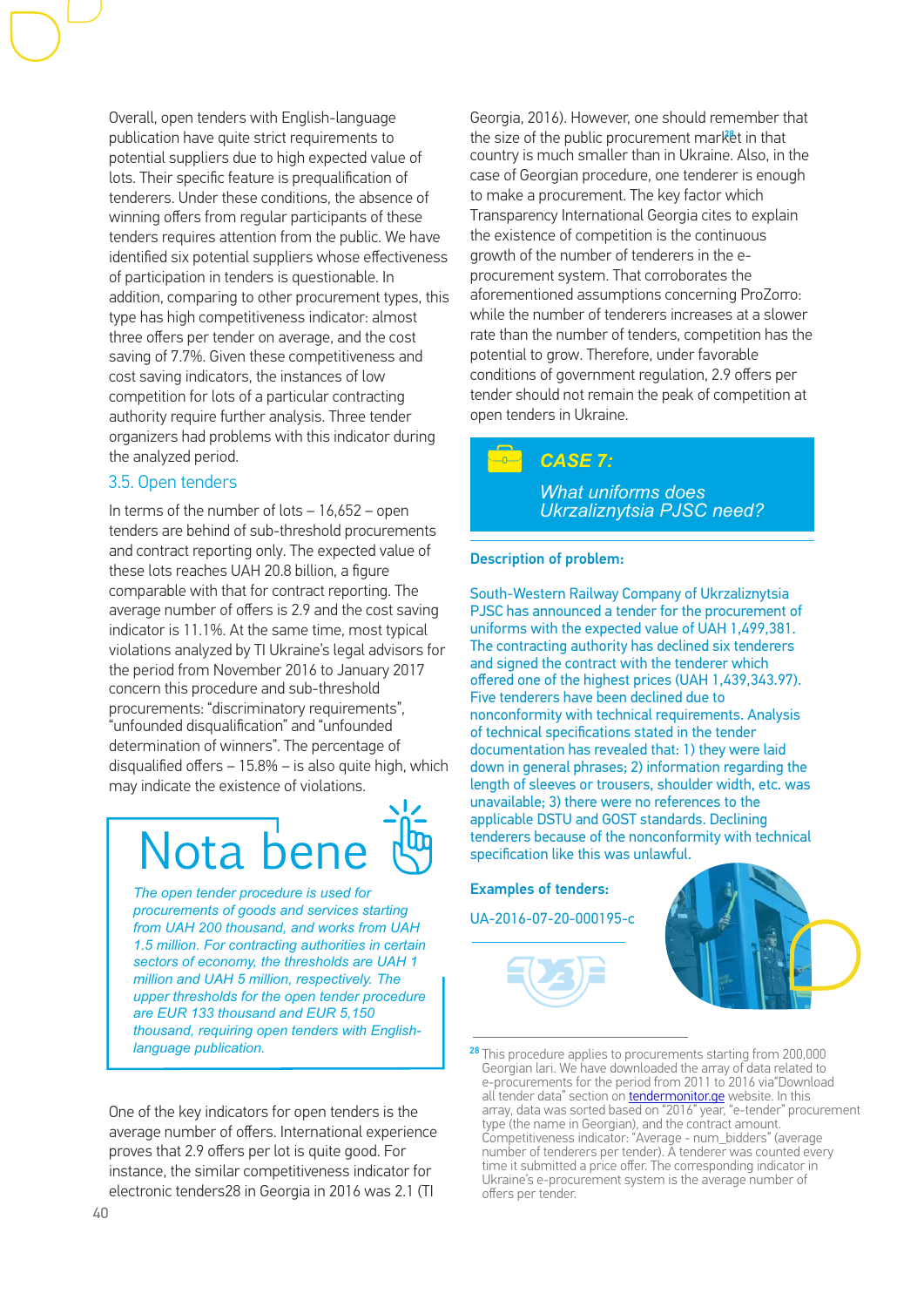Overall, open tenders with English-language publication have quite strict requirements to potential suppliers due to high expected value of lots. Their specific feature is prequalification of tenderers. Under these conditions, the absence of winning offers from regular participants of these tenders requires attention from the public. We have identified six potential suppliers whose effectiveness of participation in tenders is questionable. In addition, comparing to other procurement types, this type has high competitiveness indicator: almost three offers per tender on average, and the cost saving of 7.7%. Given these competitiveness and cost saving indicators, the instances of low competition for lots of a particular contracting authority require further analysis. Three tender organizers had problems with this indicator during the analyzed period.

### 3.5. Open tenders

In terms of the number of lots  $-16,652 -$  open tenders are behind of sub-threshold procurements and contract reporting only. The expected value of these lots reaches UAH 20.8 billion, a figure comparable with that for contract reporting. The average number of offers is 2.9 and the cost saving indicator is 11.1%. At the same time, most typical violations analyzed by TI Ukraine's legal advisors for the period from November 2016 to January 2017 concern this procedure and sub-threshold procurements: "discriminatory requirements", "unfounded disqualification" and "unfounded determination of winners". The percentage of disqualified offers – 15.8% – is also quite high, which may indicate the existence of violations.

## Nota be

*The open tender procedure is used for procurements of goods and services starting from UAH 200 thousand, and works from UAH 1.5 million. For contracting authorities in certain sectors of economy, the thresholds are UAH 1 million and UAH 5 million, respectively. The upper thresholds for the open tender procedure are EUR 133 thousand and EUR 5,150 thousand, requiring open tenders with Englishlanguage publication.*

One of the key indicators for open tenders is the average number of offers. International experience proves that 2.9 offers per lot is quite good. For instance, the similar competitiveness indicator for electronic tenders28 in Georgia in 2016 was 2.1 (ТІ

Georgia, 2016). However, one should remember that the size of the public procurement market in that country is much smaller than in Ukraine. Also, in the case of Georgian procedure, one tenderer is enough to make a procurement. The key factor which Тransparency International Georgia cites to explain the existence of competition is the continuous growth of the number of tenderers in the eprocurement system. That corroborates the aforementioned assumptions concerning ProZorro: while the number of tenderers increases at a slower rate than the number of tenders, competition has the potential to grow. Therefore, under favorable conditions of government regulation, 2.9 offers per tender should not remain the peak of competition at open tenders in Ukraine.

### *CASE 7:*

*What uniforms does Ukrzaliznytsia PJSC need?*

### Description of problem:

South-Western Railway Company of Ukrzaliznytsia PJSC has announced a tender for the procurement of uniforms with the expected value of UAH 1,499,381. The contracting authority has declined six tenderers and signed the contract with the tenderer which offered one of the highest prices (UAH 1,439,343.97). Five tenderers have been declined due to nonconformity with technical requirements. Analysis of technical specifications stated in the tender documentation has revealed that: 1) they were laid down in general phrases; 2) information regarding the length of sleeves or trousers, shoulder width, etc. was unavailable; 3) there were no references to the applicable DSTU and GOST standards. Declining tenderers because of the nonconformity with technical specification like this was unlawful.

Examples of tenders:

UA-2016-07-20-000195-c





<sup>&</sup>lt;sup>28</sup> This procedure applies to procurements starting from 200,000 Georgian lari. We have downloaded the array of data related to e-procurements for the period from 2011 to 2016 via"Download all tender data" section on [tendermonitor.ge](http://tendermonitor.ge) website. In this array, data was sorted based on "2016" year, "e-tender" procurement type (the name in Georgian), and the contract amount. Competitiveness indicator: "Average - num\_bidders" (average number of tenderers per tender). A tenderer was counted every time it submitted a price offer. The corresponding indicator in Ukraine's e-procurement system is the average number of offers per tender.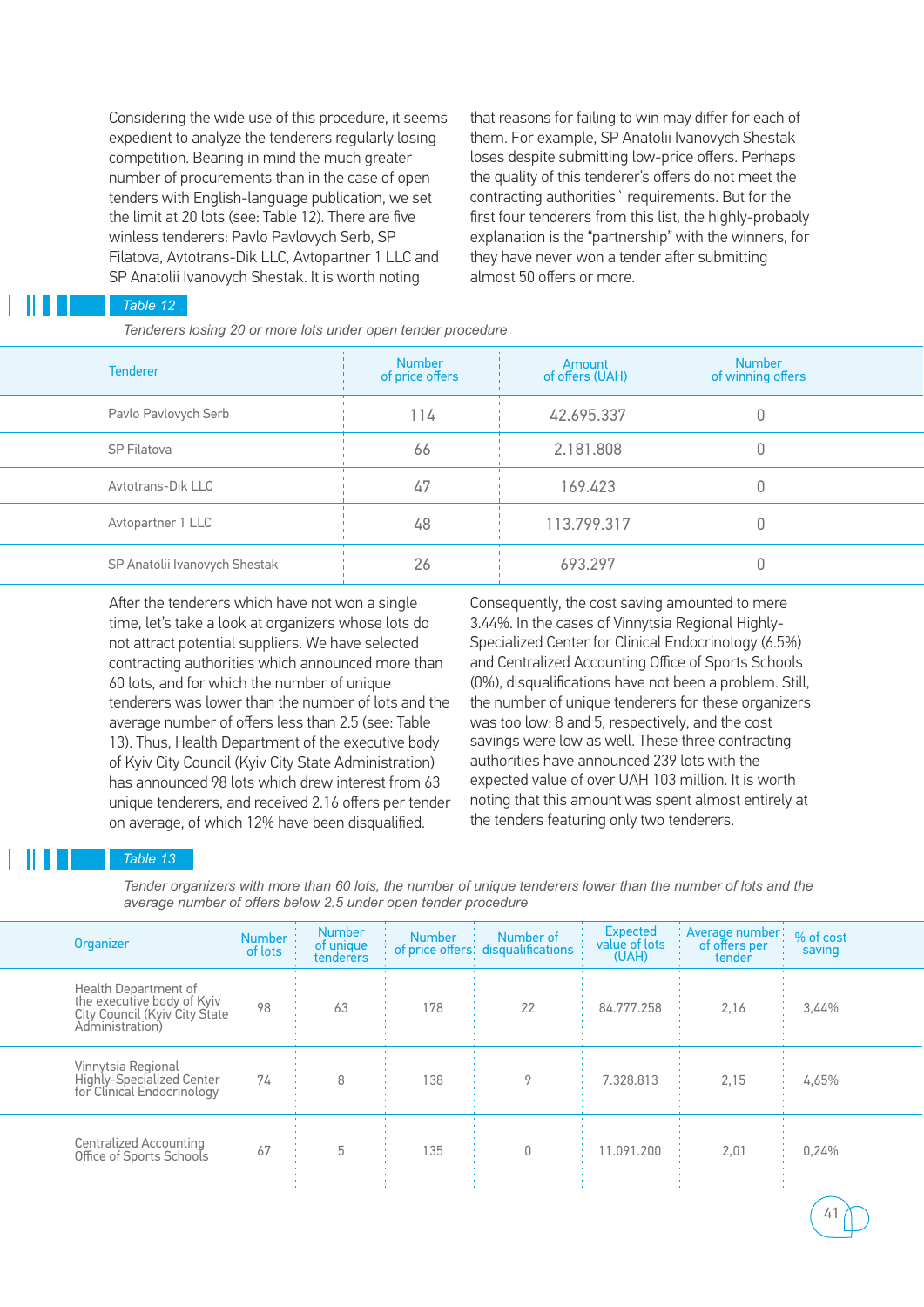Considering the wide use of this procedure, it seems expedient to analyze the tenderers regularly losing competition. Bearing in mind the much greater number of procurements than in the case of open tenders with English-language publication, we set the limit at 20 lots (see: Table 12). There are five winless tenderers: Pavlo Pavlovych Serb, SP Filatova, Avtotrans-Dik LLC, Avtopartner 1 LLC and SP Anatolii Ivanovych Shestak. It is worth noting

that reasons for failing to win may differ for each of them. For example, SP Anatolii Ivanovych Shestak loses despite submitting low-price offers. Perhaps the quality of this tenderer's offers do not meet the contracting authorities` requirements. But for the first four tenderers from this list, the highly-probably explanation is the "partnership" with the winners, for they have never won a tender after submitting almost 50 offers or more.

### *Table 12*

 *Tenderers losing 20 or more lots under open tender procedure*

| <b>Tenderer</b>               | <b>Number</b><br>of price offers | Amount<br>of offers (UAH) | <b>Number</b><br>of winning offers |
|-------------------------------|----------------------------------|---------------------------|------------------------------------|
| Pavlo Pavlovych Serb          | 14                               | 42.695.337                |                                    |
| SP Filatova                   | 66                               | 2.181.808                 |                                    |
| Avtotrans-Dik LLC             | 47                               | 169.423                   |                                    |
| Avtopartner 1 LLC             | 48                               | 113.799.317               |                                    |
| SP Anatolii Ivanovych Shestak | 26                               | 693.297                   |                                    |

After the tenderers which have not won a single time, let's take a look at organizers whose lots do not attract potential suppliers. We have selected contracting authorities which announced more than 60 lots, and for which the number of unique tenderers was lower than the number of lots and the average number of offers less than 2.5 (see: Table 13). Thus, Health Department of the executive body of Kyiv City Council (Kyiv City State Administration) has announced 98 lots which drew interest from 63 unique tenderers, and received 2.16 offers per tender on average, of which 12% have been disqualified.

Consequently, the cost saving amounted to mere 3.44%. In the cases of Vinnytsia Regional Highly-Specialized Center for Clinical Endocrinology (6.5%) and Centralized Accounting Office of Sports Schools (0%), disqualifications have not been a problem. Still, the number of unique tenderers for these organizers was too low: 8 and 5, respectively, and the cost savings were low as well. These three contracting authorities have announced 239 lots with the expected value of over UAH 103 million. It is worth noting that this amount was spent almost entirely at the tenders featuring only two tenderers.

41

### *Table 13*

*Tender organizers with more than 60 lots, the number of unique tenderers lower than the number of lots and the average number of offers below 2.5 under open tender procedure*

| Organizer                                                                                              | <b>Number</b><br>of lots | <b>Number</b><br>of unique<br>tenderers | <b>Number</b> | Number of<br>to f price offerst disqualifications | <b>Expected</b><br>value of lots<br>(UAH) | : Average number:<br>of offers per<br>tender | % of cost<br>saving |
|--------------------------------------------------------------------------------------------------------|--------------------------|-----------------------------------------|---------------|---------------------------------------------------|-------------------------------------------|----------------------------------------------|---------------------|
| Health Department of<br>the executive body of Kyiv<br>City Council (Kyiv City State<br>Administration) | 98                       | 63                                      | 178           | 22                                                | 84.777.258                                | 2,16                                         | 3,44%               |
| Vinnytsia Regional<br><b>Highly-Specialized Center</b><br>for Clinical Endocrinology                   | 74                       | 8                                       | 138           |                                                   | 7.328.813                                 | 2,15                                         | 4,65%               |
| Centralized Accounting<br>Office of Sports Schools                                                     | 67                       | 5                                       | 135           |                                                   | 1.091.200                                 | 2,01                                         | 0,24%               |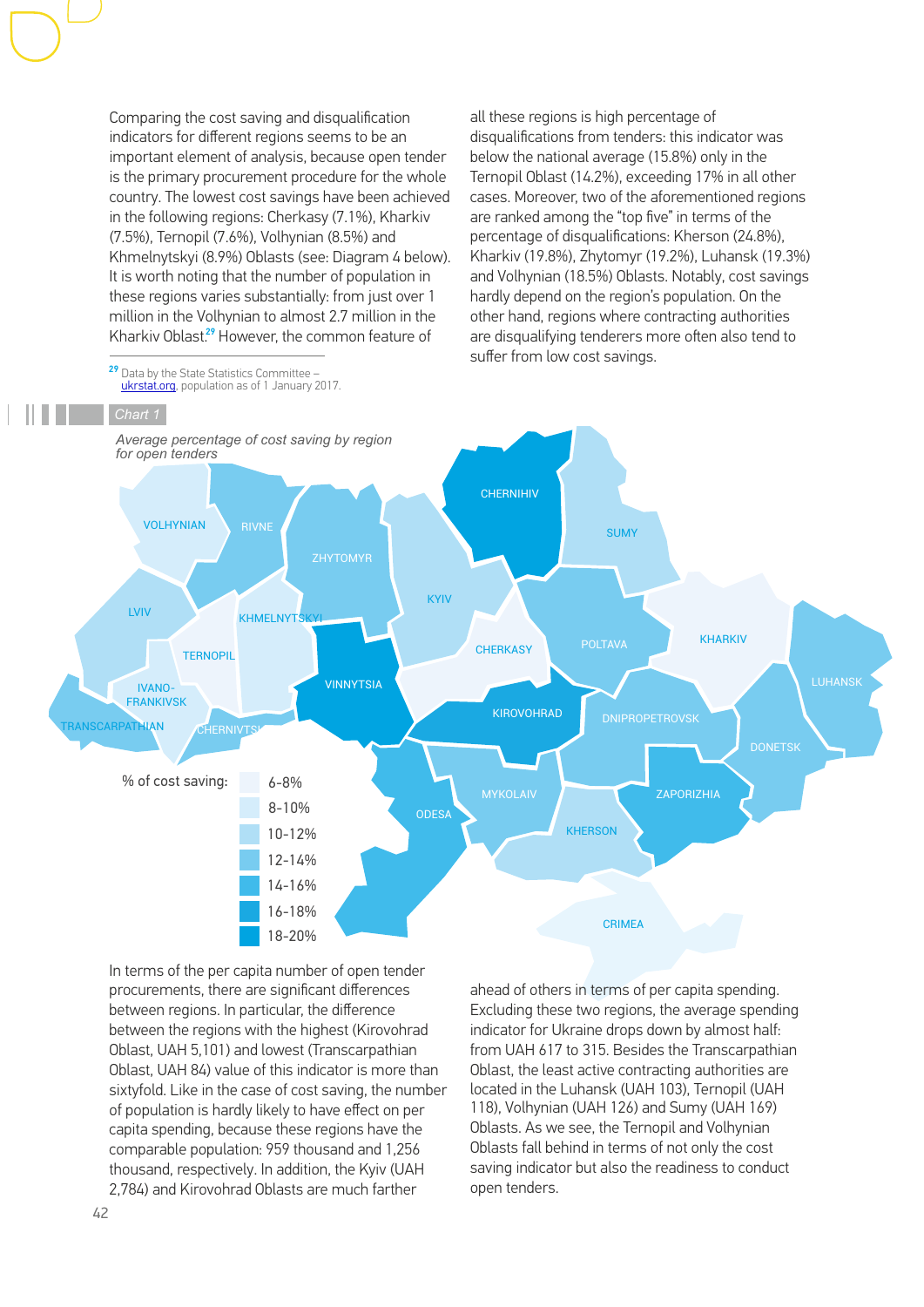Comparing the cost saving and disqualification indicators for different regions seems to be an important element of analysis, because open tender is the primary procurement procedure for the whole country. The lowest cost savings have been achieved in the following regions: Cherkasy (7.1%), Kharkiv (7.5%), Ternopil (7.6%), Volhynian (8.5%) and Khmelnytskyi (8.9%) Oblasts (see: Diagram 4 below). It is worth noting that the number of population in these regions varies substantially: from just over 1 million in the Volhynian to almost 2.7 million in the Kharkiv Oblast.<sup>29</sup> However, the common feature of

all these regions is high percentage of disqualifications from tenders: this indicator was below the national average (15.8%) only in the Ternopil Oblast (14.2%), exceeding 17% in all other cases. Moreover, two of the aforementioned regions are ranked among the "top five" in terms of the percentage of disqualifications: Kherson (24.8%), Kharkiv (19.8%), Zhytomyr (19.2%), Luhansk (19.3%) and Volhynian (18.5%) Oblasts. Notably, cost savings hardly depend on the region's population. On the other hand, regions where contracting authorities are disqualifying tenderers more often also tend to suffer from low cost savings.

 $29$  Data by the State Statistics Committee – [ukrstat.org](http://ukrstat.org), population as of 1 January 2017.



In terms of the per capita number of open tender procurements, there are significant differences between regions. In particular, the difference between the regions with the highest (Kirovohrad Oblast, UAH 5,101) and lowest (Transcarpathian Oblast, UAH 84) value of this indicator is more than sixtyfold. Like in the case of cost saving, the number of population is hardly likely to have effect on per capita spending, because these regions have the comparable population: 959 thousand and 1,256 thousand, respectively. In addition, the Kyiv (UAH 2,784) and Kirovohrad Oblasts are much farther

ahead of others in terms of per capita spending. Excluding these two regions, the average spending indicator for Ukraine drops down by almost half: from UAH 617 to 315. Besides the Transcarpathian Oblast, the least active contracting authorities are located in the Luhansk (UAH 103), Ternopil (UAH 118), Volhynian (UAH 126) and Sumy (UAH 169) Oblasts. As we see, the Ternopil and Volhynian Oblasts fall behind in terms of not only the cost saving indicator but also the readiness to conduct open tenders.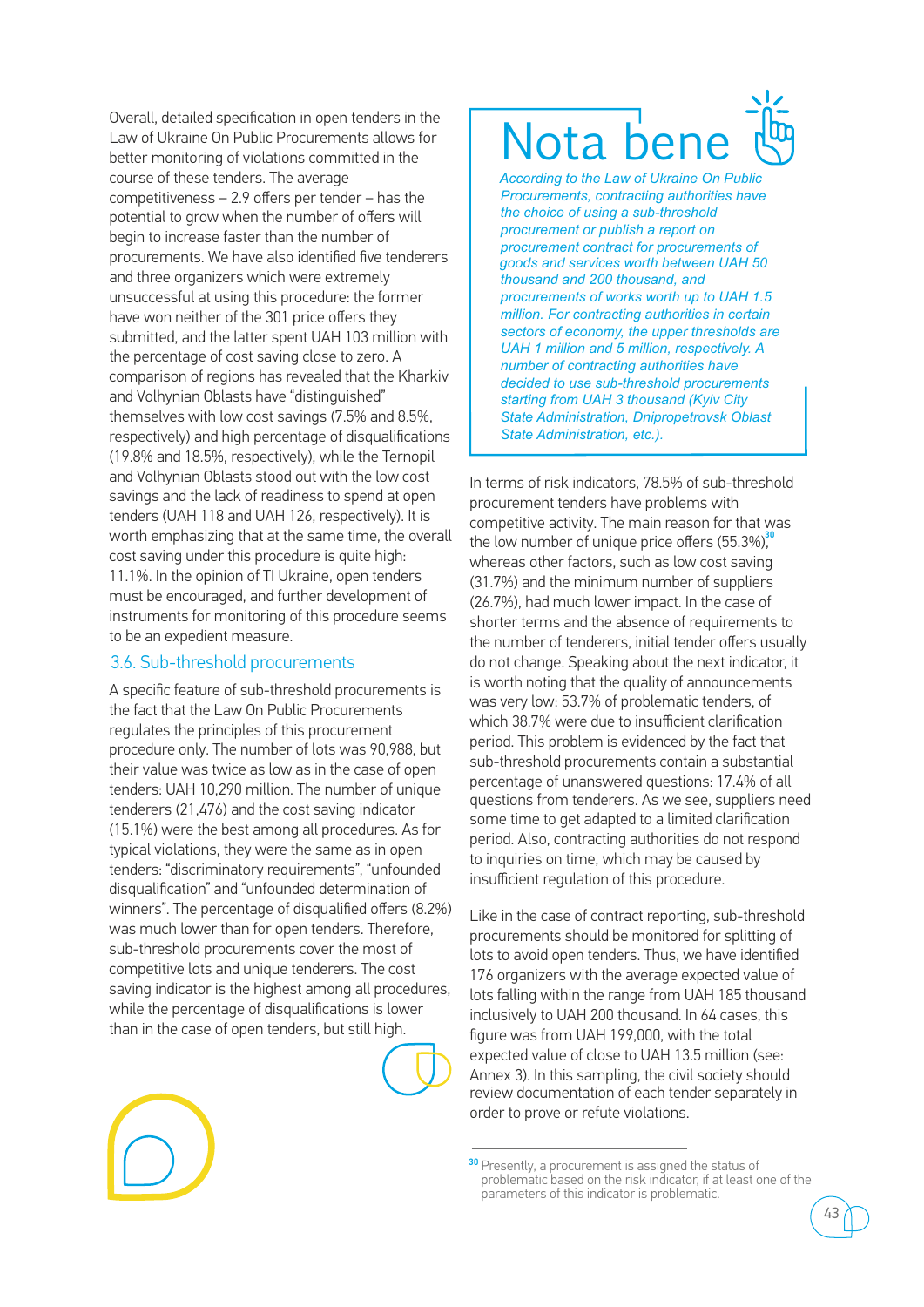Overall, detailed specification in open tenders in the Law of Ukraine On Public Procurements allows for better monitoring of violations committed in the course of these tenders. The average competitiveness – 2.9 offers per tender – has the potential to grow when the number of offers will begin to increase faster than the number of procurements. We have also identified five tenderers and three organizers which were extremely unsuccessful at using this procedure: the former have won neither of the 301 price offers they submitted, and the latter spent UAH 103 million with the percentage of cost saving close to zero. A comparison of regions has revealed that the Kharkiv and Volhynian Oblasts have "distinguished" themselves with low cost savings (7.5% and 8.5%, respectively) and high percentage of disqualifications (19.8% and 18.5%, respectively), while the Ternopil and Volhynian Oblasts stood out with the low cost savings and the lack of readiness to spend at open tenders (UAH 118 and UAH 126, respectively). It is worth emphasizing that at the same time, the overall cost saving under this procedure is quite high: 11.1%. In the opinion of TI Ukraine, open tenders must be encouraged, and further development of instruments for monitoring of this procedure seems to be an expedient measure.

### 3.6. Sub-threshold procurements

A specific feature of sub-threshold procurements is the fact that the Law On Public Procurements regulates the principles of this procurement procedure only. The number of lots was 90,988, but their value was twice as low as in the case of open tenders: UAH 10,290 million. The number of unique tenderers (21,476) and the cost saving indicator (15.1%) were the best among all procedures. As for typical violations, they were the same as in open tenders: "discriminatory requirements", "unfounded disqualification" and "unfounded determination of winners". The percentage of disqualified offers (8.2%) was much lower than for open tenders. Therefore, sub-threshold procurements cover the most of competitive lots and unique tenderers. The cost saving indicator is the highest among all procedures, while the percentage of disqualifications is lower than in the case of open tenders, but still high.



## Nota be

*According to the Law of Ukraine On Public Procurements, contracting authorities have the choice of using a sub-threshold procurement or publish a report on procurement contract for procurements of goods and services worth between UAH 50 thousand and 200 thousand, and procurements of works worth up to UAH 1.5 million. For contracting authorities in certain sectors of economy, the upper thresholds are UAH 1 million and 5 million, respectively. A number of contracting authorities have decided to use sub-threshold procurements starting from UAH 3 thousand (Kyiv City State Administration, Dnipropetrovsk Oblast State Administration, etc.).*

In terms of risk indicators, 78.5% of sub-threshold procurement tenders have problems with competitive activity. The main reason for that was the low number of unique price offers  $(55.3\%)$ <sup>30</sup> whereas other factors, such as low cost saving (31.7%) and the minimum number of suppliers (26.7%), had much lower impact. In the case of shorter terms and the absence of requirements to the number of tenderers, initial tender offers usually do not change. Speaking about the next indicator, it is worth noting that the quality of announcements was very low: 53.7% of problematic tenders, of which 38.7% were due to insufficient clarification period. This problem is evidenced by the fact that sub-threshold procurements contain a substantial percentage of unanswered questions: 17.4% of all questions from tenderers. As we see, suppliers need some time to get adapted to a limited clarification period. Also, contracting authorities do not respond to inquiries on time, which may be caused by insufficient regulation of this procedure.

Like in the case of contract reporting, sub-threshold procurements should be monitored for splitting of lots to avoid open tenders. Thus, we have identified 176 organizers with the average expected value of lots falling within the range from UAH 185 thousand inclusively to UAH 200 thousand. In 64 cases, this figure was from UAH 199,000, with the total expected value of close to UAH 13.5 million (see: Annex 3). In this sampling, the civil society should review documentation of each tender separately in order to prove or refute violations.

<sup>30</sup> Presently, a procurement is assigned the status of problematic based on the risk indicator, if at least one of the parameters of this indicator is problematic.

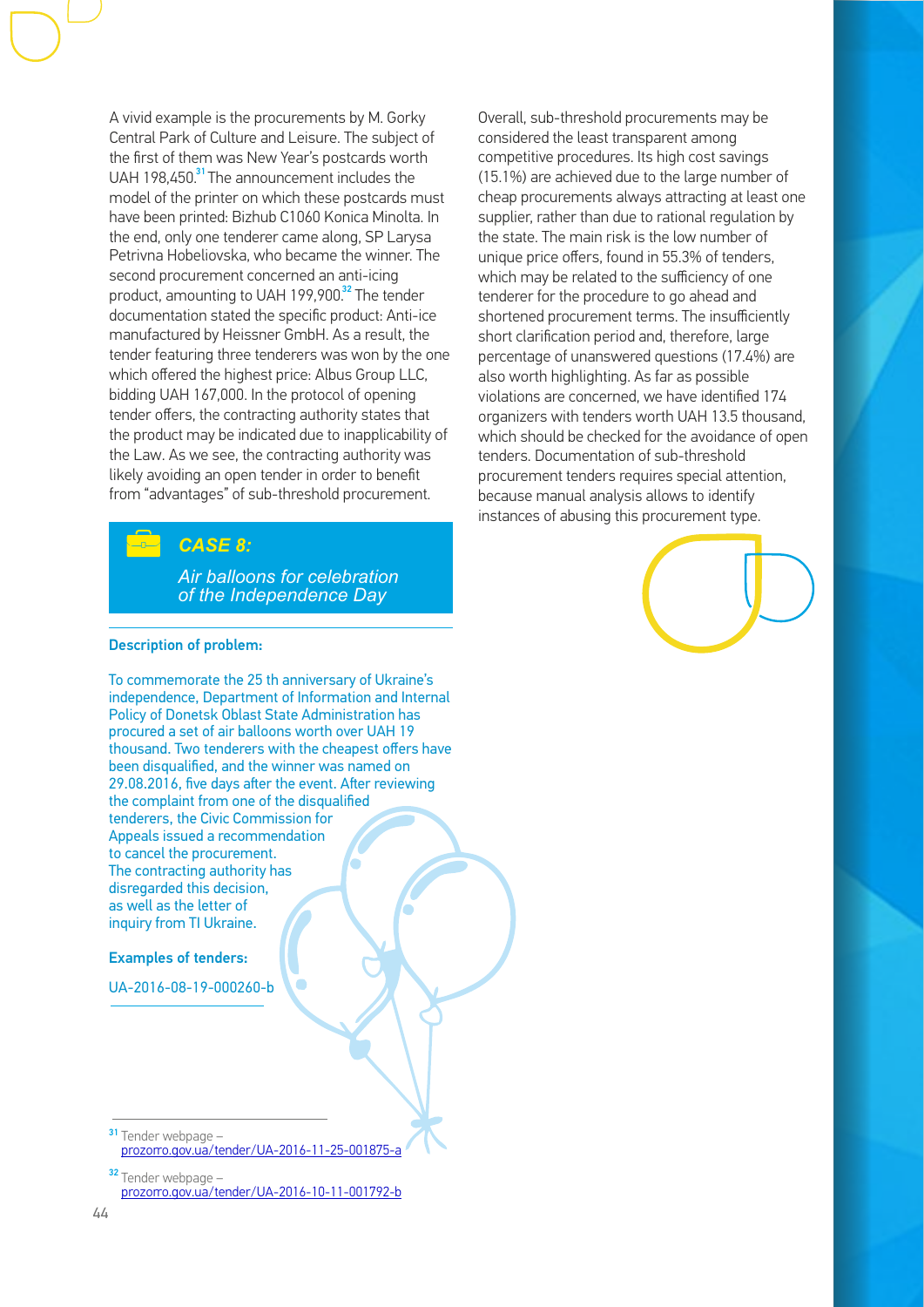A vivid example is the procurements by M. Gorky Central Park of Culture and Leisure. The subject of the first of them was New Year's postcards worth UAH 198,450.<sup>31</sup> The announcement includes the model of the printer on which these postcards must have been printed: Bizhub С1060 Konica Minolta. In the end, only one tenderer came along, SP Larysa Petrivna Hobeliovska, who became the winner. The second procurement concerned an anti-icing product, amounting to UAH 199,900.<sup>32</sup> The tender documentation stated the specific product: Anti-ice manufactured by Heissner GmbH. As a result, the tender featuring three tenderers was won by the one which offered the highest price: Albus Group LLC, bidding UAH 167,000. In the protocol of opening tender offers, the contracting authority states that the product may be indicated due to inapplicability of the Law. As we see, the contracting authority was likely avoiding an open tender in order to benefit from "advantages" of sub-threshold procurement.

### *CASE 8:*

*Air balloons for celebration of the Independence Day*

### Description of problem:

To commemorate the 25 th anniversary of Ukraine's independence, Department of Information and Internal Policy of Donetsk Oblast State Administration has procured a set of air balloons worth over UAH 19 thousand. Two tenderers with the cheapest offers have been disqualified, and the winner was named on 29.08.2016, five days after the event. After reviewing the complaint from one of the disqualified tenderers, the Civic Commission for Appeals issued a recommendation to cancel the procurement. The contracting authority has disregarded this decision, as well as the letter of inquiry from TI Ukraine.

Examples of tenders:

UA-2016-08-19-000260-b

Overall, sub-threshold procurements may be considered the least transparent among competitive procedures. Its high cost savings (15.1%) are achieved due to the large number of cheap procurements always attracting at least one supplier, rather than due to rational regulation by the state. The main risk is the low number of unique price offers, found in 55.3% of tenders, which may be related to the sufficiency of one tenderer for the procedure to go ahead and shortened procurement terms. The insufficiently short clarification period and, therefore, large percentage of unanswered questions (17.4%) are also worth highlighting. As far as possible violations are concerned, we have identified 174 organizers with tenders worth UAH 13.5 thousand, which should be checked for the avoidance of open tenders. Documentation of sub-threshold procurement tenders requires special attention, because manual analysis allows to identify instances of abusing this procurement type.



<sup>31</sup> Tender webpage [prozorro.gov.ua/tender/UA-2016-11-25-001875-a](https://prozorro.gov.ua/tender/UA-2016-11-25-001875-a)

 $32$  Tender webpage  $$ [prozorro.gov.ua/tender/UA-2016-10-11-001792-b](https://prozorro.gov.ua/tender/UA-2016-10-11-001792-b)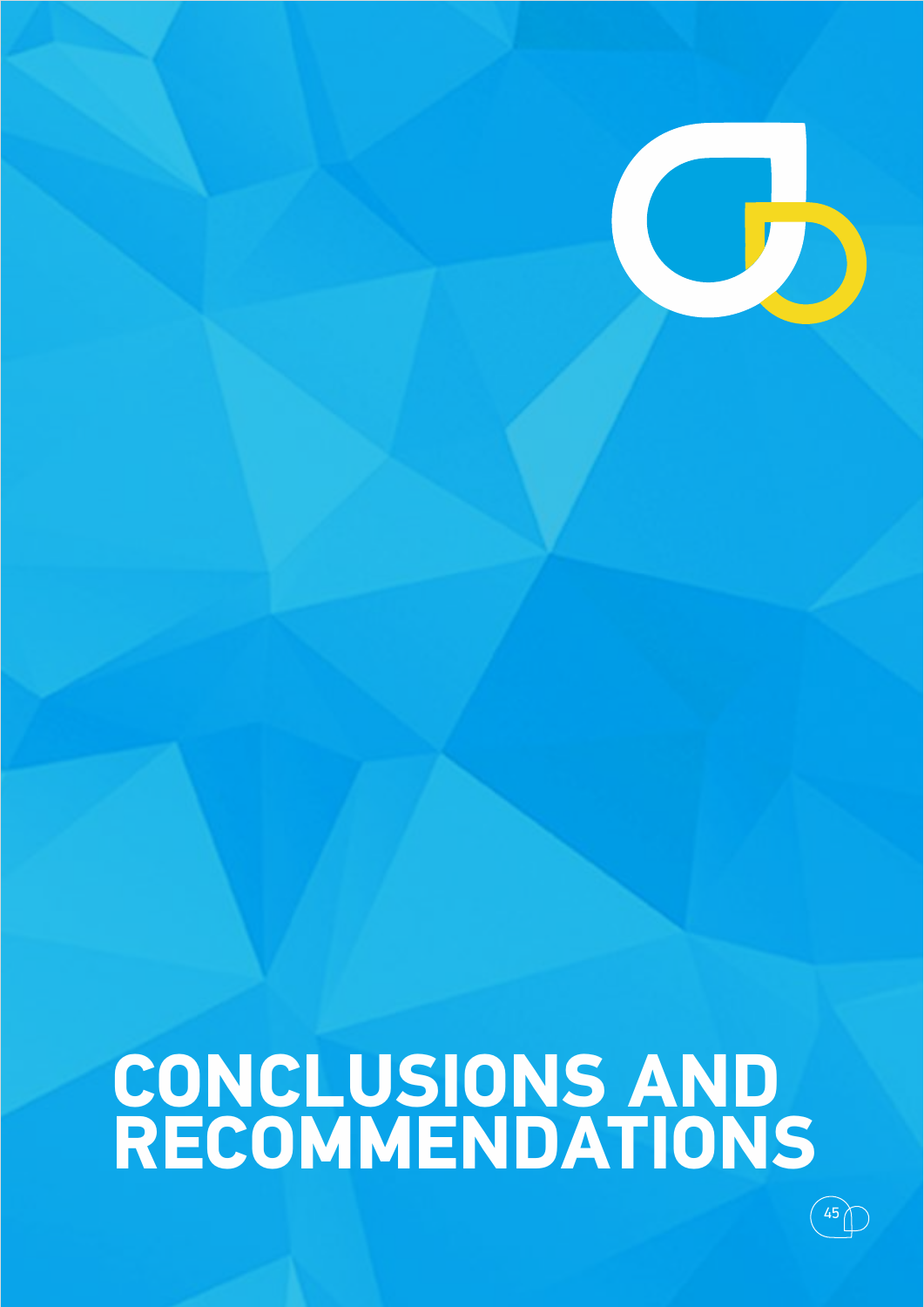## **CONCLUSIONS AND RECOMMENDATIONS**

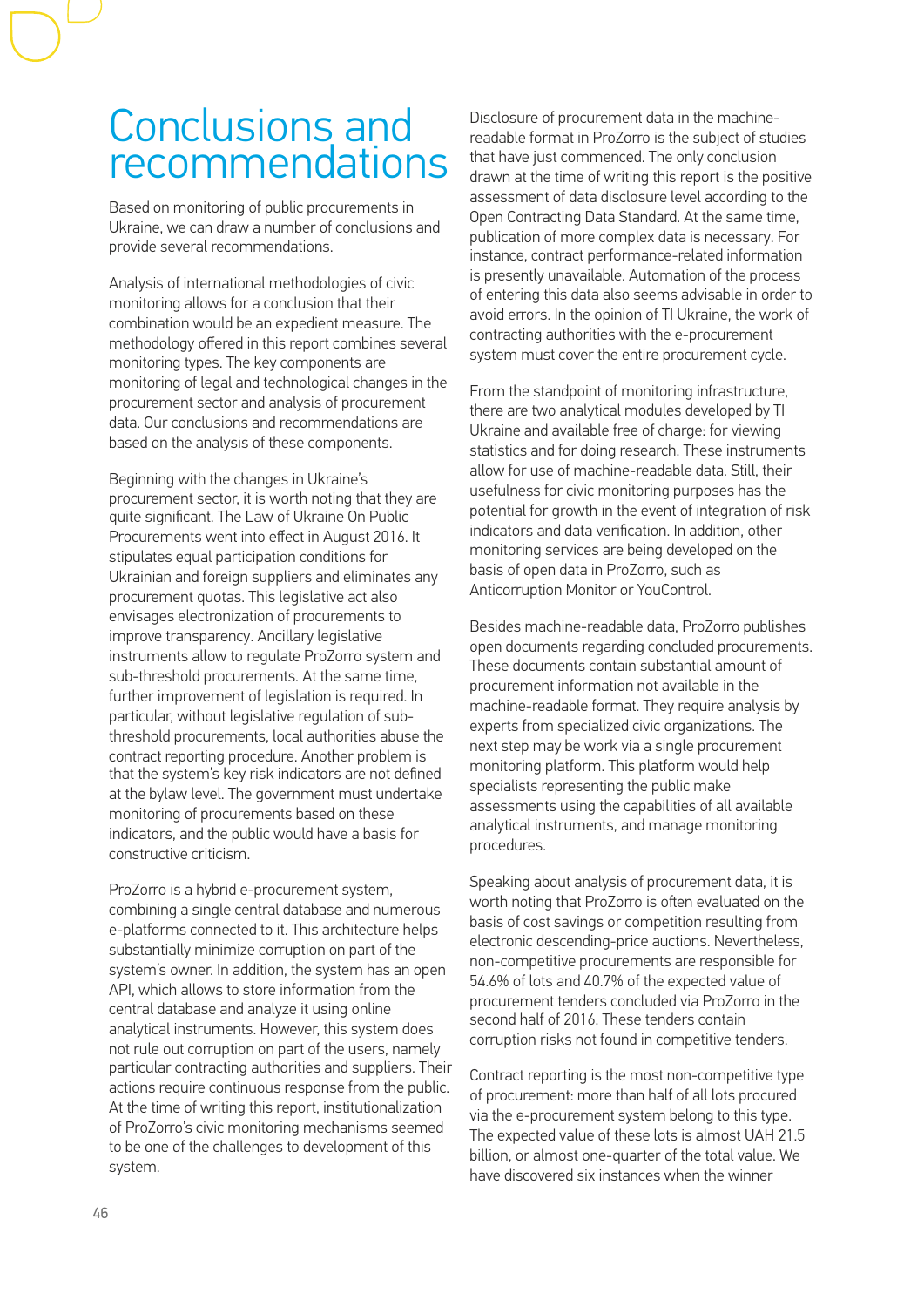### Conclusions and recommendations

Based on monitoring of public procurements in Ukraine, we can draw a number of conclusions and provide several recommendations.

Analysis of international methodologies of civic monitoring allows for a conclusion that their combination would be an expedient measure. The methodology offered in this report combines several monitoring types. The key components are monitoring of legal and technological changes in the procurement sector and analysis of procurement data. Our conclusions and recommendations are based on the analysis of these components.

Beginning with the changes in Ukraine's procurement sector, it is worth noting that they are quite significant. The Law of Ukraine On Public Procurements went into effect in August 2016. It stipulates equal participation conditions for Ukrainian and foreign suppliers and eliminates any procurement quotas. This legislative act also envisages electronization of procurements to improve transparency. Ancillary legislative instruments allow to regulate ProZorro system and sub-threshold procurements. At the same time, further improvement of legislation is required. In particular, without legislative regulation of subthreshold procurements, local authorities abuse the contract reporting procedure. Another problem is that the system's key risk indicators are not defined at the bylaw level. The government must undertake monitoring of procurements based on these indicators, and the public would have a basis for constructive criticism.

ProZorro is a hybrid e-procurement system, combining a single central database and numerous e-platforms connected to it. This architecture helps substantially minimize corruption on part of the system's owner. In addition, the system has an open АРІ, which allows to store information from the central database and analyze it using online analytical instruments. However, this system does not rule out corruption on part of the users, namely particular contracting authorities and suppliers. Their actions require continuous response from the public. At the time of writing this report, institutionalization of ProZorro's civic monitoring mechanisms seemed to be one of the challenges to development of this system.

Disclosure of procurement data in the machinereadable format in ProZorro is the subject of studies that have just commenced. The only conclusion drawn at the time of writing this report is the positive assessment of data disclosure level according to the Open Contracting Data Standard. At the same time, publication of more complex data is necessary. For instance, contract performance-related information is presently unavailable. Automation of the process of entering this data also seems advisable in order to avoid errors. In the opinion of TI Ukraine, the work of contracting authorities with the e-procurement system must cover the entire procurement cycle.

From the standpoint of monitoring infrastructure, there are two analytical modules developed by TI Ukraine and available free of charge: for viewing statistics and for doing research. These instruments allow for use of machine-readable data. Still, their usefulness for civic monitoring purposes has the potential for growth in the event of integration of risk indicators and data verification. In addition, other monitoring services are being developed on the basis of open data in ProZorro, such as Anticorruption Monitor or YouControl.

Besides machine-readable data, ProZorro publishes open documents regarding concluded procurements. These documents contain substantial amount of procurement information not available in the machine-readable format. They require analysis by experts from specialized civic organizations. The next step may be work via a single procurement monitoring platform. This platform would help specialists representing the public make assessments using the capabilities of all available analytical instruments, and manage monitoring procedures.

Speaking about analysis of procurement data, it is worth noting that ProZorro is often evaluated on the basis of cost savings or competition resulting from electronic descending-price auctions. Nevertheless, non-competitive procurements are responsible for 54.6% of lots and 40.7% of the expected value of procurement tenders concluded via ProZorro in the second half of 2016. These tenders contain corruption risks not found in competitive tenders.

Contract reporting is the most non-competitive type of procurement: more than half of all lots procured via the e-procurement system belong to this type. The expected value of these lots is almost UAH 21.5 billion, or almost one-quarter of the total value. We have discovered six instances when the winner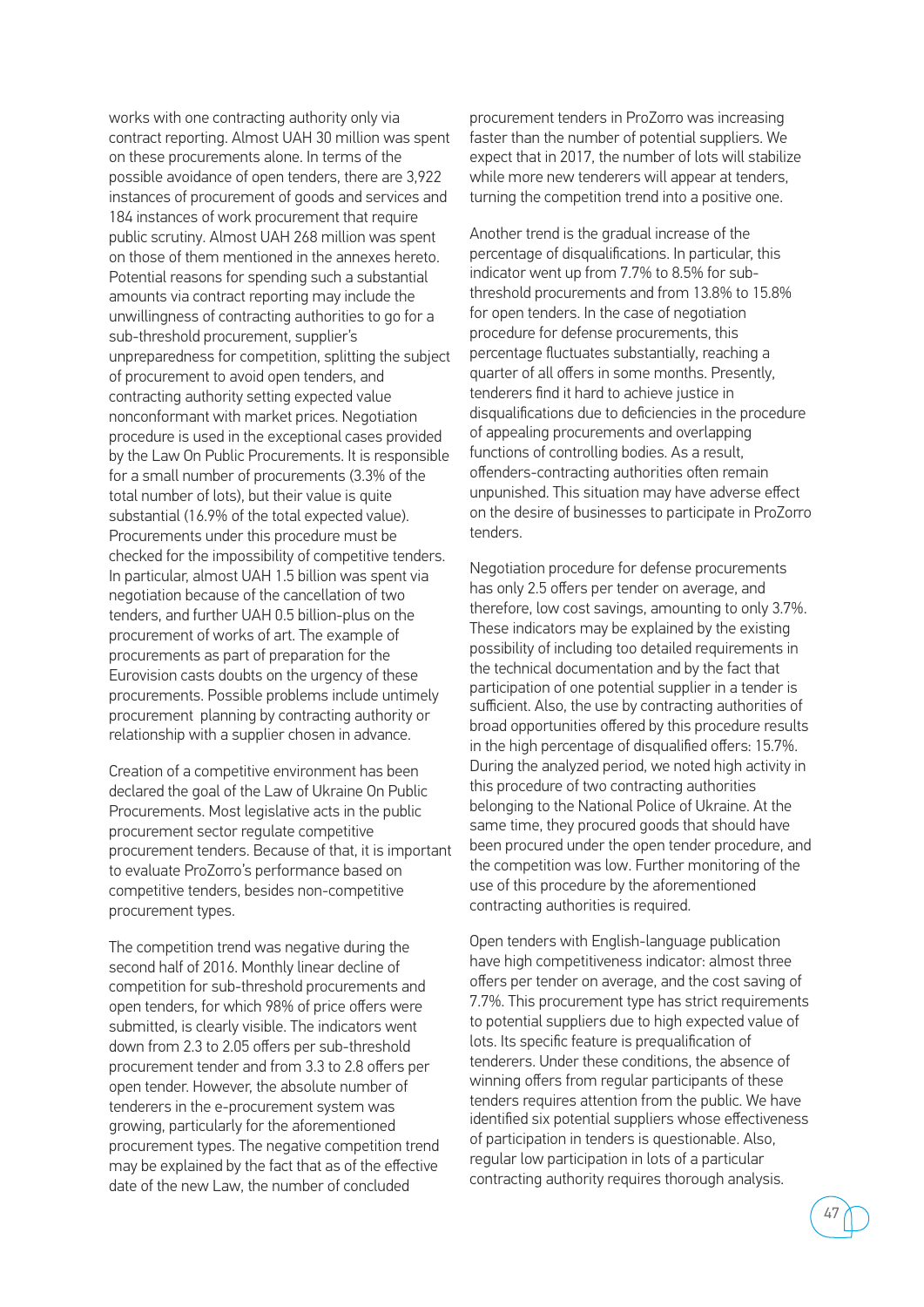works with one contracting authority only via contract reporting. Almost UAH 30 million was spent on these procurements alone. In terms of the possible avoidance of open tenders, there are 3,922 instances of procurement of goods and services and 184 instances of work procurement that require public scrutiny. Almost UAH 268 million was spent on those of them mentioned in the annexes hereto. Potential reasons for spending such a substantial amounts via contract reporting may include the unwillingness of contracting authorities to go for a sub-threshold procurement, supplier's unpreparedness for competition, splitting the subject of procurement to avoid open tenders, and contracting authority setting expected value nonconformant with market prices. Negotiation procedure is used in the exceptional cases provided by the Law On Public Procurements. It is responsible for a small number of procurements (3.3% of the total number of lots), but their value is quite substantial (16.9% of the total expected value). Procurements under this procedure must be checked for the impossibility of competitive tenders. In particular, almost UAH 1.5 billion was spent via negotiation because of the cancellation of two tenders, and further UAH 0.5 billion-plus on the procurement of works of art. The example of procurements as part of preparation for the Eurovision casts doubts on the urgency of these procurements. Possible problems include untimely procurement planning by contracting authority or relationship with a supplier chosen in advance.

Creation of a competitive environment has been declared the goal of the Law of Ukraine On Public Procurements. Most legislative acts in the public procurement sector regulate competitive procurement tenders. Because of that, it is important to evaluate ProZorro's performance based on competitive tenders, besides non-competitive procurement types.

The competition trend was negative during the second half of 2016. Monthly linear decline of competition for sub-threshold procurements and open tenders, for which 98% of price offers were submitted, is clearly visible. The indicators went down from 2.3 to 2.05 offers per sub-threshold procurement tender and from 3.3 to 2.8 offers per open tender. However, the absolute number of tenderers in the e-procurement system was growing, particularly for the aforementioned procurement types. The negative competition trend may be explained by the fact that as of the effective date of the new Law, the number of concluded

procurement tenders in ProZorro was increasing faster than the number of potential suppliers. We expect that in 2017, the number of lots will stabilize while more new tenderers will appear at tenders, turning the competition trend into a positive one.

Another trend is the gradual increase of the percentage of disqualifications. In particular, this indicator went up from 7.7% to 8.5% for subthreshold procurements and from 13.8% to 15.8% for open tenders. In the case of negotiation procedure for defense procurements, this percentage fluctuates substantially, reaching a quarter of all offers in some months. Presently, tenderers find it hard to achieve justice in disqualifications due to deficiencies in the procedure of appealing procurements and overlapping functions of controlling bodies. As a result, offenders-contracting authorities often remain unpunished. This situation may have adverse effect on the desire of businesses to participate in ProZorro tenders.

Negotiation procedure for defense procurements has only 2.5 offers per tender on average, and therefore, low cost savings, amounting to only 3.7%. These indicators may be explained by the existing possibility of including too detailed requirements in the technical documentation and by the fact that participation of one potential supplier in a tender is sufficient. Also, the use by contracting authorities of broad opportunities offered by this procedure results in the high percentage of disqualified offers: 15.7%. During the analyzed period, we noted high activity in this procedure of two contracting authorities belonging to the National Police of Ukraine. At the same time, they procured goods that should have been procured under the open tender procedure, and the competition was low. Further monitoring of the use of this procedure by the aforementioned contracting authorities is required.

Open tenders with English-language publication have high competitiveness indicator: almost three offers per tender on average, and the cost saving of 7.7%. This procurement type has strict requirements to potential suppliers due to high expected value of lots. Its specific feature is prequalification of tenderers. Under these conditions, the absence of winning offers from regular participants of these tenders requires attention from the public. We have identified six potential suppliers whose effectiveness of participation in tenders is questionable. Also, regular low participation in lots of a particular contracting authority requires thorough analysis.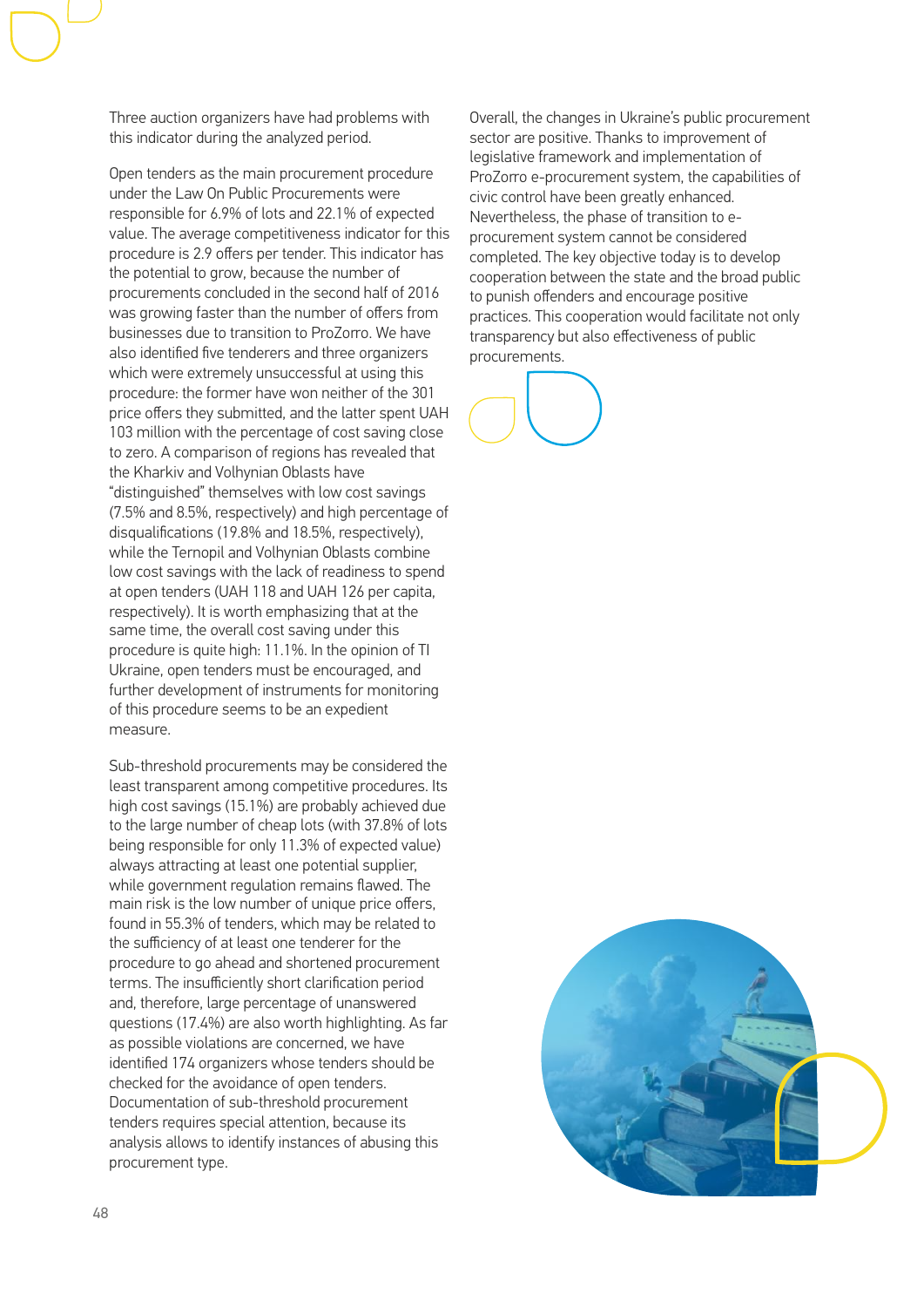Three auction organizers have had problems with this indicator during the analyzed period.

Open tenders as the main procurement procedure under the Law On Public Procurements were responsible for 6.9% of lots and 22.1% of expected value. The average competitiveness indicator for this procedure is 2.9 offers per tender. This indicator has the potential to grow, because the number of procurements concluded in the second half of 2016 was growing faster than the number of offers from businesses due to transition to ProZorro. We have also identified five tenderers and three organizers which were extremely unsuccessful at using this procedure: the former have won neither of the 301 price offers they submitted, and the latter spent UAH 103 million with the percentage of cost saving close to zero. A comparison of regions has revealed that the Kharkiv and Volhynian Oblasts have "distinguished" themselves with low cost savings (7.5% and 8.5%, respectively) and high percentage of disqualifications (19.8% and 18.5%, respectively), while the Ternopil and Volhynian Oblasts combine low cost savings with the lack of readiness to spend at open tenders (UAH 118 and UAH 126 per capita, respectively). It is worth emphasizing that at the same time, the overall cost saving under this procedure is quite high: 11.1%. In the opinion of TI Ukraine, open tenders must be encouraged, and further development of instruments for monitoring of this procedure seems to be an expedient measure.

Sub-threshold procurements may be considered the least transparent among competitive procedures. Its high cost savings (15.1%) are probably achieved due to the large number of cheap lots (with 37.8% of lots being responsible for only 11.3% of expected value) always attracting at least one potential supplier, while government regulation remains flawed. The main risk is the low number of unique price offers, found in 55.3% of tenders, which may be related to the sufficiency of at least one tenderer for the procedure to go ahead and shortened procurement terms. The insufficiently short clarification period and, therefore, large percentage of unanswered questions (17.4%) are also worth highlighting. As far as possible violations are concerned, we have identified 174 organizers whose tenders should be checked for the avoidance of open tenders. Documentation of sub-threshold procurement tenders requires special attention, because its analysis allows to identify instances of abusing this procurement type.

Overall, the changes in Ukraine's public procurement sector are positive. Thanks to improvement of legislative framework and implementation of ProZorro e-procurement system, the capabilities of civic control have been greatly enhanced. Nevertheless, the phase of transition to eprocurement system cannot be considered completed. The key objective today is to develop cooperation between the state and the broad public to punish offenders and encourage positive practices. This cooperation would facilitate not only transparency but also effectiveness of public procurements.



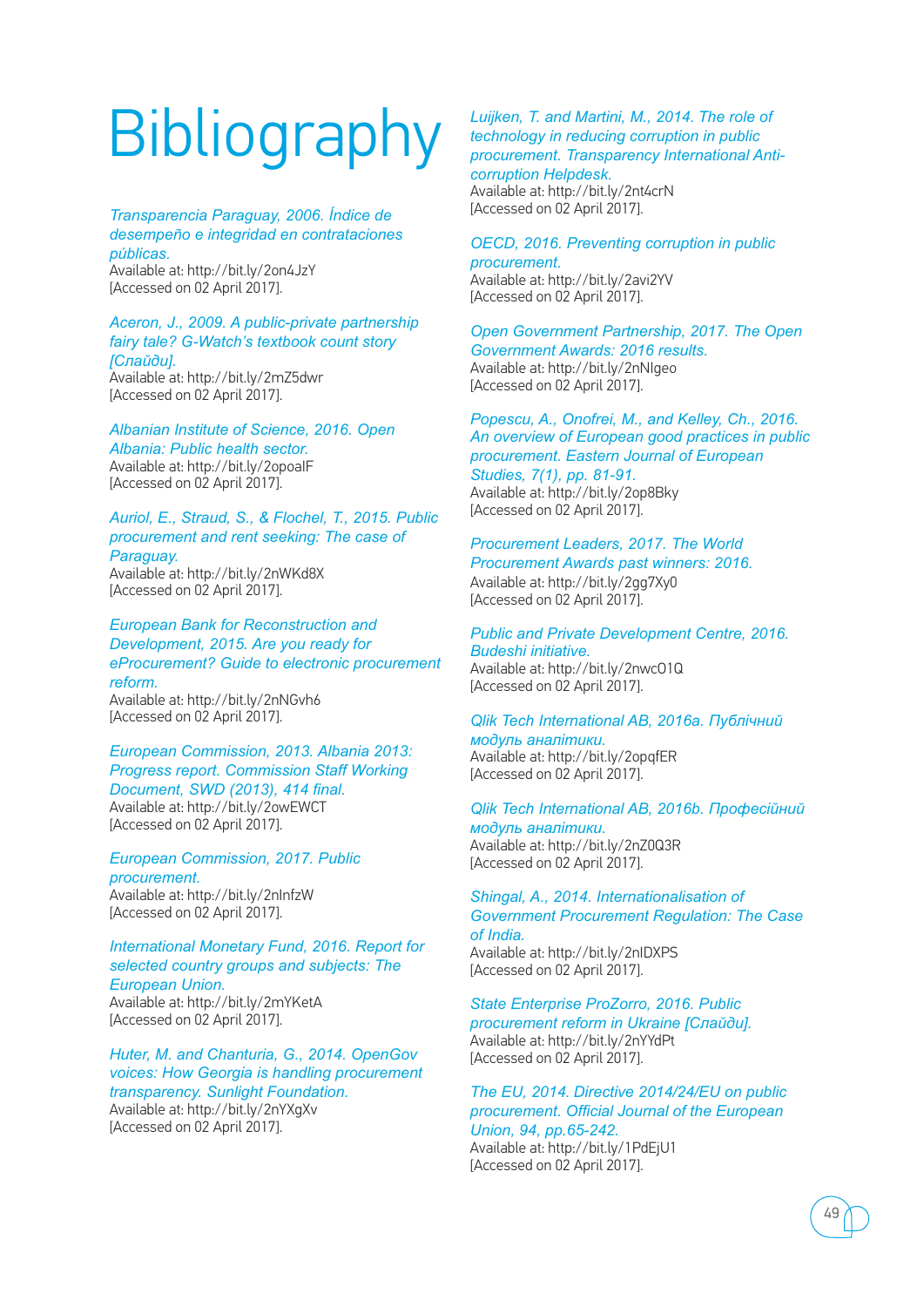## **Bibliography**

*Transparencia Paraguay, 2006. Índice de desempeño e integridad en contrataciones públicas.* 

Available at: http://bit.ly/2on4JzY [Accessed on 02 April 2017].

### *Aceron, J., 2009. A public-private partnership fairy tale? G-Watch's textbook count story [Слайди].*

Available at: http://bit.ly/2mZ5dwr [Accessed on 02 April 2017].

*Albanian Institute of Science, 2016. Open Albania: Public health sector.*  Available at: http://bit.ly/2opoaIF [Accessed on 02 April 2017].

*Auriol, E., Straud, S., & Flochel, T., 2015. Public procurement and rent seeking: The case of Paraguay.*  Available at: http://bit.ly/2nWKd8X [Accessed on 02 April 2017].

*European Bank for Reconstruction and Development, 2015. Are you ready for eProcurement? Guide to electronic procurement reform.* 

Available at: http://bit.ly/2nNGvh6 [Accessed on 02 April 2017].

*European Commission, 2013. Albania 2013: Progress report. Commission Staff Working Document, SWD (2013), 414 final.*  Available at: http://bit.ly/2owEWCT [Accessed on 02 April 2017].

*European Commission, 2017. Public procurement.*  Available at: http://bit.ly/2nInfzW [Accessed on 02 April 2017].

*International Monetary Fund, 2016. Report for selected country groups and subjects: The European Union.* Available at: http://bit.ly/2mYKetA [Accessed on 02 April 2017].

*Huter, M. and Chanturia, G., 2014. OpenGov voices: How Georgia is handling procurement transparency. Sunlight Foundation.*  Available at: http://bit.ly/2nYXgXv [Accessed on 02 April 2017].

### *Luijken, T. and Martini, M., 2014. The role of technology in reducing corruption in public procurement. Transparency International Anticorruption Helpdesk.*  Available at: http://bit.ly/2nt4crN [Accessed on 02 April 2017].

*OECD, 2016. Preventing corruption in public procurement.*  Available at: http://bit.ly/2avi2YV [Accessed on 02 April 2017].

*Open Government Partnership, 2017. The Open Government Awards: 2016 results.* Available at: http://bit.ly/2nNIgeo [Accessed on 02 April 2017].

*Popescu, A., Onofrei, M., and Kelley, Ch., 2016. An overview of European good practices in public procurement. Eastern Journal of European Studies, 7(1), pp. 81-91.*  Available at: http://bit.ly/2op8Bky [Accessed on 02 April 2017].

### *Procurement Leaders, 2017. The World*

*Procurement Awards past winners: 2016.*  Available at: http://bit.ly/2gg7Xy0 [Accessed on 02 April 2017].

*Public and Private Development Centre, 2016. Budeshi initiative.*  Available at: http://bit.ly/2nwcO1Q [Accessed on 02 April 2017].

### *Qlik Tech International AB, 2016a. Публічний модуль аналітики.*  Available at: http://bit.ly/2opqfER

[Accessed on 02 April 2017].

*Qlik Tech International AB, 2016b. Професійний модуль аналітики.*  Available at: http://bit.ly/2nZ0Q3R [Accessed on 02 April 2017].

*Shingal, A., 2014. Internationalisation of Government Procurement Regulation: The Case of India.*  Available at: http://bit.ly/2nIDXPS [Accessed on 02 April 2017].

*State Enterprise ProZorro, 2016. Public procurement reform in Ukraine [Слайди].* 

Available at: http://bit.ly/2nYYdPt [Accessed on 02 April 2017].

*The EU, 2014. Directive 2014/24/EU on public procurement. Official Journal of the European Union, 94, pp.65-242.*  Available at: http://bit.ly/1PdEjU1 [Accessed on 02 April 2017].

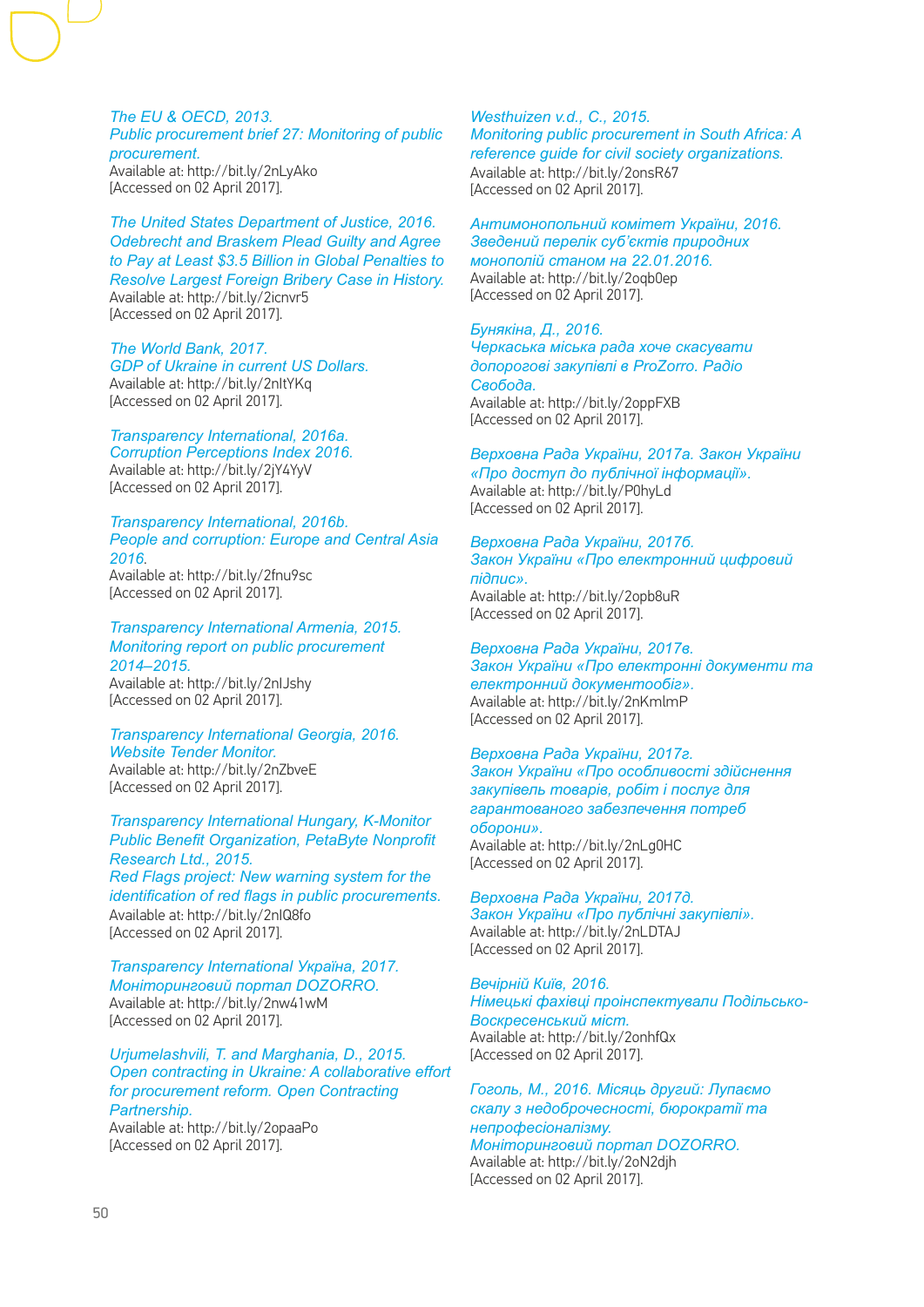*The EU & OECD, 2013. Public procurement brief 27: Monitoring of public procurement.*  Available at: http://bit.ly/2nLyAko [Accessed on 02 April 2017].

*The United States Department of Justice, 2016. Odebrecht and Braskem Plead Guilty and Agree to Pay at Least \$3.5 Billion in Global Penalties to Resolve Largest Foreign Bribery Case in History.*  Available at: http://bit.ly/2icnvr5 [Accessed on 02 April 2017].

*The World Bank, 2017. GDP of Ukraine in current US Dollars.*  Available at: http://bit.ly/2nItYKq [Accessed on 02 April 2017].

*Transparency International, 2016a. Corruption Perceptions Index 2016.*  Available at: http://bit.ly/2jY4YyV [Accessed on 02 April 2017].

*Transparency International, 2016b. People and corruption: Europe and Central Asia 2016*. Available at: http://bit.ly/2fnu9sc

[Accessed on 02 April 2017].

*Transparency International Armenia, 2015. Monitoring report on public procurement 2014–2015.*  Available at: http://bit.ly/2nIJshy [Accessed on 02 April 2017].

*Transparency International Georgia, 2016. Website Tender Monitor.*  Available at: http://bit.ly/2nZbveE [Accessed on 02 April 2017].

*Transparency International Hungary, K-Monitor Public Benefit Organization, PetaByte Nonprofit Research Ltd., 2015. Red Flags project: New warning system for the identification of red flags in public procurements.*  Available at: http://bit.ly/2nIQ8fo [Accessed on 02 April 2017].

*Transparency International Україна, 2017. Моніторинговий портал DOZORRO.* Available at: http://bit.ly/2nw41wM [Accessed on 02 April 2017].

*Urjumelashvili, T. and Marghania, D., 2015. Open contracting in Ukraine: A collaborative effort for procurement reform. Open Contracting Partnership.* 

Available at: http://bit.ly/2opaaPo [Accessed on 02 April 2017].

*Westhuizen v.d., C., 2015. Monitoring public procurement in South Africa: A reference guide for civil society organizations.*  Available at: http://bit.ly/2onsR67 [Accessed on 02 April 2017].

*Антимонопольний комітет України, 2016. Зведений перелік суб'єктів природних* 

*монополій станом на 22.01.2016.* Available at: http://bit.ly/2oqb0ep [Accessed on 02 April 2017].

*Бунякіна, Д., 2016. Черкаська міська рада хоче скасувати допорогові закупівлі в ProZorro. Радіо Свобода.*  Available at: http://bit.ly/2oppFXB

[Accessed on 02 April 2017].

*Верховна Рада України, 2017а. Закон України «Про доступ до публічної інформації».* Available at: http://bit.ly/P0hyLd [Accessed on 02 April 2017].

*Верховна Рада України, 2017б. Закон України «Про електронний цифровий підпис».*  Available at: http://bit.ly/2opb8uR [Accessed on 02 April 2017].

*Верховна Рада України, 2017в. Закон України «Про електронні документи та електронний документообіг».* 

Available at: http://bit.ly/2nKmlmP [Accessed on 02 April 2017].

*Верховна Рада України, 2017г. Закон України «Про особливості здійснення закупівель товарів, робіт і послуг для гарантованого забезпечення потреб оборони».*  Available at: http://bit.ly/2nLg0HC [Accessed on 02 April 2017].

*Верховна Рада України, 2017д. Закон України «Про публічні закупівлі».*  Available at: http://bit.ly/2nLDTAJ [Accessed on 02 April 2017].

*Вечірній Київ, 2016. Німецькі фахівці проінспектували Подільсько-Воскресенський міст.* Available at: http://bit.ly/2onhfQx [Accessed on 02 April 2017].

*Гоголь, М., 2016. Місяць другий: Лупаємо скалу з недоброчесності, бюрократії та непрофесіоналізму. Моніторинговий портал DOZORRO.*  Available at: http://bit.ly/2oN2djh [Accessed on 02 April 2017].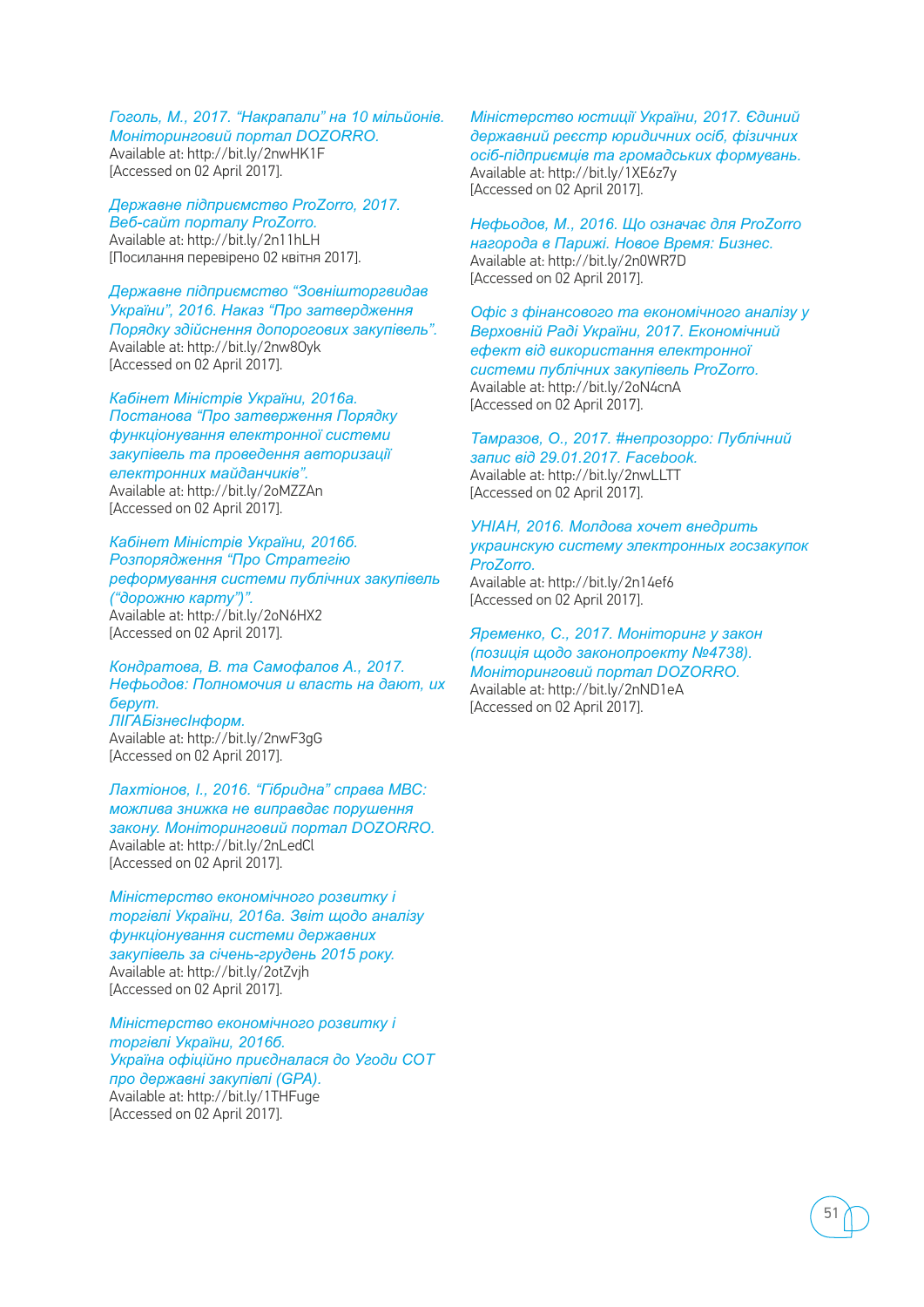*Гоголь, М., 2017. "Накрапали" на 10 мільйонів. Моніторинговий портал DOZORRO.* Available at: http://bit.ly/2nwHK1F [Accessed on 02 April 2017].

*Державне підприємство ProZorro, 2017. Веб-сайт порталу ProZorro.*  Available at: http://bit.ly/2n11hLH [Посилання перевірено 02 квітня 2017].

*Державне підприємство "Зовнішторгвидав України", 2016. Наказ "Про затвердження Порядку здійснення допорогових закупівель".*  Available at: http://bit.ly/2nw8Oyk [Accessed on 02 April 2017].

*Кабінет Міністрів України, 2016а. Постанова "Про затверження Порядку функціонування електронної системи закупівель та проведення авторизації електронних майданчиків".*  Available at: http://bit.ly/2oMZZAn [Accessed on 02 April 2017].

*Кабінет Міністрів України, 2016б. Розпорядження "Про Стратегію реформування системи публічних закупівель ("дорожню карту")".* Available at: http://bit.ly/2oN6HX2 [Accessed on 02 April 2017].

*Кондратова, В. та Самофалов А., 2017. Нефьодов: Полномочия и власть на дают, их берут. ЛІГАБізнесІнформ.*  Available at: http://bit.ly/2nwF3gG [Accessed on 02 April 2017].

*Лахтіонов, І., 2016. "Гібридна" справа МВС: можлива знижка не виправдає порушення закону. Моніторинговий портал DOZORRO.* Available at: http://bit.ly/2nLedCl [Accessed on 02 April 2017].

*Міністерство економічного розвитку і торгівлі України, 2016а. Звіт щодо аналізу функціонування системи державних закупівель за січень-грудень 2015 року.*  Available at: http://bit.ly/2otZvjh [Accessed on 02 April 2017].

*Міністерство економічного розвитку і торгівлі України, 2016б. Україна офіційно приєдналася до Угоди СОТ про державні закупівлі (GPA).*  Available at: http://bit.ly/1THFuge [Accessed on 02 April 2017].

*Міністерство юстиції України, 2017. Єдиний державний реєстр юридичних осіб, фізичних осіб-підприємців та громадських формувань.*  Available at: http://bit.ly/1XE6z7y [Accessed on 02 April 2017].

*Нефьодов, М., 2016. Що означає для ProZorro нагорода в Парижі. Новое Время: Бизнес.*  Available at: http://bit.ly/2n0WR7D [Accessed on 02 April 2017].

*Офіс з фінансового та економічного аналізу у Верховній Раді України, 2017. Економічний ефект від використання електронної системи публічних закупівель ProZorro.*  Available at: http://bit.ly/2oN4cnA [Accessed on 02 April 2017].

*Тамразов, О., 2017. #непрозорро: Публічний запис від 29.01.2017. Facebook.*  Available at: http://bit.ly/2nwLLTT [Accessed on 02 April 2017].

*УНІАН, 2016. Молдова хочет внедрить украинскую систему электронных госзакупок ProZorro.*  Available at: http://bit.ly/2n14ef6 [Accessed on 02 April 2017].

*Яременко, С., 2017. Моніторинг у закон (позиція щодо законопроекту №4738). Моніторинговий портал DOZORRO.*  Available at: http://bit.ly/2nND1eA [Accessed on 02 April 2017].

51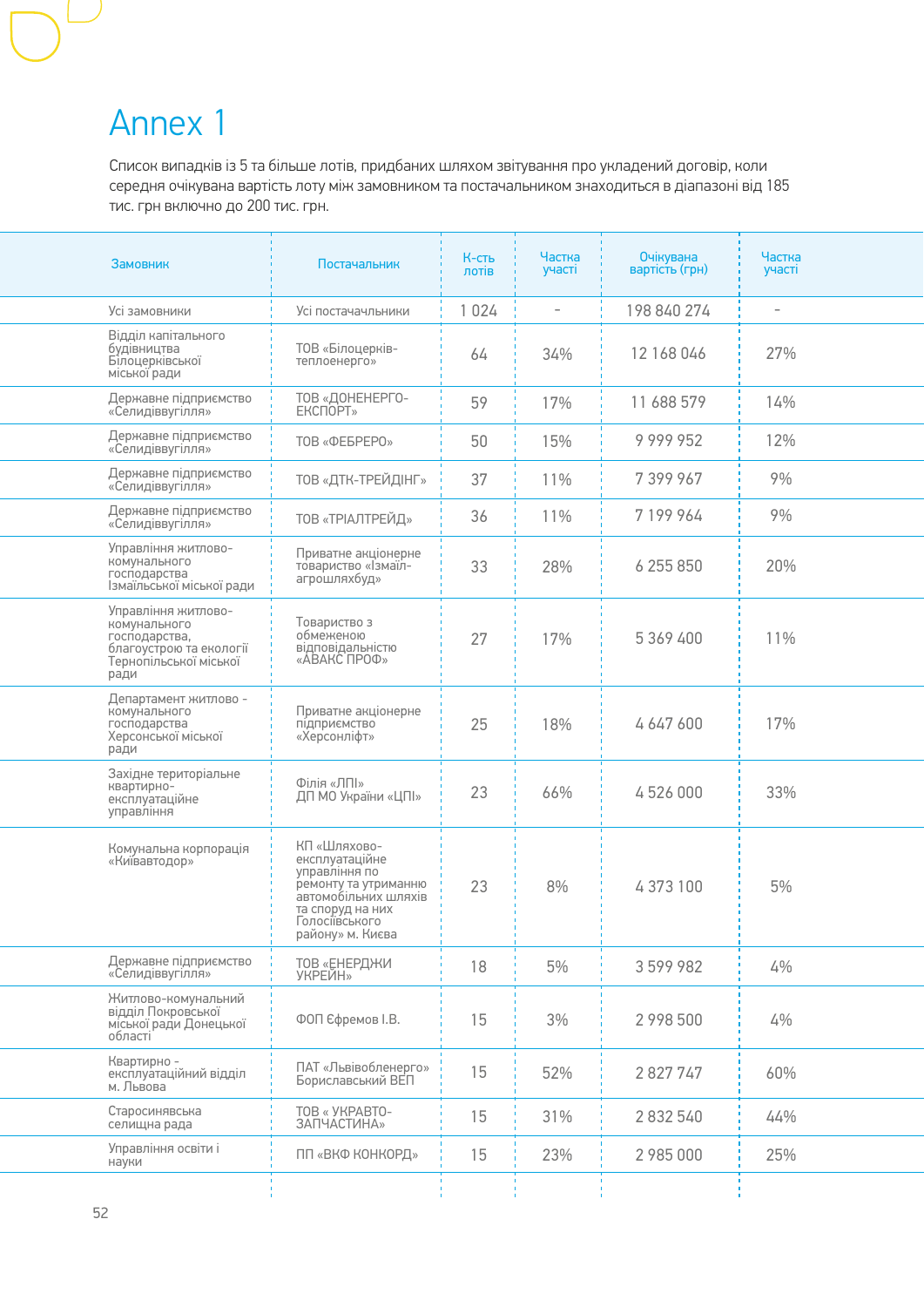### Annex 1

Список випадків із 5 та більше лотів, придбаних шляхом звітування про укладений договір, коли середня очікувана вартість лоту між замовником та постачальником знаходиться в діапазоні від 185 тис. грн включно до 200 тис. грн.

| Замовник                                                                                                          | Постачальник                                                                                                                                              | К-сть<br>лотів | Частка<br>участі         | <b>Очікувана</b><br>вартість (грн) | Частка<br>участі         |
|-------------------------------------------------------------------------------------------------------------------|-----------------------------------------------------------------------------------------------------------------------------------------------------------|----------------|--------------------------|------------------------------------|--------------------------|
| Усі замовники                                                                                                     | Усі постачачльники                                                                                                                                        | 1 0 2 4        | $\overline{\phantom{0}}$ | 198 840 274                        | $\overline{\phantom{a}}$ |
| Відділ капітального<br>будівництва<br>Білоцерківської<br>міської ради                                             | ТОВ «Білоцерків-<br>теплоенерго»                                                                                                                          | 64             | 34%                      | 12 168 046                         | 27%                      |
| Державне підприємство<br>«Селидіввугілля»                                                                         | ТОВ «ДОНЕНЕРГО-<br>ЕКСПОРТ»                                                                                                                               | 59             | 17%                      | 11 688 579                         | 14%                      |
| Державне підприємство<br>«Селидіввугілля»                                                                         | TOB «ФЕБРЕРО»                                                                                                                                             | 50             | 15%                      | 9999952                            | 12%                      |
| Державне підприємство<br>«Селидіввугілля»                                                                         | ТОВ «ДТК-ТРЕЙДІНГ»                                                                                                                                        | 37             | 11%                      | 7 399 967                          | 9%                       |
| Державне підприємство<br>«Селидіввугілля»                                                                         | ТОВ «ТРІАЛТРЕЙД»                                                                                                                                          | 36             | 11%                      | 7 199 964                          | 9%                       |
| Управління житлово-<br>комунального<br>господарства<br>Ізмаїльської міської ради                                  | Приватне акціонерне<br>товариство «Ізмаїл-<br>агрошляхбуд»                                                                                                | 33             | 28%                      | 6 255 850                          | 20%                      |
| Управління житлово-<br>комунального<br>господарства,<br>благоустрою та екології<br>Тернопільської міської<br>ради | Товариство з<br>обмеженою<br>відповідальністю<br>«АВАКС ПРОФ»                                                                                             | 27             | 17%                      | 5 369 400                          | 11%                      |
| Департамент житлово -<br>комунального<br>господарства<br>Херсонської міської<br>ради                              | Приватне акціонерне<br>підприємство<br>«Херсонліфт»                                                                                                       | 25             | 18%                      | 4647600                            | 17%                      |
| Західне територіальне<br>квартирно-<br>експлуатаційне<br>управління                                               | Філія «ЛПІ»<br>ДП МО України «ЦПІ»                                                                                                                        | 23             | 66%                      | 4526000                            | 33%                      |
| Комунальна корпорація<br>«Київавтодор»                                                                            | КП «Шляхово-<br>експлуатаційне<br>управління по<br>ремонту та утриманню<br>автомобільних шляхів<br>та споруд на них<br>Голосіївського<br>району» м. Києва | 23             | 8%                       | 4373100                            | 5%                       |
| Державне підприємство<br>«Селидіввугілля»                                                                         | ТОВ «ЕНЕРДЖИ<br>УКРЕЙН»                                                                                                                                   | 18             | 5%                       | 3599982                            | 4%                       |
| Житлово-комунальний<br>відділ Покровської<br>міської ради Донецької<br>області <sup>1</sup>                       | ФОП Єфремов І.В.                                                                                                                                          | 15             | 3%                       | 2 998 500                          | 4%                       |
| Квартирно -<br>експлуатаційний відділ<br>м. Львова                                                                | ПАТ «Львівобленерго»<br>Бориславський ВЕП                                                                                                                 | 15             | 52%                      | 2827747                            | 60%                      |
| Старосинявська<br>селищна рада                                                                                    | TOB « УКРАВТО-<br>ЗАПЧАСТИНА»                                                                                                                             | 15             | 31%                      | 2 832 540                          | 44%                      |
| Управління освіти і<br>науки                                                                                      | ПП «ВКФ КОНКОРД»                                                                                                                                          | 15             | 23%                      | 2 985 000                          | 25%                      |
|                                                                                                                   |                                                                                                                                                           |                |                          |                                    |                          |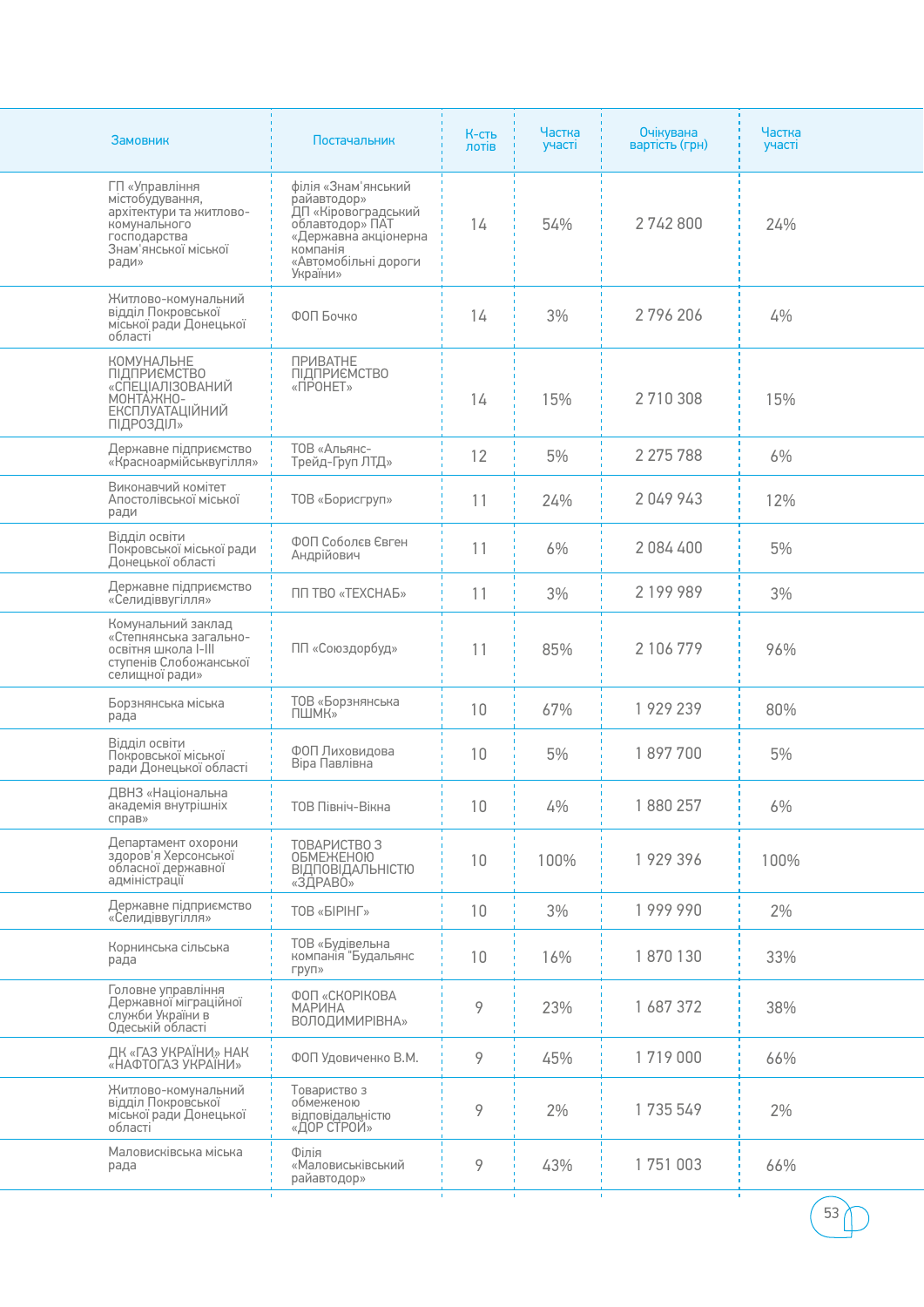| Замовник                                                                                                                      | Постачальник                                                                                                                                         | К-сть<br>лотів  | Частка<br>участі | <b>Очікувана</b><br>вартість (грн) | Частка<br>участі   |
|-------------------------------------------------------------------------------------------------------------------------------|------------------------------------------------------------------------------------------------------------------------------------------------------|-----------------|------------------|------------------------------------|--------------------|
| ГП «Управління<br>містобудування,<br>архітектури та житлово-<br>комунального<br>господарства<br>Знам'янської міської<br>ради» | філія «Знам'янський<br>райавтодор»<br>ДП «Кіровоградський<br>облавтодор» ПАТ<br>«Державна акціонерна<br>компанія<br>«Автомобільні дороги<br>України» | 14              | 54%              | 2742800                            | 24%                |
| Житлово-комунальний<br>відділ Покровської<br>міської ради Донецької<br>області                                                | ФОП Бочко                                                                                                                                            | 14              | 3%               | 2796206                            | 4%                 |
| КОМУНАЛЬНЕ<br><b>ПІДПРИЄМСТВО</b><br>«СПЕЦІАЛІЗОВАНИЙ<br>MOHTAHHO-<br><b>ЕКСПЛУАТАЦІЙНИЙ</b><br>ПІДРОЗДІЛ»                    | <b>ПРИВАТНЕ</b><br>ПІДПРИЄМСТВО<br>«ПРОНЕТ»                                                                                                          | 14              | 15%              | 2710308                            | 15%                |
| Державне підприємство<br>«Красноармійськвугілля»                                                                              | ТОВ «Альянс-<br>Трейд-Груп ЛТД»                                                                                                                      | 12              | 5%               | 2 275 788                          | 6%                 |
| Виконавчий комітет<br>Апостолівської міської<br>ради                                                                          | ТОВ «Борисгруп»                                                                                                                                      | 11              | 24%              | 2049943                            | 12%                |
| Відділ освіти<br>Покровської міської ради<br>Донецької області                                                                | ФОП Соболєв Євген<br>Андрійович                                                                                                                      | 11              | 6%               | 2084400                            | 5%                 |
| Державне підприємство<br>«Селидіввугілля»                                                                                     | ПП ТВО «ТЕХСНАБ»                                                                                                                                     | 11              | 3%               | 2 199 989                          | 3%                 |
| Комунальний заклад<br>«Степнянська загально-<br>освітня школа I-III<br>ступенів Слобожанської<br>селищної ради»               | ПП «Союздорбуд»                                                                                                                                      | 11              | 85%              | 2 106 779                          | 96%                |
| Борзнянська міська<br>рада                                                                                                    | ТОВ «Борзнянська<br><b>ПШМК»</b>                                                                                                                     | 10              | 67%              | 1929239                            | 80%                |
| Відділ освіти<br>Покровської міської<br>ради Донецької області                                                                | ФОП Лиховидова<br>Віра Павлівна                                                                                                                      | 10              | 5%               | 1897700                            | 5%                 |
| ДВНЗ «Національна<br>академія внутрішніх<br>справ»                                                                            | ТОВ Північ-Вікна                                                                                                                                     | 10              | 4%               | 880 257                            | 6%                 |
| Департамент охорони<br>здоров'я Херсонської<br>обласної державної<br>адміністрації                                            | ТОВАРИСТВО З<br><b>ОБМЕЖЕНОЮ</b><br><b>ВІДПОВІДАЛЬНІСТЮ</b><br>«ЗДРАВО»                                                                              | 10              | 100%             | 1929396                            | 100%               |
| Державне підприємство<br>«Селидіввугілля»                                                                                     | <b>TOB «БІРІНГ»</b>                                                                                                                                  | 10 <sup>°</sup> | 3%               | 1999990                            | 2%                 |
| Корнинська сільська<br>рада                                                                                                   | ТОВ «Будівельна<br>компанія "Будальянс<br>груп»                                                                                                      | 10              | 16%              | 1870130                            | 33%                |
| Головне управління<br>Державної міграційної<br>служби України в<br>Одеській області                                           | ФОП «СКОРІКОВА<br><b>МАРИНА</b><br><b>ВОЛОДИМИРІВНА»</b>                                                                                             | 9               | 23%              | 1 687 372                          | 38%                |
| ДК «ГАЗ УКРАЇНИ» НАК<br>«НАФТОГАЗ УКРАЇНИ»                                                                                    | ФОП Удовиченко В.М.                                                                                                                                  | 9               | 45%              | 1719000                            | 66%                |
| Житлово-комунальний<br>відділ Покровської<br>міської ради Донецької<br>області                                                | Товариство з<br>обмеженою<br>відповідальністю<br>«ДОР СТРОЙ»                                                                                         | 9               | 2%               | 1735549                            | 2%                 |
| Маловисківська міська<br>рада                                                                                                 | Філія<br>«Маловиськівський<br>райавтодор»                                                                                                            | 9               | 43%              | 1751003                            | 66%                |
|                                                                                                                               |                                                                                                                                                      | $\mathbf{I}$    | $\mathbf{L}$     |                                    | $\mathbf{L}$<br>53 |

Ξ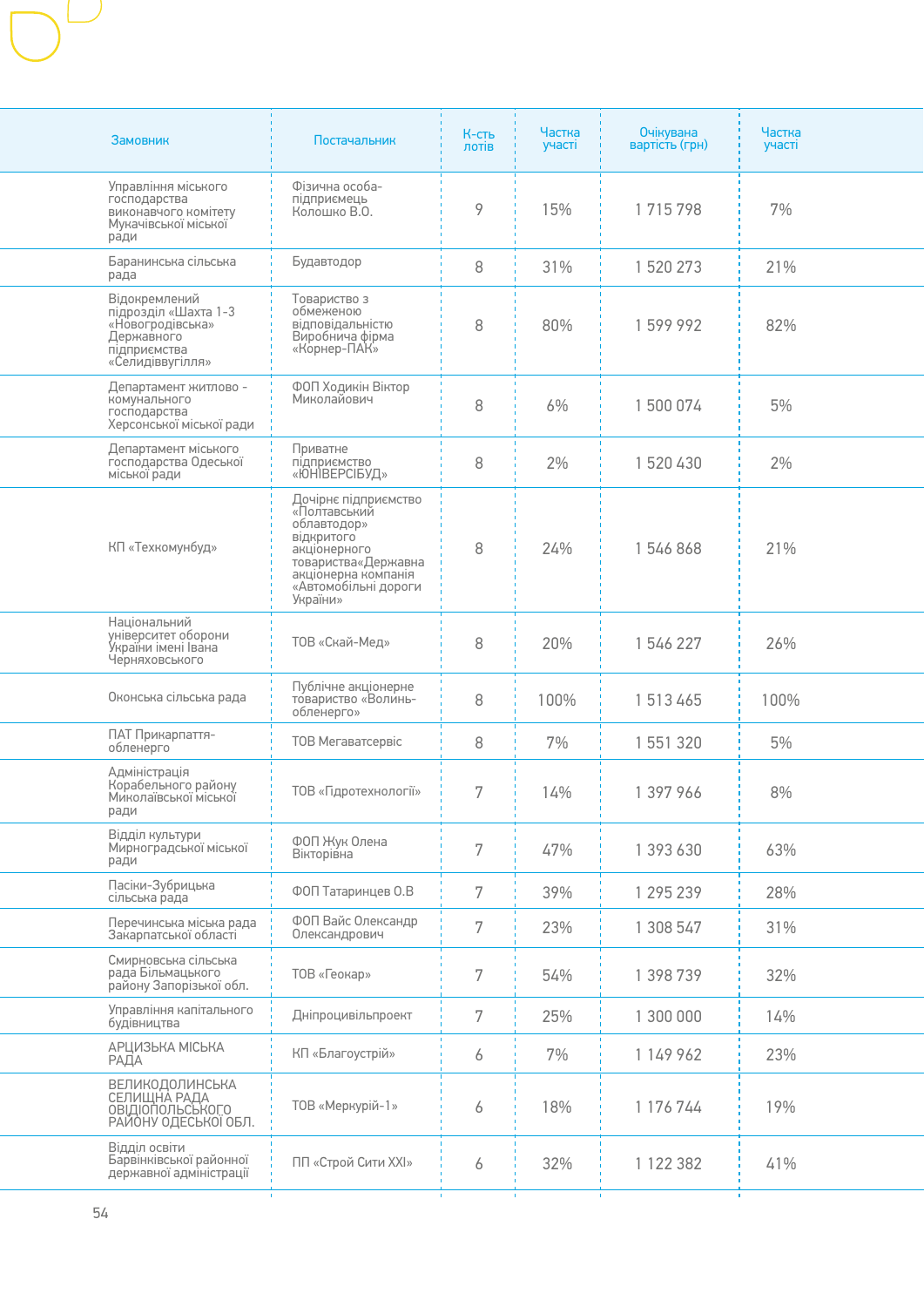| Замовник                                                                                                    | Постачальник                                                                                                                                                        | К-сть<br>лотів | Частка<br>участі | Очікувана<br>вартість (грн) | Частка<br>участі |
|-------------------------------------------------------------------------------------------------------------|---------------------------------------------------------------------------------------------------------------------------------------------------------------------|----------------|------------------|-----------------------------|------------------|
| Управління міського<br>господарства<br>виконавчого комітету<br>Мукачівської міської<br>ради                 | Фізична особа-<br>підприємець<br>Колошко В.О.                                                                                                                       | 9              | 15%              | 1715798                     | 7%               |
| Баранинська сільська<br>рада                                                                                | Будавтодор                                                                                                                                                          | 8              | 31%              | 1520273                     | 21%              |
| Відокремлений<br>підрозділ «Шахта 1-3<br>«Новогродівська»<br>Державного<br>підприємства<br>«Селидіввугілля» | Товариство з<br>обмеженою<br>відповідальністю<br>Виробнича фірма<br>«Корнер-ПАК»                                                                                    | 8              | 80%              | 1599992                     | 82%              |
| Департамент житлово -<br>комунального<br>господарства<br>Херсонської міської ради                           | ФОП Ходикін Віктор<br>Миколайович                                                                                                                                   | 8              | 6%               | 1500074                     | 5%               |
| Департамент міського<br>господарства Одеської<br>міської ради                                               | Приватне<br>підприємство<br>«ЮНІВЕРСІБУД»                                                                                                                           | 8              | 2%               | 1520430                     | 2%               |
| КП «Техкомунбуд»                                                                                            | Дочірнє підприємство<br>«Полтавський<br>облавтодор»<br>відкритого<br>акціонерного<br>товариства«Державна<br>акціонерна компанія<br>«Автомобільні дороги<br>України» | 8              | 24%              | 1546868                     | 21%              |
| Національний<br>університет оборони<br>України імені Івана<br>Черняховського                                | ТОВ «Скай-Мед»                                                                                                                                                      | 8              | 20%              | 1546227                     | 26%              |
| Оконська сільська рада                                                                                      | Публічне акціонерне<br>товариство «Волинь-<br>обленерго»                                                                                                            | 8              | 100%             | 1513465                     | 100%             |
| ПАТ Прикарпаття-<br>обленерго                                                                               | ТОВ Мегаватсервіс                                                                                                                                                   | 8              | 7%               | 1 551 320                   | 5%               |
| Адміністрація<br>Корабельного району<br>Миколаївської міської<br>ради                                       | ТОВ «Гідротехнології»                                                                                                                                               | 7              | 14%              | 1 397 966                   | 8%               |
| Відділ культури<br>Мирноградської міської<br>ради                                                           | ФОП Жук Олена<br>Вікторівна                                                                                                                                         | 7              | 47%              | 1 393 630                   | 63%              |
| Пасіки-Зубрицька<br>сільська рада                                                                           | ФОП Татаринцев О.В                                                                                                                                                  | 7              | 39%              | 1 295 239                   | 28%              |
| Перечинська міська рада<br>Закарпатської області                                                            | ФОП Вайс Олександр<br>Олександрович                                                                                                                                 | 7              | 23%              | 1 308 547                   | 31%              |
| Смирновська сільська<br>рада Більмацького<br>району Запорізької обл.                                        | ТОВ «Геокар»                                                                                                                                                        | 7              | 54%              | 1 398 739                   | 32%              |
| Управління капітального<br>будівництва                                                                      | Дніпроцивільпроект                                                                                                                                                  | 7              | 25%              | 1 300 000                   | 14%              |
| АРЦИЗЬКА МІСЬКА<br>РАДА                                                                                     | КП «Благоустрій»                                                                                                                                                    | 6              | 7%               | 1 149 962                   | 23%              |
| ВЕЛИКОДОЛИНСЬКА<br>СЕЛИЩНА РАДА<br><b>ОВІДІОПОЛЬСЬКОГО</b><br>РАЙОНУ ОДЕСЬКОЇ ОБЛ.                          | ТОВ «Меркурій-1»                                                                                                                                                    | 6              | 18%              | 1 176 744                   | 19%              |
| Відділ освіти<br>Барвінківської районної<br>державної адміністрації                                         | ПП «Строй Сити XXI»                                                                                                                                                 | 6              | 32%              | 1 122 382                   | 41%              |
|                                                                                                             |                                                                                                                                                                     |                |                  |                             |                  |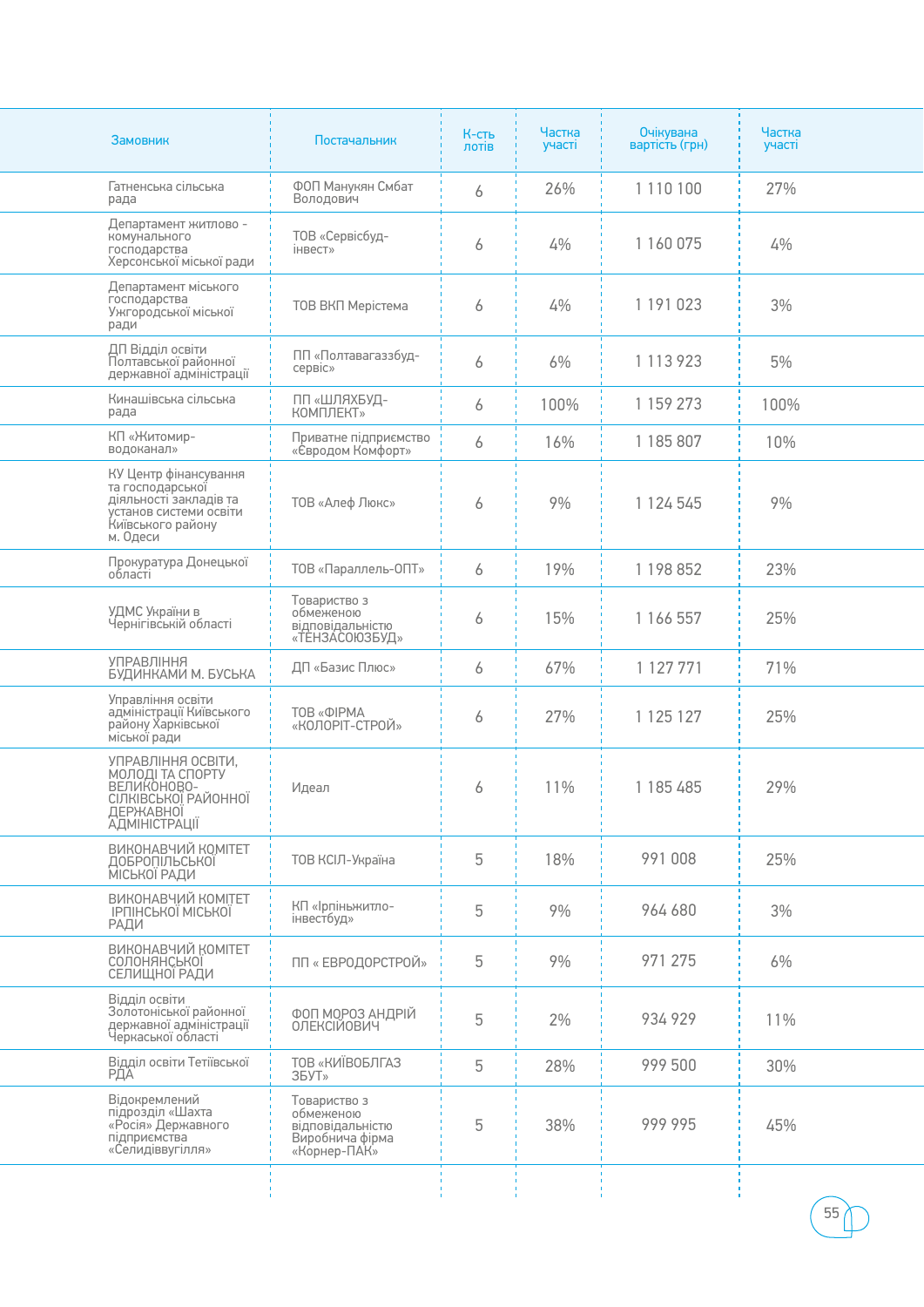| Замовник                                                                                                                       | Постачальник                                                                     | К-сть<br>лотів | Частка<br>участі | Очікувана<br>вартість (грн) | Частка<br>участі |
|--------------------------------------------------------------------------------------------------------------------------------|----------------------------------------------------------------------------------|----------------|------------------|-----------------------------|------------------|
| Гатненська сільська<br>рада                                                                                                    | ФОП Манукян Смбат<br>Володович                                                   | 6              | 26%              | 1 110 100                   | 27%              |
| Департамент житлово -<br>комунального<br>господарства<br>Херсонської міської ради                                              | ТОВ «Сервісбуд-<br>інвест»                                                       | 6              | 4%               | 1 160 075                   | 4%               |
| Департамент міського<br>господарства<br>Ужгородської міської<br>ради                                                           | ТОВ ВКП Мерістема                                                                | 6              | 4%               | 1 191 023                   | 3%               |
| ДП Відділ освіти<br>Полтавської районної<br>державної адміністрації                                                            | ПП «Полтавагаззбуд-<br>сервіс»                                                   | 6              | 6%               | 1 113 923                   | 5%               |
| Кинашівська сільська<br>рада                                                                                                   | ПП «ШЛЯХБУД-<br>КОМПЛЕКТ»                                                        | 6              | 100%             | 1 159 273                   | 100%             |
| КП «Житомир-<br>водоканал»                                                                                                     | Приватне підприємство<br>«Євродом Комфорт»                                       | 6              | 16%              | 1 185 807                   | 10%              |
| КУ Центр фінансування<br>та господарської<br>діяльності закладів та<br>установ системи освіти<br>Київського району<br>м. Одеси | ТОВ «Алеф Люкс»                                                                  | 6              | 9%               | 1 124 545                   | 9%               |
| Прокуратура Донецької<br>області                                                                                               | ТОВ «Параллель-ОПТ»                                                              | 6              | 19%              | 1 198 852                   | 23%              |
| УДМС України в<br>Чернігівській області                                                                                        | Товариство з<br>обмеженою<br>відповідальністю<br>«ТЕНЗАСОЮЗБУД»                  | 6              | 15%              | 1 166 557                   | 25%              |
| <b>УПРАВЛІННЯ</b><br>БУДИНКАМИ М. БУСЬКА                                                                                       | ДП «Базис Плюс»                                                                  | 6              | 67%              | 1 127 771                   | 71%              |
| Управління освіти<br>адміністрації Київського<br>району Харківської<br>міської ради                                            | <b>TOB «ΦΙΡΜΑ</b><br>«КОЛОРІТ-СТРОЙ»                                             | 6              | 27%              | 1 1 2 5 1 2 7               | 25%              |
| УПРАВЛІННЯ ОСВІТИ,<br>МОЛОДІ ТА СПОРТУ<br>ВЕЛИКОНОВО-<br>СІЛКІВСЬКОЇ РАЙОННОЇ<br><b>ДЕРЖАВНОІ</b><br><b>АДМІНІСТРАЦІЇ</b>      | Идеал                                                                            | 6              | 11%              | 1 185 485                   | 29%              |
| ВИКОНАВЧИЙ КОМІТЕТ<br><b>ДОБРОПІЛЬСЬКОЇ</b><br>МІСЬКОЇ РАДИ                                                                    | ТОВ КСІЛ-Україна                                                                 | 5              | 18%              | 991 008                     | 25%              |
| ВИКОНАВЧИЙ КОМІТЕТ<br><b>IPΠIHCLKOI MICLKOI</b><br>РАДИ                                                                        | КП «Ірпіньжитло-<br>інвестбуд»                                                   | 5              | 9%               | 964 680                     | 3%               |
| ВИКОНАВЧИЙ КОМІТЕТ<br><b>СОЛОНЯНСЬКО</b> Ї<br>СЕЛИЩНОЇ РАДИ                                                                    | ПП « ЕВРОДОРСТРОЙ»                                                               | 5              | 9%               | 971 275                     | 6%               |
| Відділ освіти<br>Золотоніської районної<br>державної адміністрації<br>Черкаської області                                       | ФОП МОРОЗ АНДРІЙ<br><b>ОЛЕКСІЙОВИЧ</b>                                           | 5              | 2%               | 934929                      | 11%              |
| Відділ освіти Тетіївської<br><b>РДА</b>                                                                                        | ТОВ «КИЇВОБЛГАЗ<br>35YT <sub>2</sub>                                             | 5              | 28%              | 999 500                     | 30%              |
| Відокремлений<br>підрозділ «Шахта<br>«Росія» Державного<br>підприємства<br>«Селидіввугілля»                                    | Товариство з<br>обмеженою<br>відповідальністю<br>Виробнича фірма<br>«Корнер-ПАК» | 5              | 38%              | 999 995                     | 45%              |
|                                                                                                                                |                                                                                  |                |                  |                             | 55               |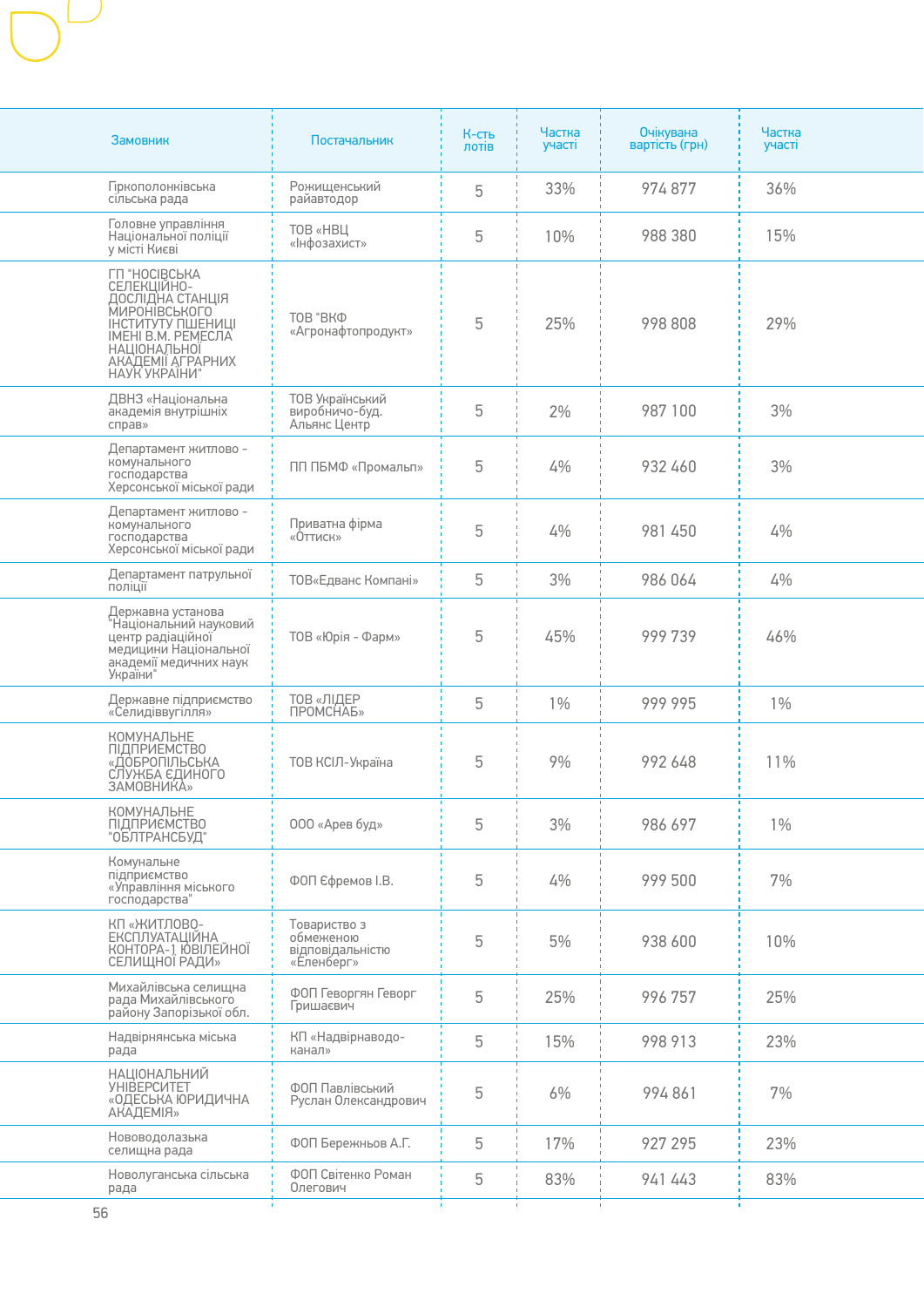| Замовник                                                                                                                                                                  | Постачальник                                                | К-сть<br>лотів | Частка<br>участі | Очікувана<br>вартість (грн) | Частка<br>участі |
|---------------------------------------------------------------------------------------------------------------------------------------------------------------------------|-------------------------------------------------------------|----------------|------------------|-----------------------------|------------------|
| <b>Гіркополонківська</b><br>сільська рада                                                                                                                                 | Рожищенський<br>райавтодор                                  | 5              | 33%              | 974877                      | 36%              |
| Головне управління<br>Національної поліції<br>у місті Києві                                                                                                               | <b>ТОВ «НВЦ</b><br>«Інфозахист»                             | 5              | 10%              | 988 380                     | 15%              |
| ГП "НОСІВСЬКА<br>СЕЛЕКЦІЙНО-<br>ДОСЛІДНА СТАНЦІЯ<br>МИРОНІВСЬКОГО<br>ІНСТИТУТУ ПШЕНИЦІ<br>ІМЕНІ В.М. РЕМЕСЛА<br><b>НАЦІОНАЛЬНОЇ</b><br>АКАДЕМІЇ АГРАРНИХ<br>НАУК УКРАЇНИ" | TOB "BKO<br>«Агронафтопродукт»                              | 5              | 25%              | 998 808                     | 29%              |
| ДВНЗ «Національна<br>академія внутрішніх<br>справ»                                                                                                                        | ТОВ Український<br>виробничо-буд.<br>Альянс Центр           | 5              | 2%               | 987 100                     | 3%               |
| Департамент житлово -<br>комунального<br>господарства<br>Херсонської міської ради                                                                                         | ПП ПБМФ «Промальп»                                          | 5              | 4%               | 932 460                     | 3%               |
| Департамент житлово -<br>комунального<br>господарства<br>Херсонської міської ради                                                                                         | Приватна фірма<br>«Оттиск»                                  | 5              | 4%               | 981 450                     | 4%               |
| Департамент патрульної<br>поліції                                                                                                                                         | ТОВ«Едванс Компані»                                         | 5              | 3%               | 986 064                     | 4%               |
| Державна установа<br>"Національний науковий<br>центр радіаційної<br>медицини Національної<br>академії медичних наук<br>України"                                           | ТОВ «Юрія - Фарм»                                           | 5              | 45%              | 999739                      | 46%              |
| Державне підприємство<br>«Селидіввугілля»                                                                                                                                 | ТОВ «ЛІДЕР<br>ПРОМСНАБ»                                     | 5              | $1\%$            | 999 995                     | $1\%$            |
| КОМУНАЛЬНЕ<br><b>ПІДПРИЕМСТВО</b><br>«ДОБРОПІЛЬСЬКА<br>СЛУЖБА ЄДИНОГО<br>ЗАМОВНИКА»                                                                                       | ТОВ КСІЛ-Україна                                            | 5              | 9%               | 992 648                     | 11%              |
| КОМУНАЛЬНЕ<br>ПІДПРИЄМСТВО<br>"ОБЛТРАНСБУД"                                                                                                                               | 000 «Арев буд»                                              | 5              | 3%               | 986 697                     | $1\%$            |
| Комунальне<br>підприємство<br>«Управління міського<br>господарства"                                                                                                       | ФОП Єфремов І.В.                                            | 5              | 4%               | 999 500                     | 7%               |
| КП «ЖИТЛОВО-<br>ЕКСПЛУАТАЦІЙНА<br>КОНТОРА-1 ЮВІЛЕЙНОЇ<br>СЕЛИЩНОЇ РАДИ»                                                                                                   | Товариство з<br>обмеженою<br>відповідальністю<br>«Еленберг» | 5              | 5%               | 938 600                     | 10%              |
| Михайлівська селищна<br>рада Михайлівського<br>району Запорізької обл.                                                                                                    | ФОП Геворгян Геворг<br>Гришаєвич                            | 5              | 25%              | 996 757                     | 25%              |
| Надвірнянська міська<br>рада                                                                                                                                              | КП «Надвірнаводо-<br>канал»                                 | 5              | 15%              | 998 913                     | 23%              |
| <b>НАЦІОНАЛЬНИЙ</b><br><b>YHIBEPCUTET</b><br>«ОДЕСЬКА ЮРИДИЧНА<br>АКАДЕМІЯ»                                                                                               | ФОП Павлівський<br>Руслан Олександрович                     | 5              | 6%               | 994861                      | 7%               |
| Нововодолазька<br>селищна рада                                                                                                                                            | ФОП Бережньов А.Г.                                          | 5              | 17%              | 927 295                     | 23%              |
| Новолуганська сільська<br>рада                                                                                                                                            | ФОП Світенко Роман<br>Олегович                              | 5              | 83%              | 941 443                     | 83%              |
|                                                                                                                                                                           |                                                             |                |                  |                             |                  |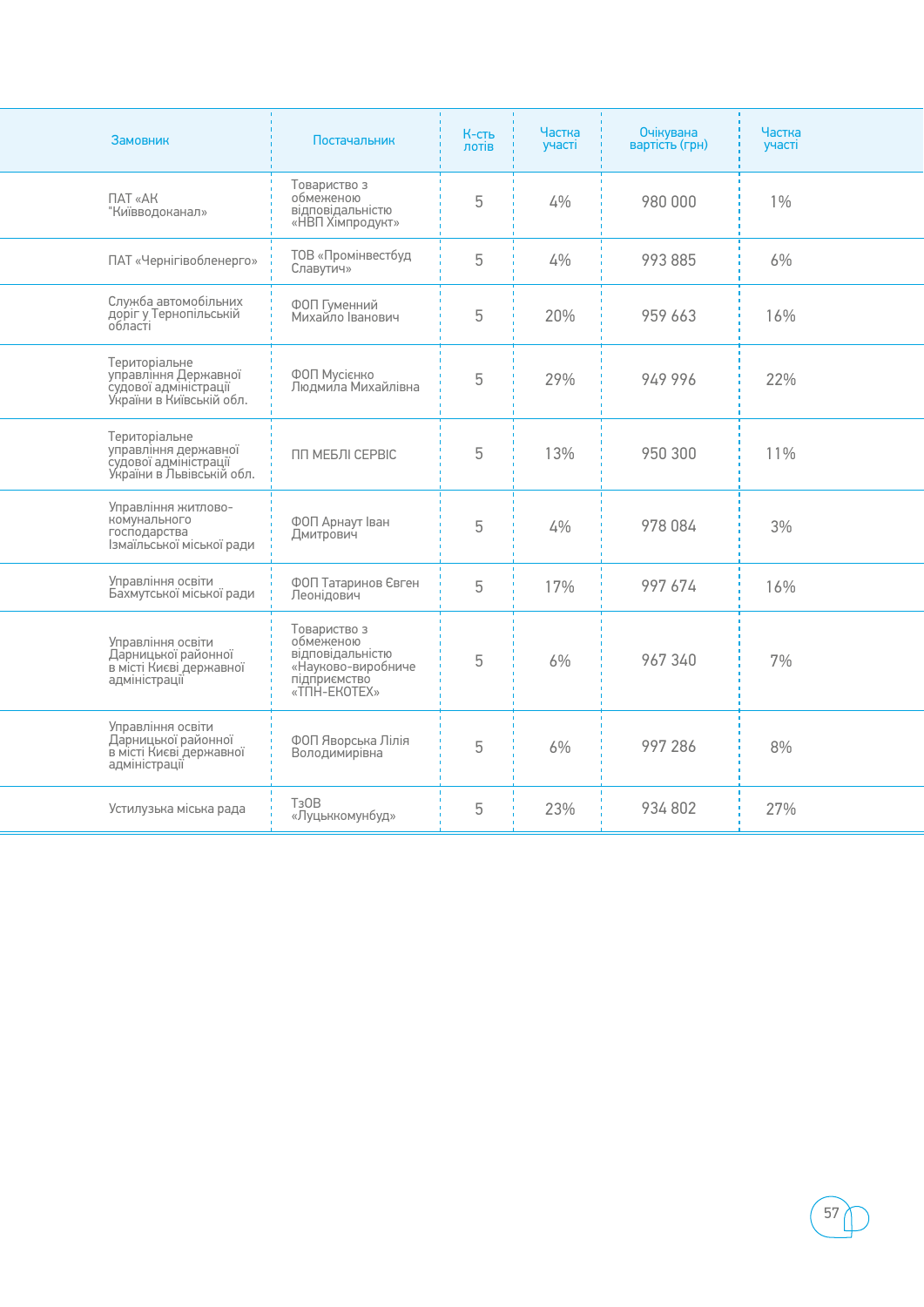| Замовник                                                                                                           | Постачальник                                                                                        | К-сть<br>лотів | Частка<br>участі | Очікувана<br>вартість (грн) | Частка<br>участі |
|--------------------------------------------------------------------------------------------------------------------|-----------------------------------------------------------------------------------------------------|----------------|------------------|-----------------------------|------------------|
| ПАТ «АК<br>"Київводоканал»                                                                                         | Товариство з<br>обмеженою<br>відповідальністю<br>«НВП Хімпродукт»                                   | 5              | 4%               | 980 000                     | $1\%$            |
| ПАТ «Чернігівобленерго»                                                                                            | ТОВ «Промінвестбуд<br>Славутич»                                                                     | 5              | 4%               | 993 885                     | 6%               |
| Служба автомобільних<br>доріг у Тернопільській<br>області                                                          | ФОП Гуменний<br>Михайло Іванович                                                                    | 5              | 20%              | 959 663                     | 16%              |
| Територіальне<br>управління Державної<br>управлінні Дермавног<br>судової адміністрації<br>України в Київській обл. | ФОП Мусієнко<br>Людмила Михайлівна                                                                  | 5              | 29%              | 949 996                     | 22%              |
| Територіальне<br>управління державної<br>,<br>судової адміністрації<br>України в Львівській обл.                   | ПП МЕБЛІ СЕРВІС                                                                                     | 5              | 13%              | 950 300                     | 11%              |
| Управління житлово-<br>комунального<br>господарства<br>Ізмаїльської міської ради                                   | ФОП Арнаут Іван<br>Дмитрович                                                                        | 5              | 4%               | 978 084                     | 3%               |
| Управління освіти<br>Бахмутської міської ради                                                                      | ФОП Татаринов Євген<br>Леонідович                                                                   | 5              | 17%              | 997 674                     | 16%              |
| Управління освіти<br>Дарницької районної<br>в місті Києві державної<br>адміністрації                               | Товариство з<br>обмеженою<br>відповідальністю<br>«Науково-виробниче<br>підприємство<br>«TNH-EKOTEX» | 5              | 6%               | 967 340                     | 7%               |
| Управління освіти<br>Дарницької районної<br>в місті Києві державної<br>адміністрації                               | ФОП Яворська Лілія<br>Володимирівна                                                                 | 5              | 6%               | 997 286                     | 8%               |
| Устилузька міська рада                                                                                             | T <sub>3</sub> OB<br>«Луцьккомунбуд»                                                                | 5              | 23%              | 934 802                     | 27%              |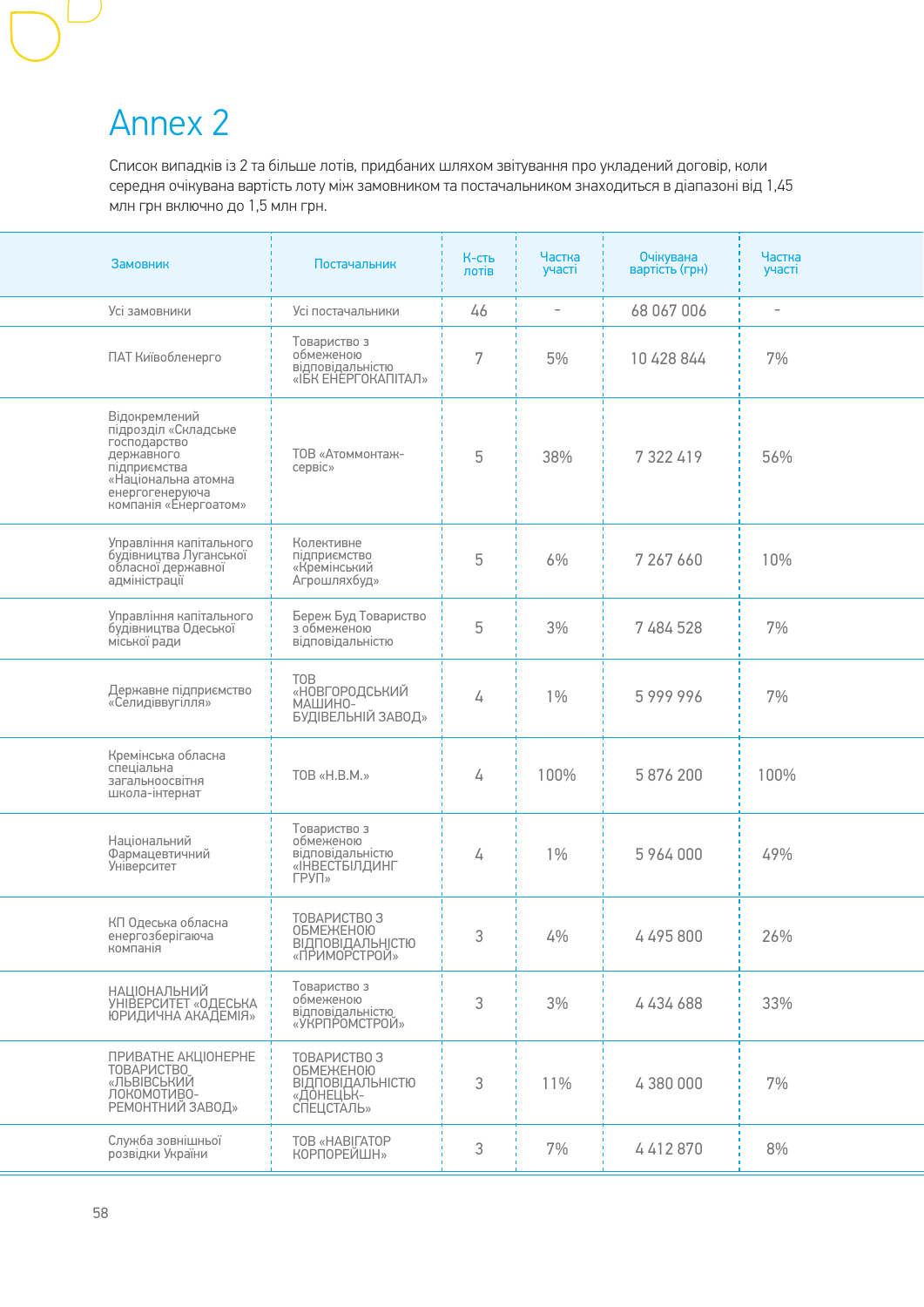### Annex 2

Список випадків із 2 та більше лотів, придбаних шляхом звітування про укладений договір, коли середня очікувана вартість лоту між замовником та постачальником знаходиться в діапазоні від 1,45 млн грн включно до 1,5 млн грн.

| Замовник                                                                                                                                               | Постачальник                                                                              | К-сть<br>лотів | Частка<br>участі         | <b>Очікувана</b><br>вартість (грн) | Частка<br>участі  |
|--------------------------------------------------------------------------------------------------------------------------------------------------------|-------------------------------------------------------------------------------------------|----------------|--------------------------|------------------------------------|-------------------|
| Усі замовники                                                                                                                                          | Усі постачальники                                                                         | 46             | $\overline{\phantom{a}}$ | 68 067 006                         | $\qquad \qquad -$ |
| ПАТ Київобленерго                                                                                                                                      | Товариство з<br>обмеженою<br>відповідальністю<br>«ІБК ЕНЕРГОКАПІТАЛ»                      | 7              | 5%                       | 10 428 844                         | 7%                |
| Відокремлений<br>підрозділ «Складське<br>господарство<br>державного<br>підприємства<br>«Національна атомна<br>енергогенеруюча<br>компанія «Енергоатом» | ТОВ «Атоммонтаж-<br>сервіс»                                                               | 5              | 38%                      | 7 322 419                          | 56%               |
| Управління капітального<br>будівництва Луганської<br>обласної державної<br>адміністрації                                                               | Колективне<br>підприємство<br>«Кремінський<br>Агрошляхбуд»                                | 5              | 6%                       | 7 267 660                          | 10%               |
| Управління капітального<br>будівництва Одеської<br>міської ради                                                                                        | Береж Буд Товариство<br>з обмеженою<br>відповідальністю                                   | 5              | 3%                       | 7 484 528                          | 7%                |
| Державне підприємство<br>«Селидіввугілля»                                                                                                              | <b>TOB</b><br>«НОВГОРОДСЬКИЙ<br>МАШИНО-<br>БУДІВЕЛЬНІЙ ЗАВОД»                             | 4              | $1\%$                    | 5999996                            | 7%                |
| Кремінська обласна<br>спеціальна<br>загальноосвітня<br>школа-інтернат                                                                                  | TOB «H.B.M.»                                                                              | 4              | 100%                     | 5 876 200                          | 100%              |
| Національний<br>Фармацевтичний<br>Університет                                                                                                          | Товариство з<br>обмеженою<br>відповідальністю<br>«ІНВЕСТБІЛДИНГ<br>$\Gamma$ PY $\Gamma$ » | 4              | $1\%$                    | 5 964 000                          | 49%               |
| КП Одеська обласна<br>енергозберігаюча<br>компанія                                                                                                     | ТОВАРИСТВО З<br><b>ОБМЕЖЕНОЮ</b><br><b>ВІДПОВІДАЛЬНІСТЮ</b><br>«ПРИМОРСТРОЙ»              | 3              | 4%                       | 4 495 800                          | 26%               |
| <b>НАЦІОНАЛЬНИЙ</b><br>УНІВЕРСИТЕТ «ОДЕСЬКА<br>ЮРИДИЧНА АКАДЕМІЯ»                                                                                      | Товариство з<br>обмеженою<br>відповідальністю<br>«УКРПРОМСТРОЙ»                           | 3              | 3%                       | 4434688                            | 33%               |
| ПРИВАТНЕ АКЦІОНЕРНЕ<br><b>ТОВАРИСТВО</b><br>«ЛЬВІВСЬКИЙ<br>ЛОКОМОТИВО-<br>РЕМОНТНИЙ ЗАВОД»                                                             | ТОВАРИСТВО З<br><b>ОБМЕЖЕНОЮ</b><br><b>ВІДПОВІДАЛЬНІСТЮ</b><br>«ДОНЕЦЬК-<br>СПЕЦСТАЛЬ»    | 3              | 11%                      | 4 380 000                          | 7%                |
| Служба зовнішньої<br>розвідки України                                                                                                                  | <b>TOB «HABITATOP</b><br>КОРПОРЕЙШН»                                                      | 3              | 7%                       | 4412870                            | 8%                |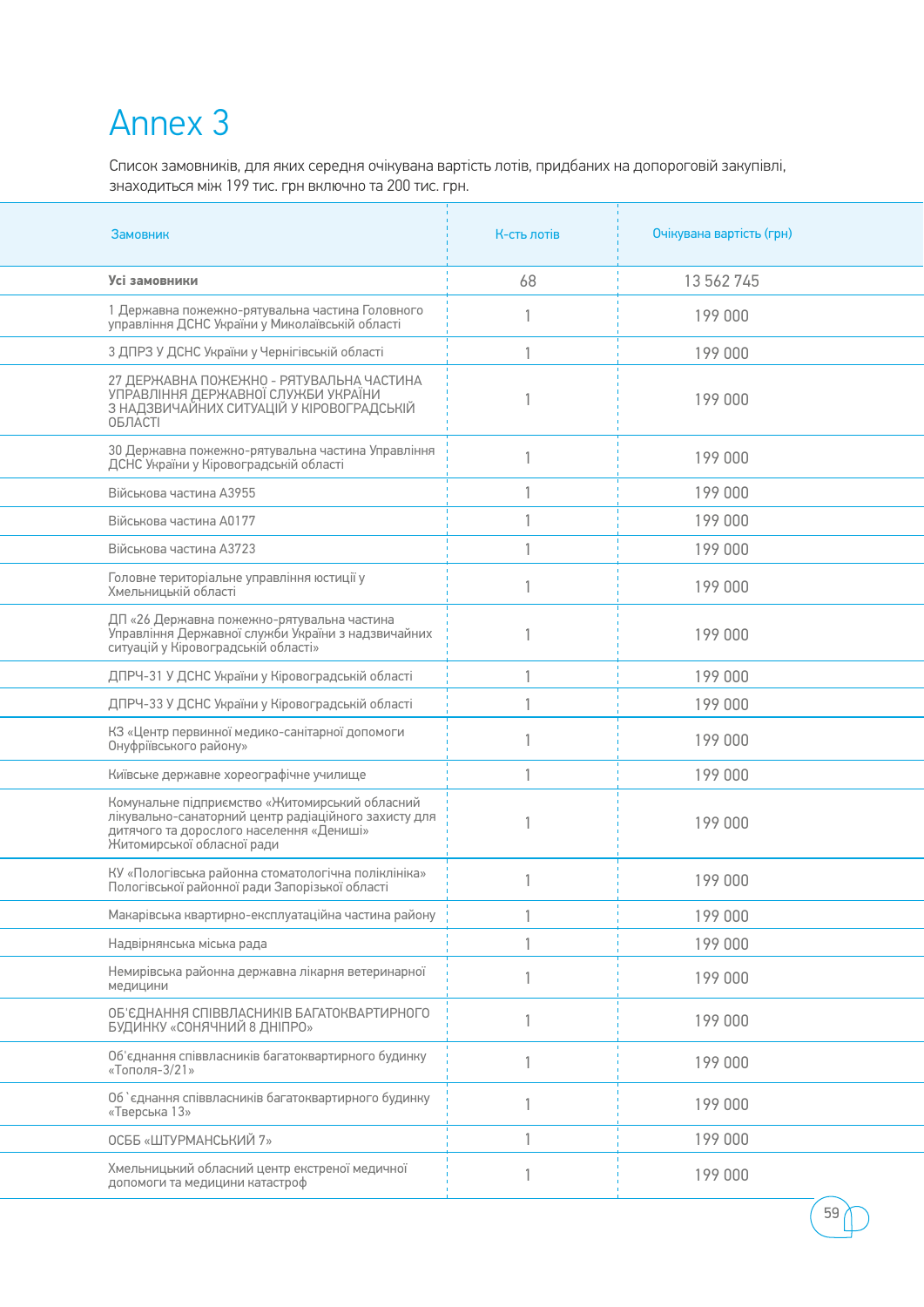### Annex 3

Список замовників, для яких середня очікувана вартість лотів, придбаних на допороговій закупівлі, знаходиться між 199 тис. грн включно та 200 тис. грн.

| Замовник                                                                                                                                                                         | К-сть лотів  | Очікувана вартість (грн) |
|----------------------------------------------------------------------------------------------------------------------------------------------------------------------------------|--------------|--------------------------|
| Усі замовники                                                                                                                                                                    | 68           | 13 562 745               |
| 1 Державна пожежно-рятувальна частина Головного<br>управління ДСНС України у Миколаївській області                                                                               |              | 199 000                  |
| 3 ДПРЗ У ДСНС України у Чернігівській області                                                                                                                                    |              | 199 000                  |
| 27 ДЕРЖАВНА ПОЖЕЖНО - РЯТУВАЛЬНА ЧАСТИНА<br>УПРАВЛІННЯ ДЕРЖАВНОЇ СЛУЖБИ УКРАЇНИ<br>З НАДЗВИЧАЙНИХ СИТУАЦІЙ У КІРОВОГРАДСЬКІЙ<br>ОБЛАСТІ                                          |              | 199 000                  |
| 30 Державна пожежно-рятувальна частина Управління<br>ДСНС України у Кіровоградській області                                                                                      | $\mathbf{1}$ | 199 000                  |
| Військова частина АЗ955                                                                                                                                                          |              | 199 000                  |
| Військова частина А0177                                                                                                                                                          |              | 199 000                  |
| Військова частина А3723                                                                                                                                                          |              | 199 000                  |
| Головне територіальне управління юстиції у<br>Хмельницькій області                                                                                                               |              | 199 000                  |
| ДП «26 Державна пожежно-рятувальна частина<br>Управління Державної служби України з надзвичайних<br>ситуацій у Кіровоградській області»                                          |              | 199 000                  |
| ДПРЧ-31 У ДСНС України у Кіровоградській області                                                                                                                                 |              | 199 000                  |
| ДПРЧ-33 У ДСНС України у Кіровоградській області                                                                                                                                 |              | 199 000                  |
| КЗ «Центр первинної медико-санітарної допомоги<br>Онуфріївського району»                                                                                                         | $\mathbf{1}$ | 199 000                  |
| Київське державне хореографічне училище                                                                                                                                          | $\mathbf{1}$ | 199 000                  |
| Комунальне підприємство «Житомирський обласний<br>лікувально-санаторний центр радіаційного захисту для<br>дитячого та дорослого населення «Дениші»<br>Житомирської обласної ради |              | 199 000                  |
| КУ «Пологівська районна стоматологічна поліклініка»<br>Пологівської районної ради Запорізької області                                                                            |              | 199 000                  |
| Макарівська квартирно-експлуатаційна частина району                                                                                                                              |              | 199 000                  |
| Надвірнянська міська рада                                                                                                                                                        |              | 199 000                  |
| Немирівська районна державна лікарня ветеринарної<br>медицини                                                                                                                    | 1            | 199 000                  |
| ОБ'ЄДНАННЯ СПІВВЛАСНИКІВ БАГАТОКВАРТИРНОГО<br>БУДИНКУ «СОНЯЧНИЙ 8 ДНІПРО»                                                                                                        |              | 199 000                  |
| Об'єднання співвласників багатоквартирного будинку<br>«Тополя- $3/21$ »                                                                                                          |              | 199 000                  |
| Об `єднання співвласників багатоквартирного будинку<br>«Тверська 13»                                                                                                             |              | 199 000                  |
| ОСББ «ШТУРМАНСЬКИЙ 7»                                                                                                                                                            |              | 199 000                  |
| Хмельницький обласний центр екстреної медичної<br>допомоги та медицини катастроф                                                                                                 |              | 199 000                  |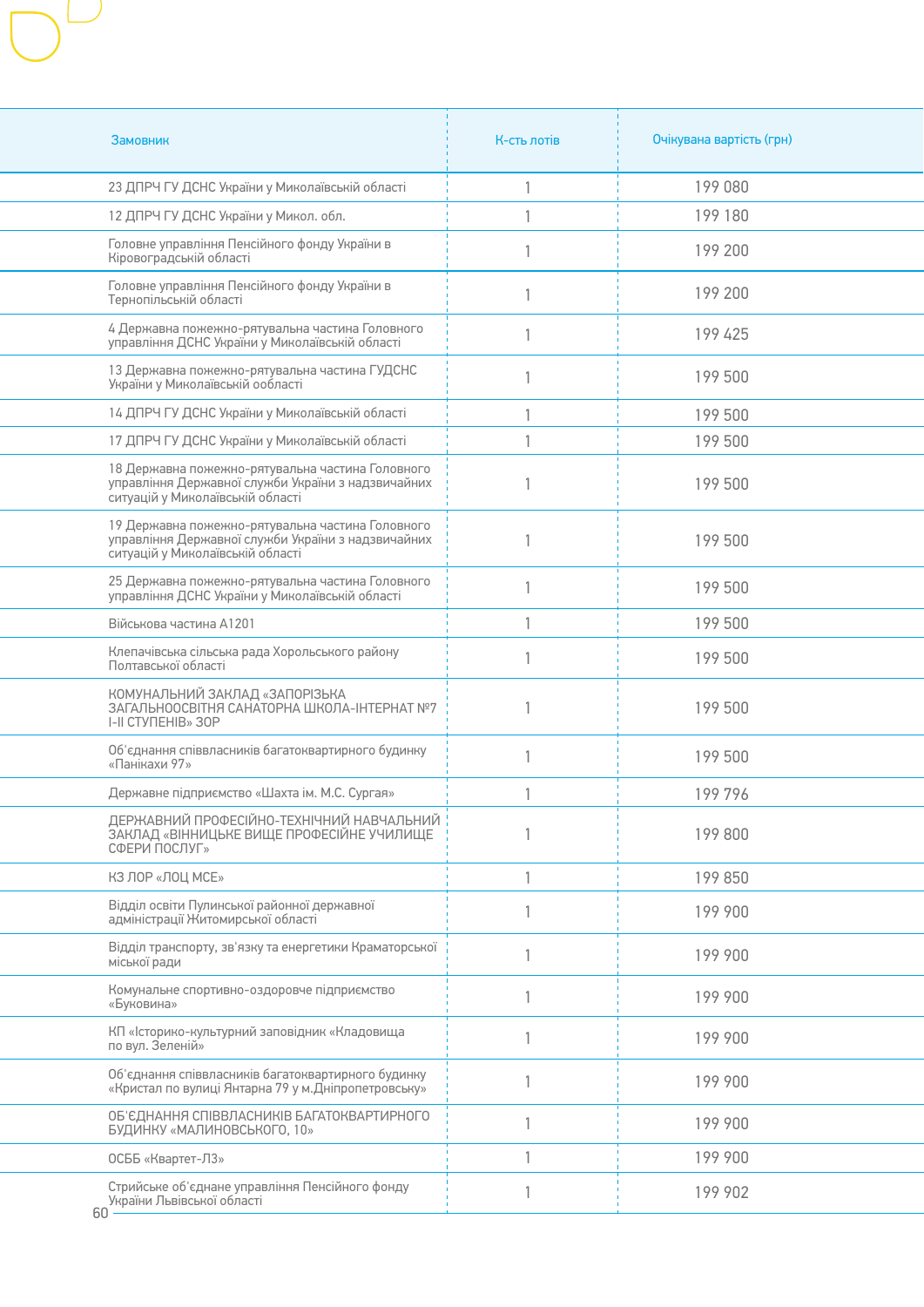| Замовник                                                                                                                                   | К-сть лотів  | Очікувана вартість (грн) |
|--------------------------------------------------------------------------------------------------------------------------------------------|--------------|--------------------------|
| 23 ДПРЧ ГУ ДСНС України у Миколаївській області                                                                                            |              | 199 080                  |
| 12 ДПРЧ ГУ ДСНС України у Микол. обл.                                                                                                      |              | 199 180                  |
| Головне управління Пенсійного фонду України в<br>Кіровоградській області                                                                   |              | 199 200                  |
| Головне управління Пенсійного фонду України в<br>Тернопільській області                                                                    | 1            | 199 200                  |
| 4 Державна пожежно-рятувальна частина Головного<br>управління ДСНС України у Миколаївській області                                         | $\mathbf{1}$ | 199 425                  |
| 13 Державна пожежно-рятувальна частина ГУДСНС<br>України у Миколаївській ообласті                                                          | 1            | 199 500                  |
| 14 ДПРЧ ГУ ДСНС України у Миколаївській області                                                                                            |              | 199 500                  |
| 17 ДПРЧ ГУ ДСНС України у Миколаївській області                                                                                            |              | 199 500                  |
| 18 Державна пожежно-рятувальна частина Головного<br>управління Державної служби України з надзвичайних<br>ситуацій у Миколаївській області |              | 199 500                  |
| 19 Державна пожежно-рятувальна частина Головного<br>управління Державної служби України з надзвичайних<br>ситуацій у Миколаївській області |              | 199 500                  |
| 25 Державна пожежно-рятувальна частина Головного<br>управління ДСНС України у Миколаївській області                                        |              | 199 500                  |
| Військова частина А1201                                                                                                                    |              | 199 500                  |
| Клепачівська сільська рада Хорольського району<br>Полтавської області                                                                      | 1            | 199 500                  |
| КОМУНАЛЬНИЙ ЗАКЛАД «ЗАПОРІЗЬКА<br>ЗАГАЛЬНООСВІТНЯ САНАТОРНА ШКОЛА-ІНТЕРНАТ №7<br>I-II CTYNEHIB» 30P                                        | $\mathbf{1}$ | 199 500                  |
| Об'єднання співвласників багатоквартирного будинку<br>«Панікахи 97»                                                                        | $\mathbf{1}$ | 199 500                  |
| Державне підприємство «Шахта ім. М.С. Сургая»                                                                                              |              | 199796                   |
| ДЕРЖАВНИЙ ПРОФЕСІЙНО-ТЕХНІЧНИЙ НАВЧАЛЬНИЙ<br>ЗАКЛАД «ВІННИЦЬКЕ ВИЩЕ ПРОФЕСІЙНЕ УЧИЛИЩЕ<br>СФЕРИ ПОСЛУГ»                                    |              | 199 800                  |
| КЗ ЛОР «ЛОЦ МСЕ»                                                                                                                           | $\mathbf{1}$ | 199 850                  |
| Відділ освіти Пулинської районної державної<br>адміністрації Житомирської області                                                          | $\mathbf{1}$ | 199 900                  |
| Відділ транспорту, зв'язку та енергетики Краматорської<br>міської ради                                                                     | $\mathbf{1}$ | 199 900                  |
| Комунальне спортивно-оздоровче підприємство<br>«Буковина»                                                                                  | $\mathbf{1}$ | 199 900                  |
| КП «Історико-культурний заповідник «Кладовища<br>по вул. Зеленій»                                                                          | $\mathbf{1}$ | 199 900                  |
| Об'єднання співвласників багатоквартирного будинку<br>«Кристал по вулиці Янтарна 79 у м. Дніпропетровську»                                 |              | 199 900                  |
| ОБ'ЄДНАННЯ СПІВВЛАСНИКІВ БАГАТОКВАРТИРНОГО<br>БУДИНКУ «МАЛИНОВСЬКОГО, 10»                                                                  | $\mathbf{1}$ | 199 900                  |
| ОСББ «Квартет-Л3»                                                                                                                          | 1            | 199 900                  |
| Стрийське об'єднане управління Пенсійного фонду<br>України Львівської області<br>60.                                                       |              | 199 902                  |

 $\mathbf{I}$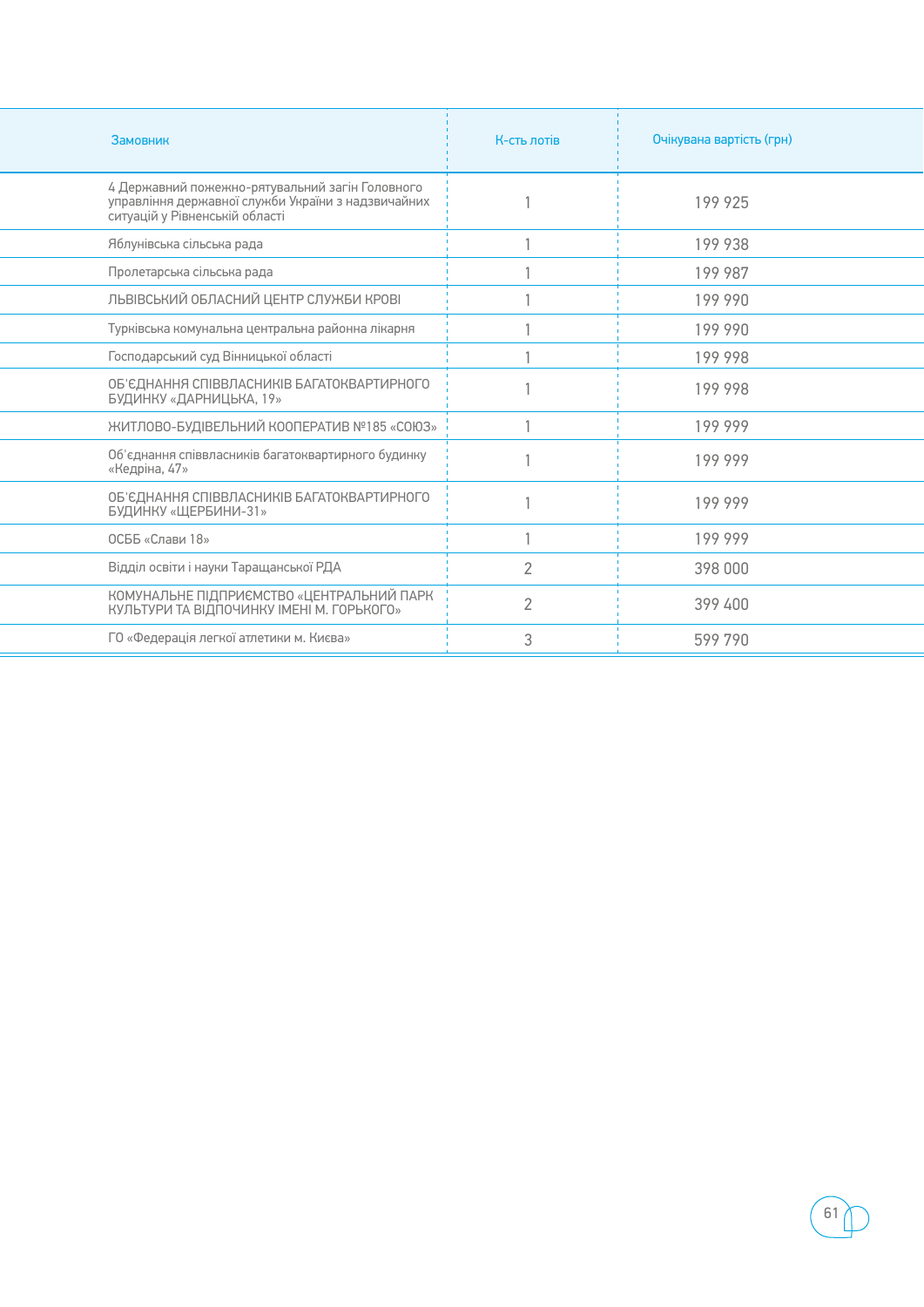| Замовник                                                                                                                                | К-сть лотів.   | Очікувана вартість (грн) |
|-----------------------------------------------------------------------------------------------------------------------------------------|----------------|--------------------------|
| 4 Державний пожежно-рятувальний загін Головного<br>управління державної служби України з надзвичайних<br>ситуацій у Рівненській області |                | 199 925                  |
| Яблунівська сільська рада                                                                                                               |                | 199 938                  |
| Пролетарська сільська рада                                                                                                              |                | 199 987                  |
| ЛЬВІВСЬКИЙ ОБЛАСНИЙ ЦЕНТР СЛУЖБИ КРОВІ                                                                                                  |                | 199 990                  |
| Турківська комунальна центральна районна лікарня                                                                                        |                | 199 990                  |
| Господарський суд Вінницької області                                                                                                    |                | 199 998                  |
| ОБ'ЄДНАННЯ СПІВВЛАСНИКІВ БАГАТОКВАРТИРНОГО<br>БУДИНКУ «ДАРНИЦЬКА, 19»                                                                   |                | 199 998                  |
| ЖИТЛОВО-БУДІВЕЛЬНИЙ КООПЕРАТИВ №185 «СОЮЗ»                                                                                              |                | 199 999                  |
| Об'єднання співвласників багатоквартирного будинку<br>«Кедріна, 47»                                                                     |                | 199 999                  |
| ОБ'ЄДНАННЯ СПІВВЛАСНИКІВ БАГАТОКВАРТИРНОГО<br>БУДИНКУ «ЩЕРБИНИ-31»                                                                      |                | 199 999                  |
| ОСББ «Слави 18»                                                                                                                         |                | 199 999                  |
| Відділ освіти і науки Таращанської РДА                                                                                                  | $\mathcal{P}$  | 398 000                  |
| КОМУНАЛЬНЕ ПІДПРИЄМСТВО «ЦЕНТРАЛЬНИЙ ПАРК<br>КУЛЬТУРИ ТА ВІДПОЧИНКУ ІМЕНІ М. ГОРЬКОГО»                                                  | $\overline{2}$ | 399 400                  |
| ГО «Федерація легкої атлетики м. Києва»                                                                                                 | 3              | 599 790                  |

÷,